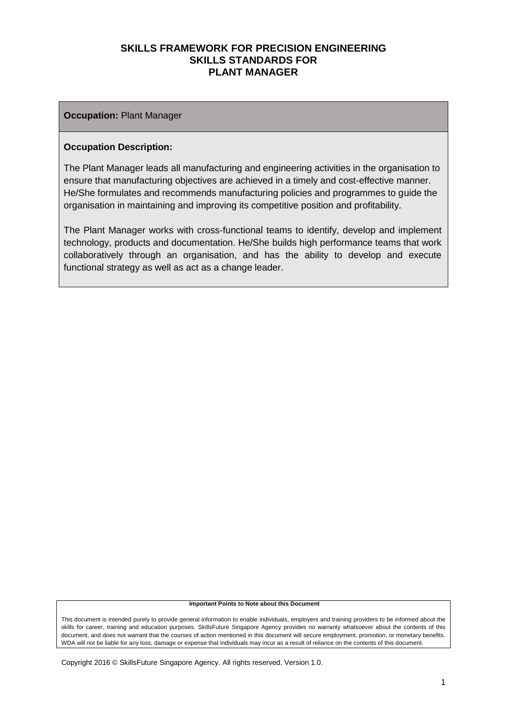#### **Occupation:** Plant Manager

#### **Occupation Description:**

The Plant Manager leads all manufacturing and engineering activities in the organisation to ensure that manufacturing objectives are achieved in a timely and cost-effective manner. He/She formulates and recommends manufacturing policies and programmes to guide the organisation in maintaining and improving its competitive position and profitability.

The Plant Manager works with cross-functional teams to identify, develop and implement technology, products and documentation. He/She builds high performance teams that work collaboratively through an organisation, and has the ability to develop and execute functional strategy as well as act as a change leader.

#### **Important Points to Note about this Document**

This document is intended purely to provide general information to enable individuals, employers and training providers to be informed about the skills for career, training and education purposes. SkillsFuture Singapore Agency provides no warranty whatsoever about the contents of this document, and does not warrant that the courses of action mentioned in this document will secure employment, promotion, or monetary benefits. WDA will not be liable for any loss, damage or expense that individuals may incur as a result of reliance on the contents of this document.

Copyright 2016 © SkillsFuture Singapore Agency. All rights reserved. Version 1.0.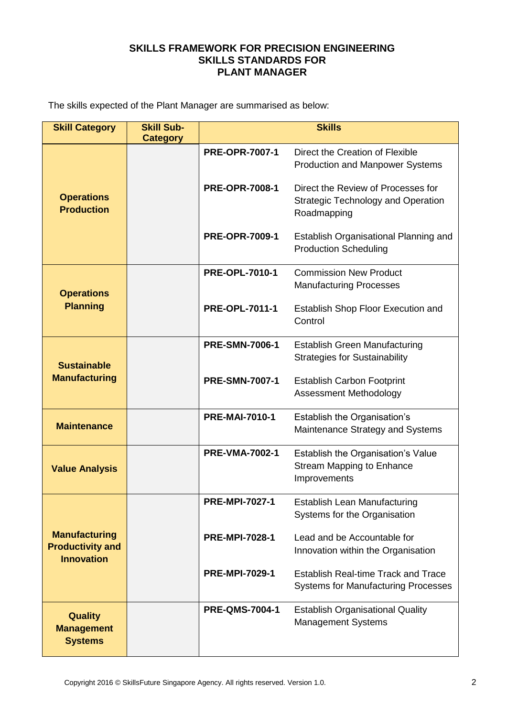The skills expected of the Plant Manager are summarised as below:

| <b>Skill Category</b>                                                | <b>Skill Sub-</b> |                       | <b>Skills</b>                                                                                  |
|----------------------------------------------------------------------|-------------------|-----------------------|------------------------------------------------------------------------------------------------|
|                                                                      | <b>Category</b>   | <b>PRE-OPR-7007-1</b> | Direct the Creation of Flexible<br><b>Production and Manpower Systems</b>                      |
| <b>Operations</b><br><b>Production</b>                               |                   | <b>PRE-OPR-7008-1</b> | Direct the Review of Processes for<br><b>Strategic Technology and Operation</b><br>Roadmapping |
|                                                                      |                   | <b>PRE-OPR-7009-1</b> | Establish Organisational Planning and<br><b>Production Scheduling</b>                          |
| <b>Operations</b>                                                    |                   | <b>PRE-OPL-7010-1</b> | <b>Commission New Product</b><br><b>Manufacturing Processes</b>                                |
| <b>Planning</b>                                                      |                   | <b>PRE-OPL-7011-1</b> | Establish Shop Floor Execution and<br>Control                                                  |
| <b>Sustainable</b>                                                   |                   | <b>PRE-SMN-7006-1</b> | <b>Establish Green Manufacturing</b><br><b>Strategies for Sustainability</b>                   |
| <b>Manufacturing</b>                                                 |                   | <b>PRE-SMN-7007-1</b> | <b>Establish Carbon Footprint</b><br>Assessment Methodology                                    |
| <b>Maintenance</b>                                                   |                   | <b>PRE-MAI-7010-1</b> | Establish the Organisation's<br>Maintenance Strategy and Systems                               |
| <b>Value Analysis</b>                                                |                   | <b>PRE-VMA-7002-1</b> | Establish the Organisation's Value<br><b>Stream Mapping to Enhance</b><br>Improvements         |
|                                                                      |                   | <b>PRE-MPI-7027-1</b> | <b>Establish Lean Manufacturing</b><br>Systems for the Organisation                            |
| <b>Manufacturing</b><br><b>Productivity and</b><br><b>Innovation</b> |                   | <b>PRE-MPI-7028-1</b> | Lead and be Accountable for<br>Innovation within the Organisation                              |
|                                                                      |                   | <b>PRE-MPI-7029-1</b> | <b>Establish Real-time Track and Trace</b><br><b>Systems for Manufacturing Processes</b>       |
| <b>Quality</b><br><b>Management</b><br><b>Systems</b>                |                   | <b>PRE-QMS-7004-1</b> | <b>Establish Organisational Quality</b><br><b>Management Systems</b>                           |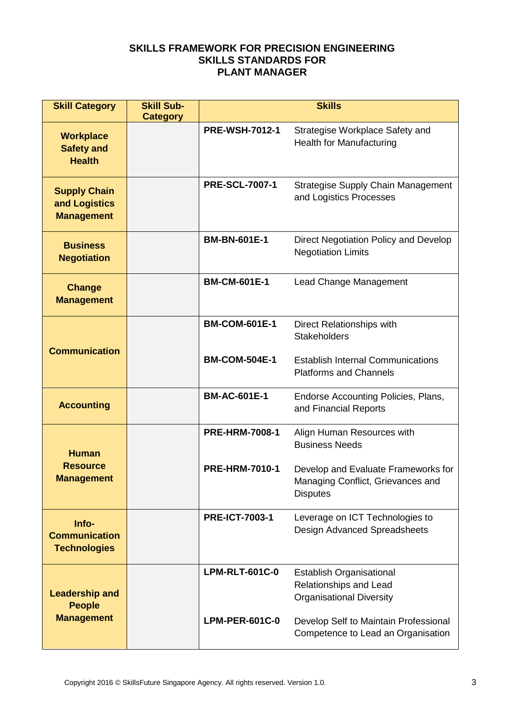| <b>Skill Category</b>                                       | <b>Skill Sub-</b><br><b>Category</b> | <b>Skills</b>         |                                                                                              |  |
|-------------------------------------------------------------|--------------------------------------|-----------------------|----------------------------------------------------------------------------------------------|--|
| <b>Workplace</b><br><b>Safety and</b><br><b>Health</b>      |                                      | <b>PRE-WSH-7012-1</b> | Strategise Workplace Safety and<br>Health for Manufacturing                                  |  |
| <b>Supply Chain</b><br>and Logistics<br><b>Management</b>   |                                      | <b>PRE-SCL-7007-1</b> | <b>Strategise Supply Chain Management</b><br>and Logistics Processes                         |  |
| <b>Business</b><br><b>Negotiation</b>                       |                                      | <b>BM-BN-601E-1</b>   | Direct Negotiation Policy and Develop<br><b>Negotiation Limits</b>                           |  |
| <b>Change</b><br><b>Management</b>                          |                                      | <b>BM-CM-601E-1</b>   | Lead Change Management                                                                       |  |
| <b>Communication</b>                                        |                                      | <b>BM-COM-601E-1</b>  | Direct Relationships with<br><b>Stakeholders</b>                                             |  |
|                                                             |                                      | <b>BM-COM-504E-1</b>  | <b>Establish Internal Communications</b><br><b>Platforms and Channels</b>                    |  |
| <b>Accounting</b>                                           |                                      | <b>BM-AC-601E-1</b>   | Endorse Accounting Policies, Plans,<br>and Financial Reports                                 |  |
| <b>Human</b>                                                |                                      | <b>PRE-HRM-7008-1</b> | Align Human Resources with<br><b>Business Needs</b>                                          |  |
| <b>Resource</b><br><b>Management</b>                        |                                      | <b>PRE-HRM-7010-1</b> | Develop and Evaluate Frameworks for<br>Managing Conflict, Grievances and<br><b>Disputes</b>  |  |
| Info-<br><b>Communication</b><br><b>Technologies</b>        |                                      | <b>PRE-ICT-7003-1</b> | Leverage on ICT Technologies to<br>Design Advanced Spreadsheets                              |  |
| <b>Leadership and</b><br><b>People</b><br><b>Management</b> |                                      | <b>LPM-RLT-601C-0</b> | <b>Establish Organisational</b><br>Relationships and Lead<br><b>Organisational Diversity</b> |  |
|                                                             |                                      | <b>LPM-PER-601C-0</b> | Develop Self to Maintain Professional<br>Competence to Lead an Organisation                  |  |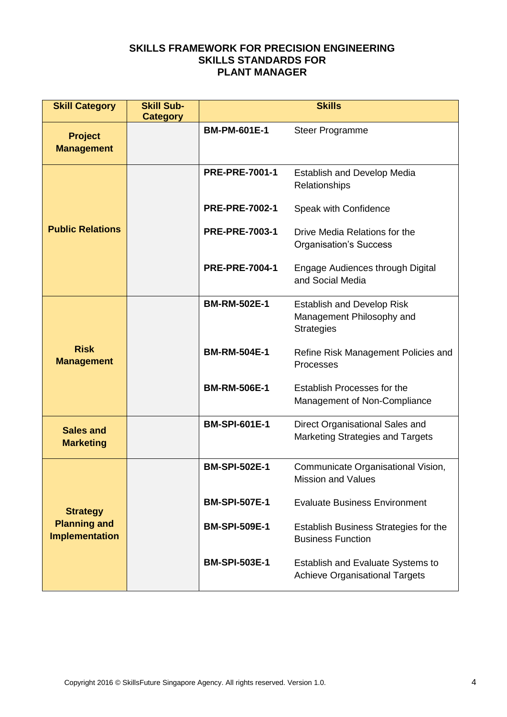| <b>Skill Category</b>                        | <b>Skill Sub-</b><br><b>Category</b> | <b>Skills</b>         |                                                                                     |
|----------------------------------------------|--------------------------------------|-----------------------|-------------------------------------------------------------------------------------|
| <b>Project</b><br><b>Management</b>          |                                      | <b>BM-PM-601E-1</b>   | <b>Steer Programme</b>                                                              |
|                                              |                                      | <b>PRE-PRE-7001-1</b> | <b>Establish and Develop Media</b><br>Relationships                                 |
|                                              |                                      | <b>PRE-PRE-7002-1</b> | Speak with Confidence                                                               |
| <b>Public Relations</b>                      |                                      | <b>PRE-PRE-7003-1</b> | Drive Media Relations for the<br><b>Organisation's Success</b>                      |
|                                              |                                      | <b>PRE-PRE-7004-1</b> | Engage Audiences through Digital<br>and Social Media                                |
|                                              |                                      | <b>BM-RM-502E-1</b>   | <b>Establish and Develop Risk</b><br>Management Philosophy and<br><b>Strategies</b> |
| <b>Risk</b><br><b>Management</b>             |                                      | <b>BM-RM-504E-1</b>   | Refine Risk Management Policies and<br>Processes                                    |
|                                              |                                      | <b>BM-RM-506E-1</b>   | Establish Processes for the<br>Management of Non-Compliance                         |
| <b>Sales and</b><br><b>Marketing</b>         |                                      | <b>BM-SPI-601E-1</b>  | Direct Organisational Sales and<br>Marketing Strategies and Targets                 |
|                                              |                                      | <b>BM-SPI-502E-1</b>  | Communicate Organisational Vision,<br><b>Mission and Values</b>                     |
| <b>Strategy</b>                              |                                      | <b>BM-SPI-507E-1</b>  | <b>Evaluate Business Environment</b>                                                |
| <b>Planning and</b><br><b>Implementation</b> |                                      | <b>BM-SPI-509E-1</b>  | Establish Business Strategies for the<br><b>Business Function</b>                   |
|                                              |                                      | <b>BM-SPI-503E-1</b>  | Establish and Evaluate Systems to<br><b>Achieve Organisational Targets</b>          |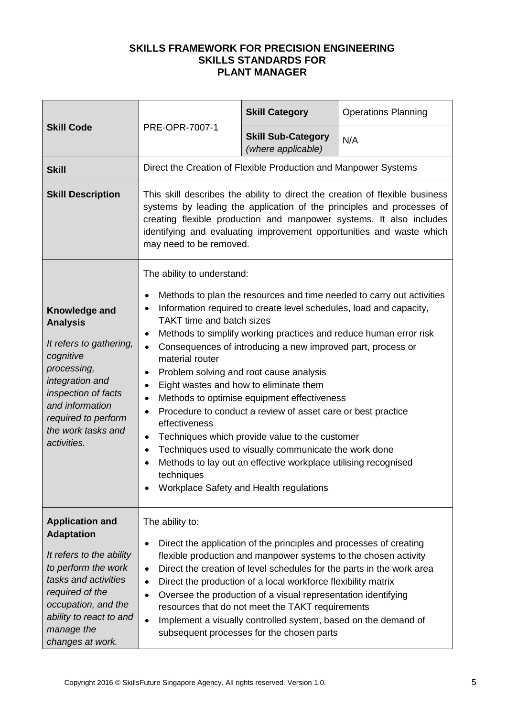|                                                                                                                                                                                                                               | PRE-OPR-7007-1                                                                                                                                                                                                                                                                                                                  | <b>Skill Category</b>                                                                                                                                                                                                                                                                                                                                                                                                                                                                                               | <b>Operations Planning</b>                                                                                                                 |
|-------------------------------------------------------------------------------------------------------------------------------------------------------------------------------------------------------------------------------|---------------------------------------------------------------------------------------------------------------------------------------------------------------------------------------------------------------------------------------------------------------------------------------------------------------------------------|---------------------------------------------------------------------------------------------------------------------------------------------------------------------------------------------------------------------------------------------------------------------------------------------------------------------------------------------------------------------------------------------------------------------------------------------------------------------------------------------------------------------|--------------------------------------------------------------------------------------------------------------------------------------------|
| <b>Skill Code</b>                                                                                                                                                                                                             |                                                                                                                                                                                                                                                                                                                                 | <b>Skill Sub-Category</b><br>(where applicable)                                                                                                                                                                                                                                                                                                                                                                                                                                                                     | N/A                                                                                                                                        |
| <b>Skill</b>                                                                                                                                                                                                                  | Direct the Creation of Flexible Production and Manpower Systems                                                                                                                                                                                                                                                                 |                                                                                                                                                                                                                                                                                                                                                                                                                                                                                                                     |                                                                                                                                            |
| <b>Skill Description</b>                                                                                                                                                                                                      | This skill describes the ability to direct the creation of flexible business<br>systems by leading the application of the principles and processes of<br>creating flexible production and manpower systems. It also includes<br>identifying and evaluating improvement opportunities and waste which<br>may need to be removed. |                                                                                                                                                                                                                                                                                                                                                                                                                                                                                                                     |                                                                                                                                            |
| Knowledge and<br><b>Analysis</b><br>It refers to gathering,<br>cognitive<br>processing,<br>integration and<br>inspection of facts<br>and information<br>required to perform<br>the work tasks and<br>activities.              | The ability to understand:<br>$\bullet$<br>$\bullet$<br><b>TAKT time and batch sizes</b><br>$\bullet$<br>$\bullet$<br>material router<br>$\bullet$<br>Eight wastes and how to eliminate them<br>$\bullet$<br>$\bullet$<br>effectiveness<br>٠<br>$\bullet$<br>techniques                                                         | Information required to create level schedules, load and capacity,<br>Consequences of introducing a new improved part, process or<br>Problem solving and root cause analysis<br>Methods to optimise equipment effectiveness<br>Procedure to conduct a review of asset care or best practice<br>Techniques which provide value to the customer<br>Techniques used to visually communicate the work done<br>Methods to lay out an effective workplace utilising recognised<br>Workplace Safety and Health regulations | Methods to plan the resources and time needed to carry out activities<br>Methods to simplify working practices and reduce human error risk |
| <b>Application and</b><br><b>Adaptation</b><br>It refers to the ability<br>to perform the work<br>tasks and activities<br>required of the<br>occupation, and the<br>ability to react to and<br>manage the<br>changes at work. | The ability to:<br>$\bullet$<br>$\bullet$<br>$\bullet$<br>$\bullet$<br>$\bullet$                                                                                                                                                                                                                                                | Direct the application of the principles and processes of creating<br>flexible production and manpower systems to the chosen activity<br>Direct the production of a local workforce flexibility matrix<br>Oversee the production of a visual representation identifying<br>resources that do not meet the TAKT requirements<br>Implement a visually controlled system, based on the demand of<br>subsequent processes for the chosen parts                                                                          | Direct the creation of level schedules for the parts in the work area                                                                      |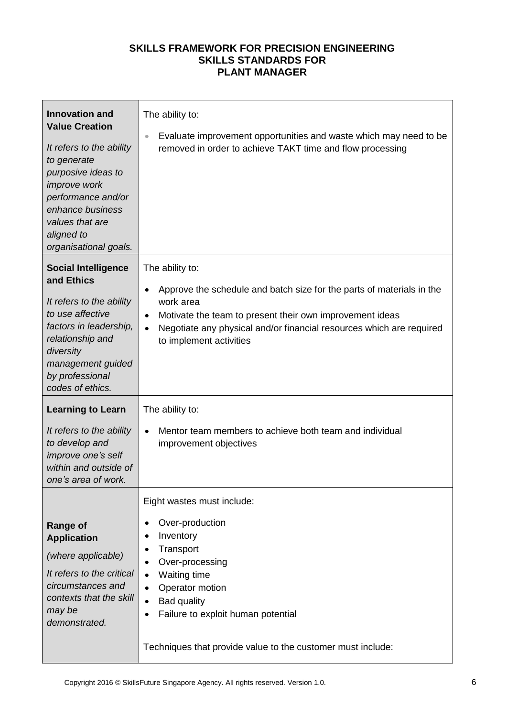| <b>Innovation and</b><br><b>Value Creation</b><br>It refers to the ability<br>to generate<br>purposive ideas to<br><i>improve</i> work<br>performance and/or<br>enhance business<br>values that are<br>aligned to<br>organisational goals. | The ability to:<br>Evaluate improvement opportunities and waste which may need to be<br>$\qquad \qquad \bullet$<br>removed in order to achieve TAKT time and flow processing                                                                                                                                |
|--------------------------------------------------------------------------------------------------------------------------------------------------------------------------------------------------------------------------------------------|-------------------------------------------------------------------------------------------------------------------------------------------------------------------------------------------------------------------------------------------------------------------------------------------------------------|
| <b>Social Intelligence</b><br>and Ethics<br>It refers to the ability<br>to use affective<br>factors in leadership,<br>relationship and<br>diversity<br>management guided<br>by professional<br>codes of ethics.                            | The ability to:<br>Approve the schedule and batch size for the parts of materials in the<br>$\bullet$<br>work area<br>Motivate the team to present their own improvement ideas<br>$\bullet$<br>Negotiate any physical and/or financial resources which are required<br>$\bullet$<br>to implement activities |
| <b>Learning to Learn</b><br>It refers to the ability<br>to develop and<br>improve one's self<br>within and outside of<br>one's area of work.                                                                                               | The ability to:<br>Mentor team members to achieve both team and individual<br>$\bullet$<br>improvement objectives                                                                                                                                                                                           |
| <b>Range of</b><br><b>Application</b><br>(where applicable)<br>It refers to the critical<br>circumstances and<br>contexts that the skill<br>may be<br>demonstrated.                                                                        | Eight wastes must include:<br>Over-production<br>Inventory<br>Transport<br>Over-processing<br>٠<br>Waiting time<br>$\bullet$<br>Operator motion<br>$\bullet$<br><b>Bad quality</b><br>Failure to exploit human potential<br>Techniques that provide value to the customer must include:                     |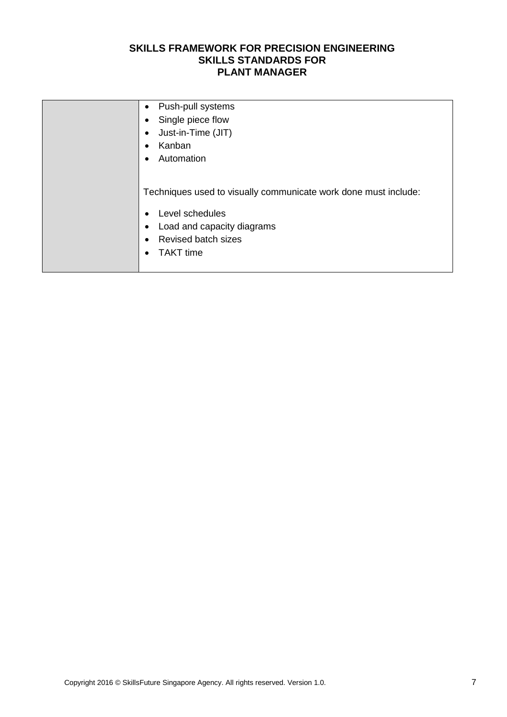| Push-pull systems<br>$\bullet$                                  |
|-----------------------------------------------------------------|
| Single piece flow                                               |
| Just-in-Time (JIT)                                              |
| Kanban                                                          |
| Automation                                                      |
|                                                                 |
| Techniques used to visually communicate work done must include: |
| Level schedules                                                 |
| Load and capacity diagrams                                      |
| <b>Revised batch sizes</b>                                      |
| <b>TAKT</b> time                                                |
|                                                                 |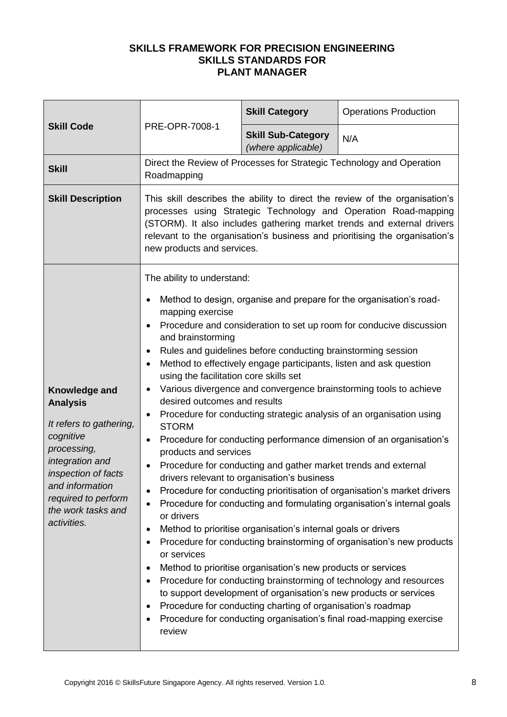|                                                                                                                                                                                                                  | PRE-OPR-7008-1                                                                                                                                                                                                                                                                                                                                                              | <b>Skill Category</b>                                                                                                                                                                                                                                                                                                                                                                                                                               | <b>Operations Production</b>                                                                                                                                                                                                                                                                                                                                                                                                                                                                                                                                                                                                                                                                                                                                                                                    |
|------------------------------------------------------------------------------------------------------------------------------------------------------------------------------------------------------------------|-----------------------------------------------------------------------------------------------------------------------------------------------------------------------------------------------------------------------------------------------------------------------------------------------------------------------------------------------------------------------------|-----------------------------------------------------------------------------------------------------------------------------------------------------------------------------------------------------------------------------------------------------------------------------------------------------------------------------------------------------------------------------------------------------------------------------------------------------|-----------------------------------------------------------------------------------------------------------------------------------------------------------------------------------------------------------------------------------------------------------------------------------------------------------------------------------------------------------------------------------------------------------------------------------------------------------------------------------------------------------------------------------------------------------------------------------------------------------------------------------------------------------------------------------------------------------------------------------------------------------------------------------------------------------------|
| <b>Skill Code</b>                                                                                                                                                                                                |                                                                                                                                                                                                                                                                                                                                                                             | <b>Skill Sub-Category</b><br>(where applicable)                                                                                                                                                                                                                                                                                                                                                                                                     | N/A                                                                                                                                                                                                                                                                                                                                                                                                                                                                                                                                                                                                                                                                                                                                                                                                             |
| <b>Skill</b>                                                                                                                                                                                                     | Roadmapping                                                                                                                                                                                                                                                                                                                                                                 |                                                                                                                                                                                                                                                                                                                                                                                                                                                     | Direct the Review of Processes for Strategic Technology and Operation                                                                                                                                                                                                                                                                                                                                                                                                                                                                                                                                                                                                                                                                                                                                           |
| <b>Skill Description</b>                                                                                                                                                                                         | This skill describes the ability to direct the review of the organisation's<br>processes using Strategic Technology and Operation Road-mapping<br>(STORM). It also includes gathering market trends and external drivers<br>relevant to the organisation's business and prioritising the organisation's<br>new products and services.                                       |                                                                                                                                                                                                                                                                                                                                                                                                                                                     |                                                                                                                                                                                                                                                                                                                                                                                                                                                                                                                                                                                                                                                                                                                                                                                                                 |
| Knowledge and<br><b>Analysis</b><br>It refers to gathering,<br>cognitive<br>processing,<br>integration and<br>inspection of facts<br>and information<br>required to perform<br>the work tasks and<br>activities. | The ability to understand:<br>$\bullet$<br>mapping exercise<br>and brainstorming<br>$\bullet$<br>$\bullet$<br>using the facilitation core skills set<br>٠<br>desired outcomes and results<br>٠<br><b>STORM</b><br>$\bullet$<br>products and services<br>٠<br>$\bullet$<br>or drivers<br>٠<br>$\bullet$<br>or services<br>$\bullet$<br>$\bullet$<br>$\bullet$<br>٠<br>review | Rules and guidelines before conducting brainstorming session<br>Method to effectively engage participants, listen and ask question<br>Procedure for conducting and gather market trends and external<br>drivers relevant to organisation's business<br>Method to prioritise organisation's internal goals or drivers<br>Method to prioritise organisation's new products or services<br>Procedure for conducting charting of organisation's roadmap | Method to design, organise and prepare for the organisation's road-<br>Procedure and consideration to set up room for conducive discussion<br>Various divergence and convergence brainstorming tools to achieve<br>Procedure for conducting strategic analysis of an organisation using<br>Procedure for conducting performance dimension of an organisation's<br>Procedure for conducting prioritisation of organisation's market drivers<br>Procedure for conducting and formulating organisation's internal goals<br>Procedure for conducting brainstorming of organisation's new products<br>Procedure for conducting brainstorming of technology and resources<br>to support development of organisation's new products or services<br>Procedure for conducting organisation's final road-mapping exercise |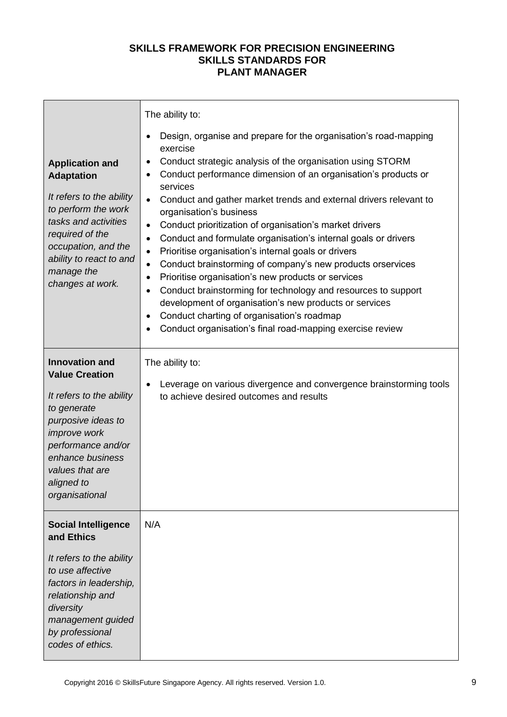|                                                                                                                                                                                                                                     | The ability to:                                                                                                                                                                                                                                                                                                                                                                                                                                                                                                                                                                                                                                                                                                                                                                                                                                                                                                                                                                                       |
|-------------------------------------------------------------------------------------------------------------------------------------------------------------------------------------------------------------------------------------|-------------------------------------------------------------------------------------------------------------------------------------------------------------------------------------------------------------------------------------------------------------------------------------------------------------------------------------------------------------------------------------------------------------------------------------------------------------------------------------------------------------------------------------------------------------------------------------------------------------------------------------------------------------------------------------------------------------------------------------------------------------------------------------------------------------------------------------------------------------------------------------------------------------------------------------------------------------------------------------------------------|
| <b>Application and</b><br><b>Adaptation</b><br>It refers to the ability<br>to perform the work<br>tasks and activities<br>required of the<br>occupation, and the<br>ability to react to and<br>manage the<br>changes at work.       | Design, organise and prepare for the organisation's road-mapping<br>٠<br>exercise<br>Conduct strategic analysis of the organisation using STORM<br>$\bullet$<br>Conduct performance dimension of an organisation's products or<br>٠<br>services<br>Conduct and gather market trends and external drivers relevant to<br>$\bullet$<br>organisation's business<br>Conduct prioritization of organisation's market drivers<br>$\bullet$<br>Conduct and formulate organisation's internal goals or drivers<br>$\bullet$<br>Prioritise organisation's internal goals or drivers<br>$\bullet$<br>Conduct brainstorming of company's new products orservices<br>$\bullet$<br>Prioritise organisation's new products or services<br>$\bullet$<br>Conduct brainstorming for technology and resources to support<br>$\bullet$<br>development of organisation's new products or services<br>Conduct charting of organisation's roadmap<br>$\bullet$<br>Conduct organisation's final road-mapping exercise review |
| <b>Innovation and</b><br><b>Value Creation</b><br>It refers to the ability<br>to generate<br>purposive ideas to<br><i>improve</i> work<br>performance and/or<br>enhance business<br>values that are<br>aligned to<br>organisational | The ability to:<br>Leverage on various divergence and convergence brainstorming tools<br>$\bullet$<br>to achieve desired outcomes and results                                                                                                                                                                                                                                                                                                                                                                                                                                                                                                                                                                                                                                                                                                                                                                                                                                                         |
| <b>Social Intelligence</b><br>and Ethics<br>It refers to the ability<br>to use affective<br>factors in leadership,<br>relationship and<br>diversity<br>management guided<br>by professional<br>codes of ethics.                     | N/A                                                                                                                                                                                                                                                                                                                                                                                                                                                                                                                                                                                                                                                                                                                                                                                                                                                                                                                                                                                                   |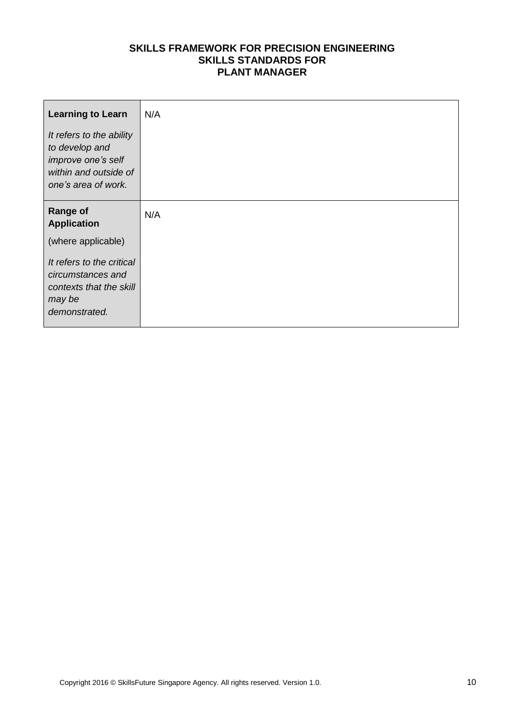| <b>Learning to Learn</b>                                                                                         | N/A |
|------------------------------------------------------------------------------------------------------------------|-----|
| It refers to the ability<br>to develop and<br>improve one's self<br>within and outside of<br>one's area of work. |     |
| <b>Range of</b><br><b>Application</b>                                                                            | N/A |
| (where applicable)                                                                                               |     |
| It refers to the critical<br>circumstances and<br>contexts that the skill<br>may be<br>demonstrated.             |     |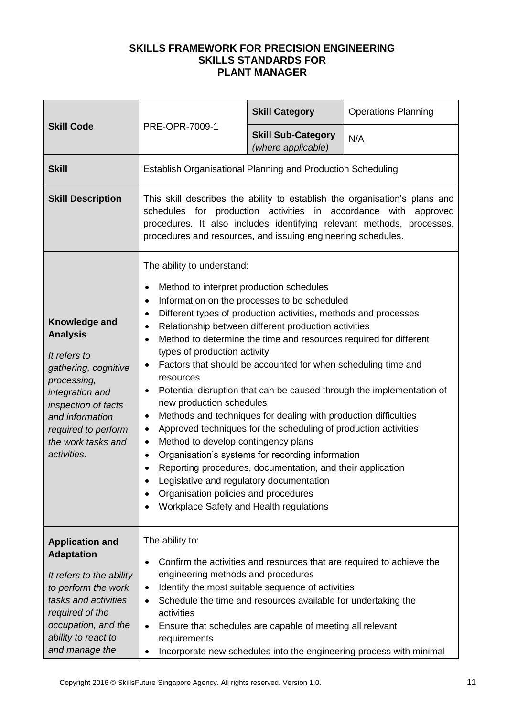|                                                                                                                                                                                                                  | PRE-OPR-7009-1                                                                                                                                                                                                                                                                                                                                                                                                                                                                                              | <b>Skill Category</b>                                                                                                                                                                                                                                                                                                                                                                                                                                                                                                                                                 | <b>Operations Planning</b>                                            |
|------------------------------------------------------------------------------------------------------------------------------------------------------------------------------------------------------------------|-------------------------------------------------------------------------------------------------------------------------------------------------------------------------------------------------------------------------------------------------------------------------------------------------------------------------------------------------------------------------------------------------------------------------------------------------------------------------------------------------------------|-----------------------------------------------------------------------------------------------------------------------------------------------------------------------------------------------------------------------------------------------------------------------------------------------------------------------------------------------------------------------------------------------------------------------------------------------------------------------------------------------------------------------------------------------------------------------|-----------------------------------------------------------------------|
| <b>Skill Code</b>                                                                                                                                                                                                |                                                                                                                                                                                                                                                                                                                                                                                                                                                                                                             | <b>Skill Sub-Category</b><br>(where applicable)                                                                                                                                                                                                                                                                                                                                                                                                                                                                                                                       | N/A                                                                   |
| <b>Skill</b>                                                                                                                                                                                                     | <b>Establish Organisational Planning and Production Scheduling</b>                                                                                                                                                                                                                                                                                                                                                                                                                                          |                                                                                                                                                                                                                                                                                                                                                                                                                                                                                                                                                                       |                                                                       |
| <b>Skill Description</b>                                                                                                                                                                                         | This skill describes the ability to establish the organisation's plans and<br>schedules for production activities in accordance with<br>approved<br>procedures. It also includes identifying relevant methods, processes,<br>procedures and resources, and issuing engineering schedules.                                                                                                                                                                                                                   |                                                                                                                                                                                                                                                                                                                                                                                                                                                                                                                                                                       |                                                                       |
| Knowledge and<br><b>Analysis</b><br>It refers to<br>gathering, cognitive<br>processing,<br>integration and<br>inspection of facts<br>and information<br>required to perform<br>the work tasks and<br>activities. | The ability to understand:<br>Method to interpret production schedules<br>$\bullet$<br>$\bullet$<br>$\bullet$<br>$\bullet$<br>$\bullet$<br>types of production activity<br>$\bullet$<br>resources<br>$\bullet$<br>new production schedules<br>$\bullet$<br>$\bullet$<br>Method to develop contingency plans<br>$\bullet$<br>$\bullet$<br>$\bullet$<br>Legislative and regulatory documentation<br>Organisation policies and procedures<br>$\bullet$<br>Workplace Safety and Health regulations<br>$\bullet$ | Information on the processes to be scheduled<br>Different types of production activities, methods and processes<br>Relationship between different production activities<br>Method to determine the time and resources required for different<br>Factors that should be accounted for when scheduling time and<br>Methods and techniques for dealing with production difficulties<br>Approved techniques for the scheduling of production activities<br>Organisation's systems for recording information<br>Reporting procedures, documentation, and their application | Potential disruption that can be caused through the implementation of |
| <b>Application and</b><br><b>Adaptation</b><br>It refers to the ability<br>to perform the work<br>tasks and activities<br>required of the<br>occupation, and the<br>ability to react to<br>and manage the        | The ability to:<br>$\bullet$<br>engineering methods and procedures<br>$\bullet$<br>$\bullet$<br>activities<br>$\bullet$<br>requirements<br>$\bullet$                                                                                                                                                                                                                                                                                                                                                        | Confirm the activities and resources that are required to achieve the<br>Identify the most suitable sequence of activities<br>Schedule the time and resources available for undertaking the<br>Ensure that schedules are capable of meeting all relevant                                                                                                                                                                                                                                                                                                              | Incorporate new schedules into the engineering process with minimal   |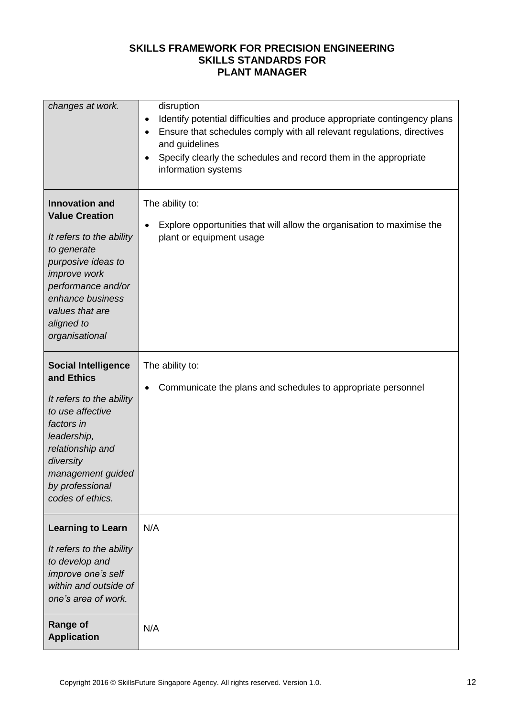| changes at work.                                                                                                                                                                                                                    | disruption<br>Identify potential difficulties and produce appropriate contingency plans<br>$\bullet$<br>Ensure that schedules comply with all relevant regulations, directives<br>$\bullet$<br>and guidelines<br>Specify clearly the schedules and record them in the appropriate<br>$\bullet$<br>information systems |
|-------------------------------------------------------------------------------------------------------------------------------------------------------------------------------------------------------------------------------------|-----------------------------------------------------------------------------------------------------------------------------------------------------------------------------------------------------------------------------------------------------------------------------------------------------------------------|
| <b>Innovation and</b><br><b>Value Creation</b><br>It refers to the ability<br>to generate<br>purposive ideas to<br><i>improve</i> work<br>performance and/or<br>enhance business<br>values that are<br>aligned to<br>organisational | The ability to:<br>Explore opportunities that will allow the organisation to maximise the<br>$\bullet$<br>plant or equipment usage                                                                                                                                                                                    |
| <b>Social Intelligence</b><br>and Ethics<br>It refers to the ability<br>to use affective<br>factors in<br>leadership,<br>relationship and<br>diversity<br>management guided<br>by professional<br>codes of ethics.                  | The ability to:<br>Communicate the plans and schedules to appropriate personnel<br>٠                                                                                                                                                                                                                                  |
| <b>Learning to Learn</b><br>It refers to the ability<br>to develop and<br>improve one's self<br>within and outside of<br>one's area of work.                                                                                        | N/A                                                                                                                                                                                                                                                                                                                   |
| <b>Range of</b><br><b>Application</b>                                                                                                                                                                                               | N/A                                                                                                                                                                                                                                                                                                                   |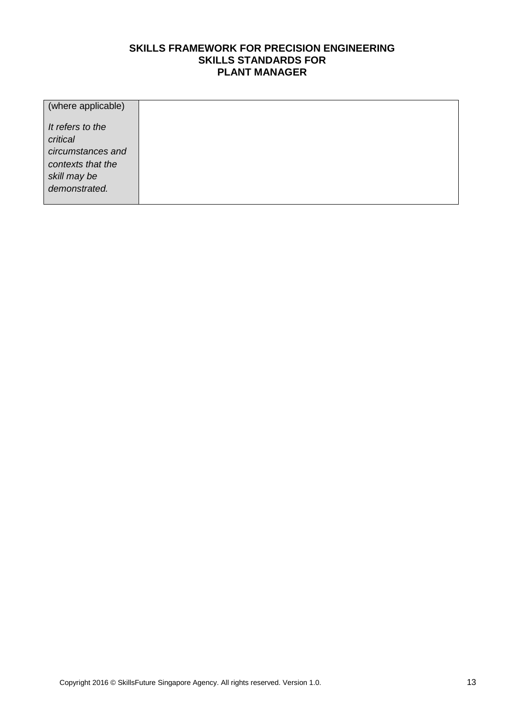| (where applicable)                     |  |
|----------------------------------------|--|
| It refers to the<br>critical           |  |
| circumstances and<br>contexts that the |  |
| skill may be                           |  |
| demonstrated.                          |  |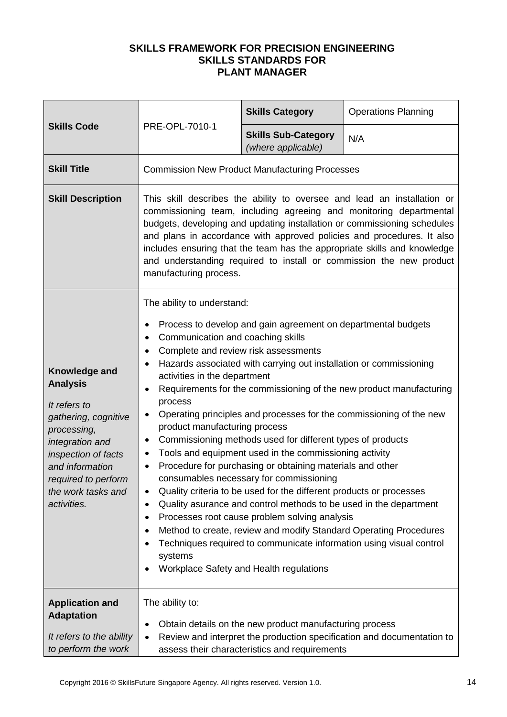| <b>Skills Code</b>                                                                                                                                                                                               | PRE-OPL-7010-1                                                                                                                                                                                                                                                                                                                                                                                                                                                                   | <b>Skills Category</b>                                                                                                                                                                                                                                                                                                                                                                                                                                                                                                                                                                                                                                                                                                                                                                                                         | <b>Operations Planning</b>                                             |
|------------------------------------------------------------------------------------------------------------------------------------------------------------------------------------------------------------------|----------------------------------------------------------------------------------------------------------------------------------------------------------------------------------------------------------------------------------------------------------------------------------------------------------------------------------------------------------------------------------------------------------------------------------------------------------------------------------|--------------------------------------------------------------------------------------------------------------------------------------------------------------------------------------------------------------------------------------------------------------------------------------------------------------------------------------------------------------------------------------------------------------------------------------------------------------------------------------------------------------------------------------------------------------------------------------------------------------------------------------------------------------------------------------------------------------------------------------------------------------------------------------------------------------------------------|------------------------------------------------------------------------|
|                                                                                                                                                                                                                  |                                                                                                                                                                                                                                                                                                                                                                                                                                                                                  | <b>Skills Sub-Category</b><br>(where applicable)                                                                                                                                                                                                                                                                                                                                                                                                                                                                                                                                                                                                                                                                                                                                                                               | N/A                                                                    |
| <b>Skill Title</b>                                                                                                                                                                                               | <b>Commission New Product Manufacturing Processes</b>                                                                                                                                                                                                                                                                                                                                                                                                                            |                                                                                                                                                                                                                                                                                                                                                                                                                                                                                                                                                                                                                                                                                                                                                                                                                                |                                                                        |
| <b>Skill Description</b>                                                                                                                                                                                         | This skill describes the ability to oversee and lead an installation or<br>commissioning team, including agreeing and monitoring departmental<br>budgets, developing and updating installation or commissioning schedules<br>and plans in accordance with approved policies and procedures. It also<br>includes ensuring that the team has the appropriate skills and knowledge<br>and understanding required to install or commission the new product<br>manufacturing process. |                                                                                                                                                                                                                                                                                                                                                                                                                                                                                                                                                                                                                                                                                                                                                                                                                                |                                                                        |
| Knowledge and<br><b>Analysis</b><br>It refers to<br>gathering, cognitive<br>processing,<br>integration and<br>inspection of facts<br>and information<br>required to perform<br>the work tasks and<br>activities. | The ability to understand:<br>٠<br>Communication and coaching skills<br>٠<br>Complete and review risk assessments<br>$\bullet$<br>٠<br>activities in the department<br>٠<br>process<br>٠<br>product manufacturing process<br>٠<br>٠<br>$\bullet$<br>٠<br>٠<br>٠<br>$\bullet$<br>$\bullet$<br>systems                                                                                                                                                                             | Process to develop and gain agreement on departmental budgets<br>Hazards associated with carrying out installation or commissioning<br>Operating principles and processes for the commissioning of the new<br>Commissioning methods used for different types of products<br>Tools and equipment used in the commissioning activity<br>Procedure for purchasing or obtaining materials and other<br>consumables necessary for commissioning<br>Quality criteria to be used for the different products or processes<br>Quality asurance and control methods to be used in the department<br>Processes root cause problem solving analysis<br>Method to create, review and modify Standard Operating Procedures<br>Techniques required to communicate information using visual control<br>Workplace Safety and Health regulations | Requirements for the commissioning of the new product manufacturing    |
| <b>Application and</b><br><b>Adaptation</b><br>It refers to the ability<br>to perform the work                                                                                                                   | The ability to:<br>٠<br>$\bullet$                                                                                                                                                                                                                                                                                                                                                                                                                                                | Obtain details on the new product manufacturing process<br>assess their characteristics and requirements                                                                                                                                                                                                                                                                                                                                                                                                                                                                                                                                                                                                                                                                                                                       | Review and interpret the production specification and documentation to |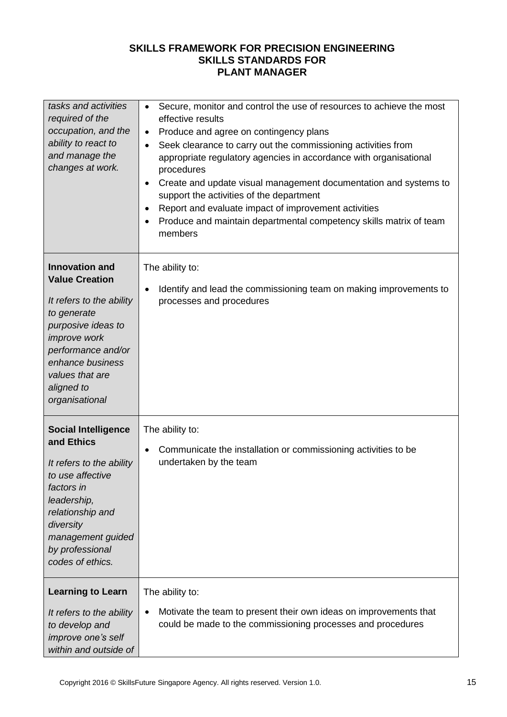| tasks and activities<br>required of the<br>occupation, and the<br>ability to react to<br>and manage the<br>changes at work.                                                                                                         | Secure, monitor and control the use of resources to achieve the most<br>$\bullet$<br>effective results<br>Produce and agree on contingency plans<br>$\bullet$<br>Seek clearance to carry out the commissioning activities from<br>٠<br>appropriate regulatory agencies in accordance with organisational<br>procedures<br>Create and update visual management documentation and systems to<br>$\bullet$<br>support the activities of the department<br>Report and evaluate impact of improvement activities<br>٠<br>Produce and maintain departmental competency skills matrix of team<br>٠<br>members |
|-------------------------------------------------------------------------------------------------------------------------------------------------------------------------------------------------------------------------------------|--------------------------------------------------------------------------------------------------------------------------------------------------------------------------------------------------------------------------------------------------------------------------------------------------------------------------------------------------------------------------------------------------------------------------------------------------------------------------------------------------------------------------------------------------------------------------------------------------------|
| <b>Innovation and</b><br><b>Value Creation</b><br>It refers to the ability<br>to generate<br>purposive ideas to<br><i>improve</i> work<br>performance and/or<br>enhance business<br>values that are<br>aligned to<br>organisational | The ability to:<br>Identify and lead the commissioning team on making improvements to<br>$\bullet$<br>processes and procedures                                                                                                                                                                                                                                                                                                                                                                                                                                                                         |
| <b>Social Intelligence</b><br>and Ethics<br>It refers to the ability<br>to use affective<br>factors in<br>leadership,<br>relationship and<br>diversity<br>management guided<br>by professional<br>codes of ethics.                  | The ability to:<br>Communicate the installation or commissioning activities to be<br>$\bullet$<br>undertaken by the team                                                                                                                                                                                                                                                                                                                                                                                                                                                                               |
| <b>Learning to Learn</b><br>It refers to the ability<br>to develop and<br>improve one's self<br>within and outside of                                                                                                               | The ability to:<br>Motivate the team to present their own ideas on improvements that<br>٠<br>could be made to the commissioning processes and procedures                                                                                                                                                                                                                                                                                                                                                                                                                                               |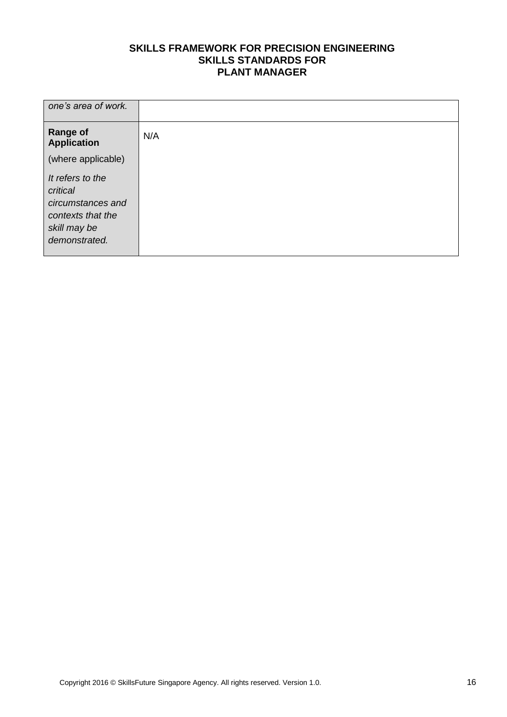| one's area of work.                                                                                     |     |
|---------------------------------------------------------------------------------------------------------|-----|
| <b>Range of</b><br><b>Application</b>                                                                   | N/A |
| (where applicable)                                                                                      |     |
| It refers to the<br>critical<br>circumstances and<br>contexts that the<br>skill may be<br>demonstrated. |     |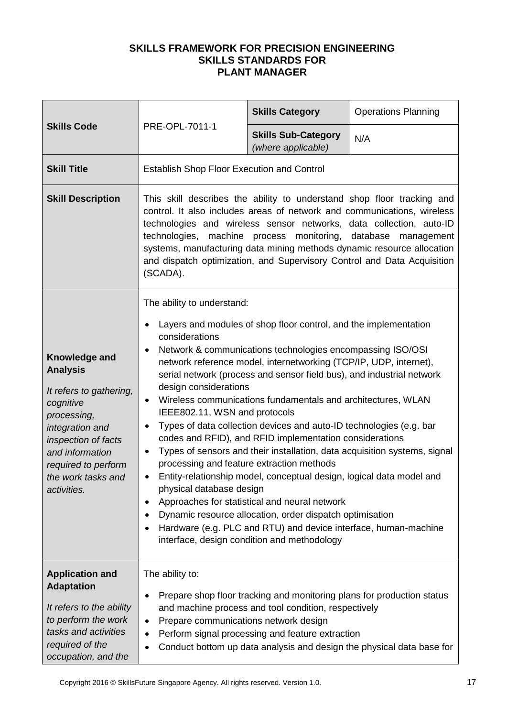| <b>Skills Code</b>                                                                                                                                                                                                      | PRE-OPL-7011-1                                                                                                                                                                                                                                                                                                                                                                                                                                             | <b>Skills Category</b>                                                                                                                                                                                                                                                                                                                                                                                                                                                                                                                                                                                                                                                                                                                                                                | <b>Operations Planning</b>                                                |
|-------------------------------------------------------------------------------------------------------------------------------------------------------------------------------------------------------------------------|------------------------------------------------------------------------------------------------------------------------------------------------------------------------------------------------------------------------------------------------------------------------------------------------------------------------------------------------------------------------------------------------------------------------------------------------------------|---------------------------------------------------------------------------------------------------------------------------------------------------------------------------------------------------------------------------------------------------------------------------------------------------------------------------------------------------------------------------------------------------------------------------------------------------------------------------------------------------------------------------------------------------------------------------------------------------------------------------------------------------------------------------------------------------------------------------------------------------------------------------------------|---------------------------------------------------------------------------|
|                                                                                                                                                                                                                         |                                                                                                                                                                                                                                                                                                                                                                                                                                                            | <b>Skills Sub-Category</b><br>(where applicable)                                                                                                                                                                                                                                                                                                                                                                                                                                                                                                                                                                                                                                                                                                                                      | N/A                                                                       |
| <b>Skill Title</b>                                                                                                                                                                                                      | <b>Establish Shop Floor Execution and Control</b>                                                                                                                                                                                                                                                                                                                                                                                                          |                                                                                                                                                                                                                                                                                                                                                                                                                                                                                                                                                                                                                                                                                                                                                                                       |                                                                           |
| <b>Skill Description</b>                                                                                                                                                                                                | This skill describes the ability to understand shop floor tracking and<br>control. It also includes areas of network and communications, wireless<br>technologies and wireless sensor networks, data collection, auto-ID<br>technologies, machine process monitoring, database management<br>systems, manufacturing data mining methods dynamic resource allocation<br>and dispatch optimization, and Supervisory Control and Data Acquisition<br>(SCADA). |                                                                                                                                                                                                                                                                                                                                                                                                                                                                                                                                                                                                                                                                                                                                                                                       |                                                                           |
| <b>Knowledge and</b><br><b>Analysis</b><br>It refers to gathering,<br>cognitive<br>processing,<br>integration and<br>inspection of facts<br>and information<br>required to perform<br>the work tasks and<br>activities. | The ability to understand:<br>$\bullet$<br>considerations<br>design considerations<br>$\bullet$<br>IEEE802.11, WSN and protocols<br>$\bullet$<br>٠<br>processing and feature extraction methods<br>physical database design<br>٠<br>$\bullet$<br>$\bullet$                                                                                                                                                                                                 | Layers and modules of shop floor control, and the implementation<br>Network & communications technologies encompassing ISO/OSI<br>network reference model, internetworking (TCP/IP, UDP, internet),<br>serial network (process and sensor field bus), and industrial network<br>Wireless communications fundamentals and architectures, WLAN<br>Types of data collection devices and auto-ID technologies (e.g. bar<br>codes and RFID), and RFID implementation considerations<br>Entity-relationship model, conceptual design, logical data model and<br>Approaches for statistical and neural network<br>Dynamic resource allocation, order dispatch optimisation<br>Hardware (e.g. PLC and RTU) and device interface, human-machine<br>interface, design condition and methodology | Types of sensors and their installation, data acquisition systems, signal |
| <b>Application and</b><br><b>Adaptation</b><br>It refers to the ability<br>to perform the work<br>tasks and activities<br>required of the<br>occupation, and the                                                        | The ability to:<br>٠<br>Prepare communications network design<br>٠<br>$\bullet$<br>$\bullet$                                                                                                                                                                                                                                                                                                                                                               | Prepare shop floor tracking and monitoring plans for production status<br>and machine process and tool condition, respectively<br>Perform signal processing and feature extraction                                                                                                                                                                                                                                                                                                                                                                                                                                                                                                                                                                                                    | Conduct bottom up data analysis and design the physical data base for     |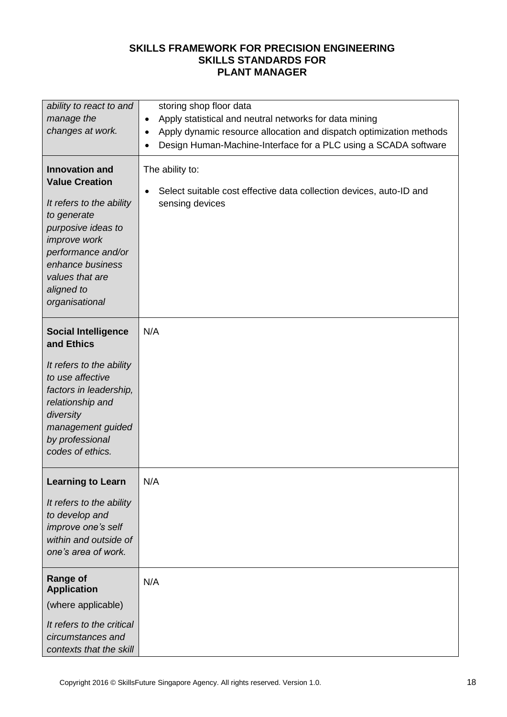| ability to react to and                                                                                                                                                                                                      | storing shop floor data                                                                                                |
|------------------------------------------------------------------------------------------------------------------------------------------------------------------------------------------------------------------------------|------------------------------------------------------------------------------------------------------------------------|
| manage the                                                                                                                                                                                                                   | Apply statistical and neutral networks for data mining<br>$\bullet$                                                    |
| changes at work.                                                                                                                                                                                                             | Apply dynamic resource allocation and dispatch optimization methods<br>$\bullet$                                       |
|                                                                                                                                                                                                                              | Design Human-Machine-Interface for a PLC using a SCADA software<br>$\bullet$                                           |
| <b>Innovation and</b><br><b>Value Creation</b><br>It refers to the ability<br>to generate<br>purposive ideas to<br>improve work<br>performance and/or<br>enhance business<br>values that are<br>aligned to<br>organisational | The ability to:<br>Select suitable cost effective data collection devices, auto-ID and<br>$\bullet$<br>sensing devices |
| <b>Social Intelligence</b><br>and Ethics                                                                                                                                                                                     | N/A                                                                                                                    |
| It refers to the ability<br>to use affective<br>factors in leadership,<br>relationship and<br>diversity<br>management guided<br>by professional<br>codes of ethics.                                                          |                                                                                                                        |
| <b>Learning to Learn</b>                                                                                                                                                                                                     | N/A                                                                                                                    |
| It refers to the ability<br>to develop and<br>improve one's self<br>within and outside of<br>one's area of work.                                                                                                             |                                                                                                                        |
| <b>Range of</b><br><b>Application</b>                                                                                                                                                                                        | N/A                                                                                                                    |
| (where applicable)                                                                                                                                                                                                           |                                                                                                                        |
| It refers to the critical<br>circumstances and<br>contexts that the skill                                                                                                                                                    |                                                                                                                        |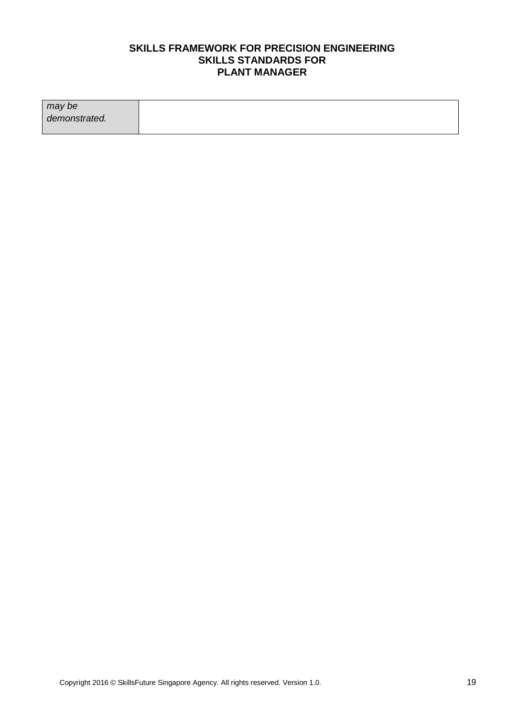| may be        |  |
|---------------|--|
| demonstrated. |  |
|               |  |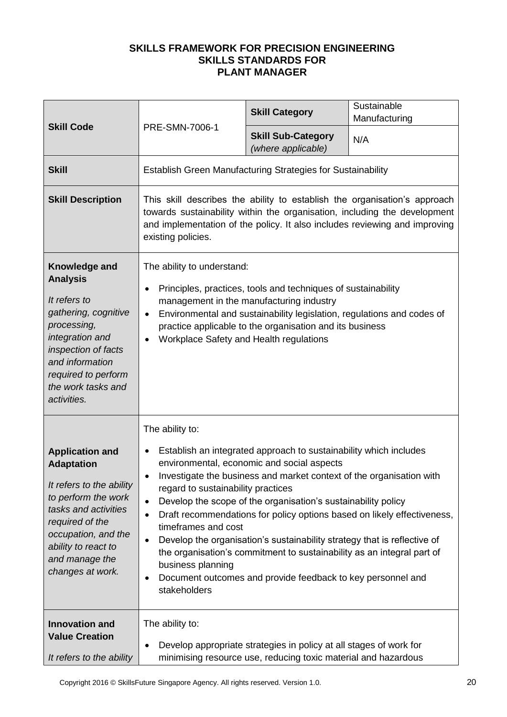| <b>Skill Code</b>                                                                                                                                                                                                             |                                                                                                                                                                                                                                                                                                                                                                 | <b>Skill Category</b>                                                                                                                                                                                                                                                                                                                                                                                                                                                         | Sustainable<br>Manufacturing                                            |
|-------------------------------------------------------------------------------------------------------------------------------------------------------------------------------------------------------------------------------|-----------------------------------------------------------------------------------------------------------------------------------------------------------------------------------------------------------------------------------------------------------------------------------------------------------------------------------------------------------------|-------------------------------------------------------------------------------------------------------------------------------------------------------------------------------------------------------------------------------------------------------------------------------------------------------------------------------------------------------------------------------------------------------------------------------------------------------------------------------|-------------------------------------------------------------------------|
|                                                                                                                                                                                                                               | PRE-SMN-7006-1                                                                                                                                                                                                                                                                                                                                                  | <b>Skill Sub-Category</b><br>(where applicable)                                                                                                                                                                                                                                                                                                                                                                                                                               | N/A                                                                     |
| <b>Skill</b>                                                                                                                                                                                                                  | Establish Green Manufacturing Strategies for Sustainability                                                                                                                                                                                                                                                                                                     |                                                                                                                                                                                                                                                                                                                                                                                                                                                                               |                                                                         |
| <b>Skill Description</b>                                                                                                                                                                                                      | This skill describes the ability to establish the organisation's approach<br>towards sustainability within the organisation, including the development<br>and implementation of the policy. It also includes reviewing and improving<br>existing policies.                                                                                                      |                                                                                                                                                                                                                                                                                                                                                                                                                                                                               |                                                                         |
| Knowledge and<br><b>Analysis</b><br>It refers to<br>gathering, cognitive<br>processing,<br>integration and<br>inspection of facts<br>and information<br>required to perform<br>the work tasks and<br>activities.              | The ability to understand:<br>Principles, practices, tools and techniques of sustainability<br>$\bullet$<br>management in the manufacturing industry<br>Environmental and sustainability legislation, regulations and codes of<br>$\bullet$<br>practice applicable to the organisation and its business<br>Workplace Safety and Health regulations<br>$\bullet$ |                                                                                                                                                                                                                                                                                                                                                                                                                                                                               |                                                                         |
| <b>Application and</b><br><b>Adaptation</b><br>It refers to the ability<br>to perform the work<br>tasks and activities<br>required of the<br>occupation, and the<br>ability to react to<br>and manage the<br>changes at work. | The ability to:<br>$\bullet$<br>$\bullet$<br>regard to sustainability practices<br>$\bullet$<br>$\bullet$<br>timeframes and cost<br>$\bullet$<br>business planning<br>٠<br>stakeholders                                                                                                                                                                         | Establish an integrated approach to sustainability which includes<br>environmental, economic and social aspects<br>Investigate the business and market context of the organisation with<br>Develop the scope of the organisation's sustainability policy<br>Develop the organisation's sustainability strategy that is reflective of<br>the organisation's commitment to sustainability as an integral part of<br>Document outcomes and provide feedback to key personnel and | Draft recommendations for policy options based on likely effectiveness, |
| <b>Innovation and</b><br><b>Value Creation</b><br>It refers to the ability                                                                                                                                                    | The ability to:<br>$\bullet$                                                                                                                                                                                                                                                                                                                                    | Develop appropriate strategies in policy at all stages of work for<br>minimising resource use, reducing toxic material and hazardous                                                                                                                                                                                                                                                                                                                                          |                                                                         |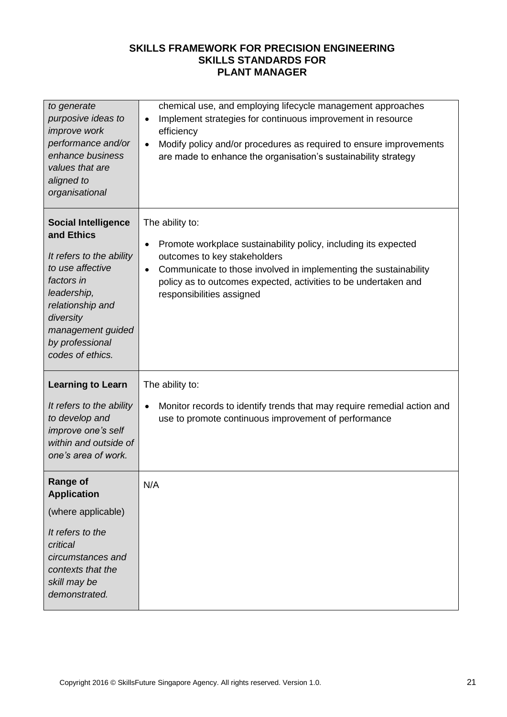| to generate<br>purposive ideas to<br>improve work<br>performance and/or<br>enhance business<br>values that are<br>aligned to<br>organisational                                                                     | chemical use, and employing lifecycle management approaches<br>Implement strategies for continuous improvement in resource<br>$\bullet$<br>efficiency<br>Modify policy and/or procedures as required to ensure improvements<br>$\bullet$<br>are made to enhance the organisation's sustainability strategy |
|--------------------------------------------------------------------------------------------------------------------------------------------------------------------------------------------------------------------|------------------------------------------------------------------------------------------------------------------------------------------------------------------------------------------------------------------------------------------------------------------------------------------------------------|
| <b>Social Intelligence</b><br>and Ethics<br>It refers to the ability<br>to use affective<br>factors in<br>leadership,<br>relationship and<br>diversity<br>management guided<br>by professional<br>codes of ethics. | The ability to:<br>Promote workplace sustainability policy, including its expected<br>٠<br>outcomes to key stakeholders<br>Communicate to those involved in implementing the sustainability<br>$\bullet$<br>policy as to outcomes expected, activities to be undertaken and<br>responsibilities assigned   |
| <b>Learning to Learn</b><br>It refers to the ability<br>to develop and<br>improve one's self<br>within and outside of<br>one's area of work.                                                                       | The ability to:<br>Monitor records to identify trends that may require remedial action and<br>$\bullet$<br>use to promote continuous improvement of performance                                                                                                                                            |
| <b>Range of</b><br><b>Application</b><br>(where applicable)<br>It refers to the<br>critical<br>circumstances and<br>contexts that the<br>skill may be<br>demonstrated.                                             | N/A                                                                                                                                                                                                                                                                                                        |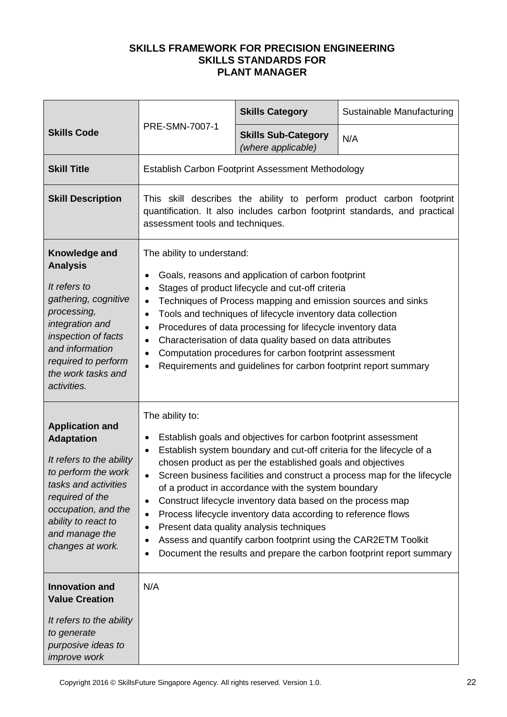|                                                                                                                                                                                                                               |                                                                                                                                                                                                                                                                                                                                                                                                                                                                                                                                                                                                                                                                                                                                                                           | <b>Skills Category</b>                                                                                                                                                                                                                                                                                                                                                                                                                                                                        | Sustainable Manufacturing |
|-------------------------------------------------------------------------------------------------------------------------------------------------------------------------------------------------------------------------------|---------------------------------------------------------------------------------------------------------------------------------------------------------------------------------------------------------------------------------------------------------------------------------------------------------------------------------------------------------------------------------------------------------------------------------------------------------------------------------------------------------------------------------------------------------------------------------------------------------------------------------------------------------------------------------------------------------------------------------------------------------------------------|-----------------------------------------------------------------------------------------------------------------------------------------------------------------------------------------------------------------------------------------------------------------------------------------------------------------------------------------------------------------------------------------------------------------------------------------------------------------------------------------------|---------------------------|
| <b>Skills Code</b>                                                                                                                                                                                                            | PRE-SMN-7007-1                                                                                                                                                                                                                                                                                                                                                                                                                                                                                                                                                                                                                                                                                                                                                            | <b>Skills Sub-Category</b><br>(where applicable)                                                                                                                                                                                                                                                                                                                                                                                                                                              | N/A                       |
| <b>Skill Title</b>                                                                                                                                                                                                            |                                                                                                                                                                                                                                                                                                                                                                                                                                                                                                                                                                                                                                                                                                                                                                           | Establish Carbon Footprint Assessment Methodology                                                                                                                                                                                                                                                                                                                                                                                                                                             |                           |
| <b>Skill Description</b>                                                                                                                                                                                                      | This skill describes the ability to perform product carbon footprint<br>quantification. It also includes carbon footprint standards, and practical<br>assessment tools and techniques.                                                                                                                                                                                                                                                                                                                                                                                                                                                                                                                                                                                    |                                                                                                                                                                                                                                                                                                                                                                                                                                                                                               |                           |
| Knowledge and<br><b>Analysis</b><br>It refers to<br>gathering, cognitive<br>processing,<br>integration and<br>inspection of facts<br>and information<br>required to perform<br>the work tasks and<br>activities.              | The ability to understand:<br>$\bullet$<br>$\bullet$<br>$\bullet$<br>$\bullet$<br>$\bullet$<br>$\bullet$<br>$\bullet$<br>$\bullet$                                                                                                                                                                                                                                                                                                                                                                                                                                                                                                                                                                                                                                        | Goals, reasons and application of carbon footprint<br>Stages of product lifecycle and cut-off criteria<br>Techniques of Process mapping and emission sources and sinks<br>Tools and techniques of lifecycle inventory data collection<br>Procedures of data processing for lifecycle inventory data<br>Characterisation of data quality based on data attributes<br>Computation procedures for carbon footprint assessment<br>Requirements and guidelines for carbon footprint report summary |                           |
| <b>Application and</b><br><b>Adaptation</b><br>It refers to the ability<br>to perform the work<br>tasks and activities<br>required of the<br>occupation, and the<br>ability to react to<br>and manage the<br>changes at work. | The ability to:<br>Establish goals and objectives for carbon footprint assessment<br>$\bullet$<br>Establish system boundary and cut-off criteria for the lifecycle of a<br>$\bullet$<br>chosen product as per the established goals and objectives<br>Screen business facilities and construct a process map for the lifecycle<br>$\bullet$<br>of a product in accordance with the system boundary<br>Construct lifecycle inventory data based on the process map<br>$\bullet$<br>Process lifecycle inventory data according to reference flows<br>$\bullet$<br>Present data quality analysis techniques<br>$\bullet$<br>Assess and quantify carbon footprint using the CAR2ETM Toolkit<br>٠<br>Document the results and prepare the carbon footprint report summary<br>٠ |                                                                                                                                                                                                                                                                                                                                                                                                                                                                                               |                           |
| <b>Innovation and</b><br><b>Value Creation</b><br>It refers to the ability<br>to generate<br>purposive ideas to<br><i>improve</i> work                                                                                        | N/A                                                                                                                                                                                                                                                                                                                                                                                                                                                                                                                                                                                                                                                                                                                                                                       |                                                                                                                                                                                                                                                                                                                                                                                                                                                                                               |                           |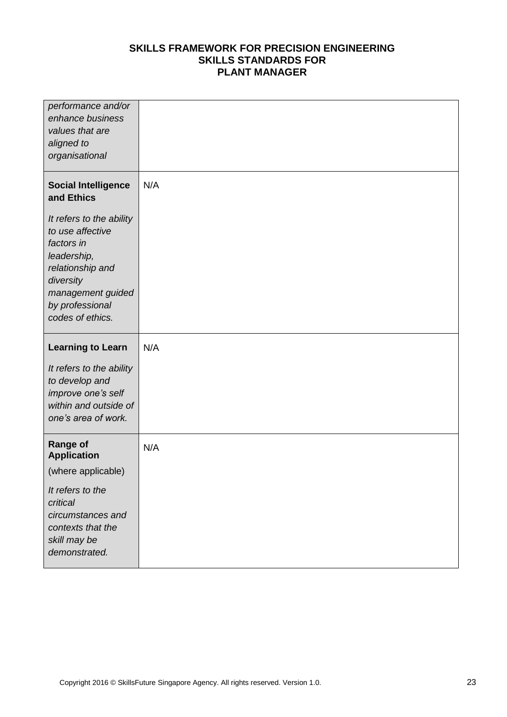| performance and/or<br>enhance business<br>values that are<br>aligned to<br>organisational                                                                              |     |
|------------------------------------------------------------------------------------------------------------------------------------------------------------------------|-----|
| <b>Social Intelligence</b><br>and Ethics                                                                                                                               | N/A |
| It refers to the ability<br>to use affective<br>factors in<br>leadership,<br>relationship and<br>diversity<br>management guided<br>by professional<br>codes of ethics. |     |
|                                                                                                                                                                        |     |
| <b>Learning to Learn</b>                                                                                                                                               | N/A |
| It refers to the ability<br>to develop and<br>improve one's self<br>within and outside of<br>one's area of work.                                                       |     |
| <b>Range of</b><br><b>Application</b>                                                                                                                                  | N/A |
| (where applicable)                                                                                                                                                     |     |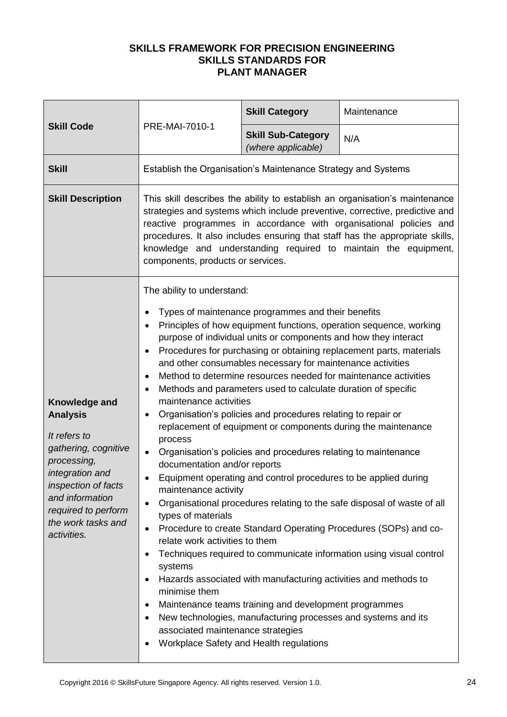| <b>Skill Code</b>                                                                                                                                                                                                | <b>PRE-MAI-7010-1</b>                                                                                                                                                                                                                                                                                                                                                                                                    | <b>Skill Category</b>                                                                                                                                                                                                                                                                                                                                                                                                                                                                                                                                                                                                                                                                                                                                                                                                                 | Maintenance                                                                                                                                                                                                                                                                                                                                                     |
|------------------------------------------------------------------------------------------------------------------------------------------------------------------------------------------------------------------|--------------------------------------------------------------------------------------------------------------------------------------------------------------------------------------------------------------------------------------------------------------------------------------------------------------------------------------------------------------------------------------------------------------------------|---------------------------------------------------------------------------------------------------------------------------------------------------------------------------------------------------------------------------------------------------------------------------------------------------------------------------------------------------------------------------------------------------------------------------------------------------------------------------------------------------------------------------------------------------------------------------------------------------------------------------------------------------------------------------------------------------------------------------------------------------------------------------------------------------------------------------------------|-----------------------------------------------------------------------------------------------------------------------------------------------------------------------------------------------------------------------------------------------------------------------------------------------------------------------------------------------------------------|
|                                                                                                                                                                                                                  |                                                                                                                                                                                                                                                                                                                                                                                                                          | <b>Skill Sub-Category</b><br>(where applicable)                                                                                                                                                                                                                                                                                                                                                                                                                                                                                                                                                                                                                                                                                                                                                                                       | N/A                                                                                                                                                                                                                                                                                                                                                             |
| <b>Skill</b>                                                                                                                                                                                                     | Establish the Organisation's Maintenance Strategy and Systems                                                                                                                                                                                                                                                                                                                                                            |                                                                                                                                                                                                                                                                                                                                                                                                                                                                                                                                                                                                                                                                                                                                                                                                                                       |                                                                                                                                                                                                                                                                                                                                                                 |
| <b>Skill Description</b>                                                                                                                                                                                         | This skill describes the ability to establish an organisation's maintenance<br>strategies and systems which include preventive, corrective, predictive and<br>reactive programmes in accordance with organisational policies and<br>procedures. It also includes ensuring that staff has the appropriate skills,<br>knowledge and understanding required to maintain the equipment,<br>components, products or services. |                                                                                                                                                                                                                                                                                                                                                                                                                                                                                                                                                                                                                                                                                                                                                                                                                                       |                                                                                                                                                                                                                                                                                                                                                                 |
| Knowledge and<br><b>Analysis</b><br>It refers to<br>gathering, cognitive<br>processing,<br>integration and<br>inspection of facts<br>and information<br>required to perform<br>the work tasks and<br>activities. | The ability to understand:<br>٠<br>$\bullet$<br>$\bullet$<br>$\bullet$<br>$\bullet$<br>maintenance activities<br>$\bullet$<br>process<br>$\bullet$<br>documentation and/or reports<br>maintenance activity<br>٠<br>types of materials<br>٠<br>relate work activities to them<br>$\bullet$<br>systems<br>$\bullet$<br>minimise them<br>$\bullet$<br>$\bullet$<br>associated maintenance strategies<br>$\bullet$           | Types of maintenance programmes and their benefits<br>purpose of individual units or components and how they interact<br>and other consumables necessary for maintenance activities<br>Method to determine resources needed for maintenance activities<br>Methods and parameters used to calculate duration of specific<br>Organisation's policies and procedures relating to repair or<br>replacement of equipment or components during the maintenance<br>Organisation's policies and procedures relating to maintenance<br>Equipment operating and control procedures to be applied during<br>Hazards associated with manufacturing activities and methods to<br>Maintenance teams training and development programmes<br>New technologies, manufacturing processes and systems and its<br>Workplace Safety and Health regulations | Principles of how equipment functions, operation sequence, working<br>Procedures for purchasing or obtaining replacement parts, materials<br>Organisational procedures relating to the safe disposal of waste of all<br>Procedure to create Standard Operating Procedures (SOPs) and co-<br>Techniques required to communicate information using visual control |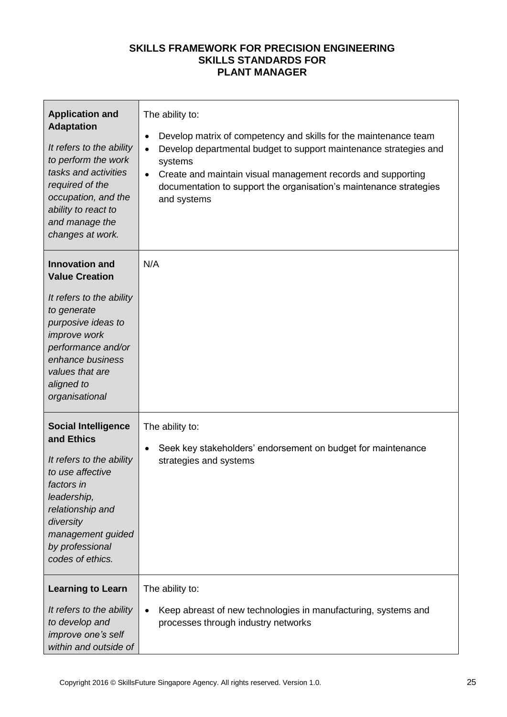| <b>Application and</b><br><b>Adaptation</b><br>It refers to the ability<br>to perform the work<br>tasks and activities<br>required of the<br>occupation, and the<br>ability to react to<br>and manage the<br>changes at work. | The ability to:<br>Develop matrix of competency and skills for the maintenance team<br>$\bullet$<br>Develop departmental budget to support maintenance strategies and<br>$\bullet$<br>systems<br>Create and maintain visual management records and supporting<br>$\bullet$<br>documentation to support the organisation's maintenance strategies<br>and systems |
|-------------------------------------------------------------------------------------------------------------------------------------------------------------------------------------------------------------------------------|-----------------------------------------------------------------------------------------------------------------------------------------------------------------------------------------------------------------------------------------------------------------------------------------------------------------------------------------------------------------|
| <b>Innovation and</b><br><b>Value Creation</b>                                                                                                                                                                                | N/A                                                                                                                                                                                                                                                                                                                                                             |
| It refers to the ability<br>to generate<br>purposive ideas to<br><i>improve</i> work<br>performance and/or<br>enhance business<br>values that are<br>aligned to<br>organisational                                             |                                                                                                                                                                                                                                                                                                                                                                 |
| <b>Social Intelligence</b><br>and Ethics<br>It refers to the ability<br>to use affective<br>factors in<br>leadership,<br>relationship and<br>diversity<br>management guided<br>by professional<br>codes of ethics.            | The ability to:<br>Seek key stakeholders' endorsement on budget for maintenance<br>$\bullet$<br>strategies and systems                                                                                                                                                                                                                                          |
| <b>Learning to Learn</b>                                                                                                                                                                                                      | The ability to:                                                                                                                                                                                                                                                                                                                                                 |
| It refers to the ability<br>to develop and<br>improve one's self<br>within and outside of                                                                                                                                     | Keep abreast of new technologies in manufacturing, systems and<br>$\bullet$<br>processes through industry networks                                                                                                                                                                                                                                              |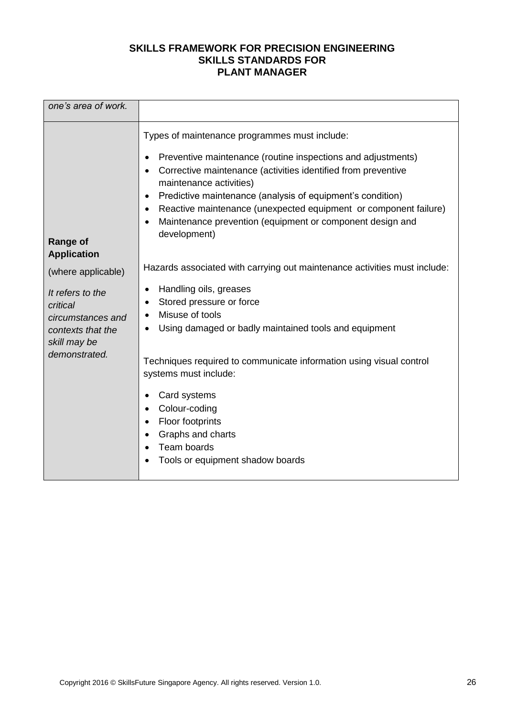| one's area of work.                                                                    |                                                                                                                                                                                                                                                                                                                                                                                                                                                                                           |
|----------------------------------------------------------------------------------------|-------------------------------------------------------------------------------------------------------------------------------------------------------------------------------------------------------------------------------------------------------------------------------------------------------------------------------------------------------------------------------------------------------------------------------------------------------------------------------------------|
| <b>Range of</b><br><b>Application</b>                                                  | Types of maintenance programmes must include:<br>Preventive maintenance (routine inspections and adjustments)<br>$\bullet$<br>Corrective maintenance (activities identified from preventive<br>$\bullet$<br>maintenance activities)<br>Predictive maintenance (analysis of equipment's condition)<br>$\bullet$<br>Reactive maintenance (unexpected equipment or component failure)<br>$\bullet$<br>Maintenance prevention (equipment or component design and<br>$\bullet$<br>development) |
| (where applicable)                                                                     | Hazards associated with carrying out maintenance activities must include:                                                                                                                                                                                                                                                                                                                                                                                                                 |
| It refers to the<br>critical<br>circumstances and<br>contexts that the<br>skill may be | Handling oils, greases<br>$\bullet$<br>Stored pressure or force<br>٠<br>Misuse of tools<br>٠<br>Using damaged or badly maintained tools and equipment<br>٠                                                                                                                                                                                                                                                                                                                                |
| demonstrated.                                                                          | Techniques required to communicate information using visual control<br>systems must include:                                                                                                                                                                                                                                                                                                                                                                                              |
|                                                                                        | Card systems<br>٠<br>Colour-coding<br>$\bullet$<br>Floor footprints<br>$\bullet$<br>Graphs and charts<br>$\bullet$<br>Team boards<br>$\bullet$<br>Tools or equipment shadow boards                                                                                                                                                                                                                                                                                                        |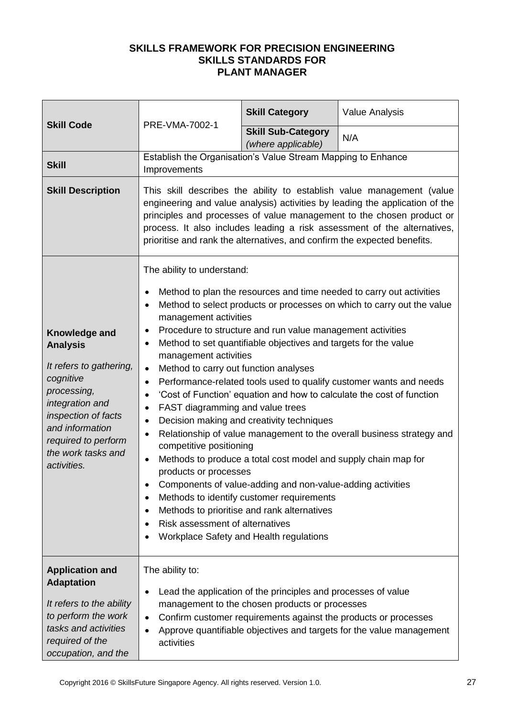| <b>Skill Code</b>                                                                                                                                                                                                | PRE-VMA-7002-1                                                                                                                                                                                                                                                                                                                                                                                                                                                                                                                                                                                                                                                                                                                                                                                                                                                                                                                                                                                                                                                                                                                                                                                                      | <b>Skill Category</b>                                                                                           | <b>Value Analysis</b>                                                                                                                   |  |
|------------------------------------------------------------------------------------------------------------------------------------------------------------------------------------------------------------------|---------------------------------------------------------------------------------------------------------------------------------------------------------------------------------------------------------------------------------------------------------------------------------------------------------------------------------------------------------------------------------------------------------------------------------------------------------------------------------------------------------------------------------------------------------------------------------------------------------------------------------------------------------------------------------------------------------------------------------------------------------------------------------------------------------------------------------------------------------------------------------------------------------------------------------------------------------------------------------------------------------------------------------------------------------------------------------------------------------------------------------------------------------------------------------------------------------------------|-----------------------------------------------------------------------------------------------------------------|-----------------------------------------------------------------------------------------------------------------------------------------|--|
|                                                                                                                                                                                                                  |                                                                                                                                                                                                                                                                                                                                                                                                                                                                                                                                                                                                                                                                                                                                                                                                                                                                                                                                                                                                                                                                                                                                                                                                                     | <b>Skill Sub-Category</b><br>(where applicable)                                                                 | N/A                                                                                                                                     |  |
| <b>Skill</b>                                                                                                                                                                                                     | Establish the Organisation's Value Stream Mapping to Enhance<br>Improvements                                                                                                                                                                                                                                                                                                                                                                                                                                                                                                                                                                                                                                                                                                                                                                                                                                                                                                                                                                                                                                                                                                                                        |                                                                                                                 |                                                                                                                                         |  |
| <b>Skill Description</b>                                                                                                                                                                                         | This skill describes the ability to establish value management (value<br>engineering and value analysis) activities by leading the application of the<br>principles and processes of value management to the chosen product or<br>process. It also includes leading a risk assessment of the alternatives,<br>prioritise and rank the alternatives, and confirm the expected benefits.                                                                                                                                                                                                                                                                                                                                                                                                                                                                                                                                                                                                                                                                                                                                                                                                                              |                                                                                                                 |                                                                                                                                         |  |
| Knowledge and<br><b>Analysis</b><br>It refers to gathering,<br>cognitive<br>processing,<br>integration and<br>inspection of facts<br>and information<br>required to perform<br>the work tasks and<br>activities. | The ability to understand:<br>Method to plan the resources and time needed to carry out activities<br>$\bullet$<br>Method to select products or processes on which to carry out the value<br>$\bullet$<br>management activities<br>Procedure to structure and run value management activities<br>$\bullet$<br>Method to set quantifiable objectives and targets for the value<br>$\bullet$<br>management activities<br>Method to carry out function analyses<br>$\bullet$<br>Performance-related tools used to qualify customer wants and needs<br>$\bullet$<br>'Cost of Function' equation and how to calculate the cost of function<br>٠<br>FAST diagramming and value trees<br>٠<br>Decision making and creativity techniques<br>٠<br>Relationship of value management to the overall business strategy and<br>$\bullet$<br>competitive positioning<br>Methods to produce a total cost model and supply chain map for<br>$\bullet$<br>products or processes<br>Components of value-adding and non-value-adding activities<br>Methods to identify customer requirements<br>Methods to prioritise and rank alternatives<br>$\bullet$<br>Risk assessment of alternatives<br>Workplace Safety and Health regulations |                                                                                                                 |                                                                                                                                         |  |
| <b>Application and</b><br><b>Adaptation</b><br>It refers to the ability<br>to perform the work<br>tasks and activities<br>required of the<br>occupation, and the                                                 | The ability to:<br>$\bullet$<br>$\bullet$<br>$\bullet$<br>activities                                                                                                                                                                                                                                                                                                                                                                                                                                                                                                                                                                                                                                                                                                                                                                                                                                                                                                                                                                                                                                                                                                                                                | Lead the application of the principles and processes of value<br>management to the chosen products or processes | Confirm customer requirements against the products or processes<br>Approve quantifiable objectives and targets for the value management |  |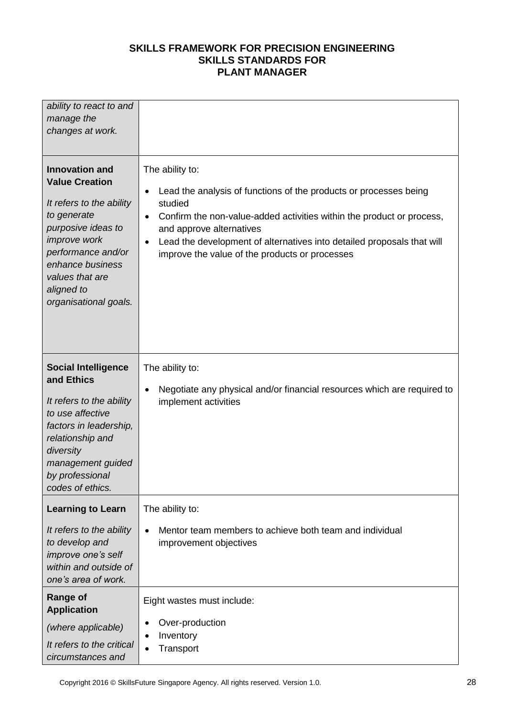| ability to react to and<br>manage the<br>changes at work.                                                                                                                                                                           |                                                                                                                                                                                                                                                                                                                                                                         |
|-------------------------------------------------------------------------------------------------------------------------------------------------------------------------------------------------------------------------------------|-------------------------------------------------------------------------------------------------------------------------------------------------------------------------------------------------------------------------------------------------------------------------------------------------------------------------------------------------------------------------|
| <b>Innovation and</b><br><b>Value Creation</b><br>It refers to the ability<br>to generate<br>purposive ideas to<br>improve work<br>performance and/or<br>enhance business<br>values that are<br>aligned to<br>organisational goals. | The ability to:<br>Lead the analysis of functions of the products or processes being<br>$\bullet$<br>studied<br>Confirm the non-value-added activities within the product or process,<br>$\bullet$<br>and approve alternatives<br>Lead the development of alternatives into detailed proposals that will<br>$\bullet$<br>improve the value of the products or processes |
| <b>Social Intelligence</b><br>and Ethics<br>It refers to the ability<br>to use affective<br>factors in leadership,<br>relationship and<br>diversity<br>management guided<br>by professional<br>codes of ethics.                     | The ability to:<br>Negotiate any physical and/or financial resources which are required to<br>$\bullet$<br>implement activities                                                                                                                                                                                                                                         |
| <b>Learning to Learn</b><br>It refers to the ability<br>to develop and<br>improve one's self<br>within and outside of<br>one's area of work.                                                                                        | The ability to:<br>Mentor team members to achieve both team and individual<br>$\bullet$<br>improvement objectives                                                                                                                                                                                                                                                       |
| <b>Range of</b><br><b>Application</b><br>(where applicable)<br>It refers to the critical<br>circumstances and                                                                                                                       | Eight wastes must include:<br>Over-production<br>$\bullet$<br>Inventory<br>$\bullet$<br>Transport<br>$\bullet$                                                                                                                                                                                                                                                          |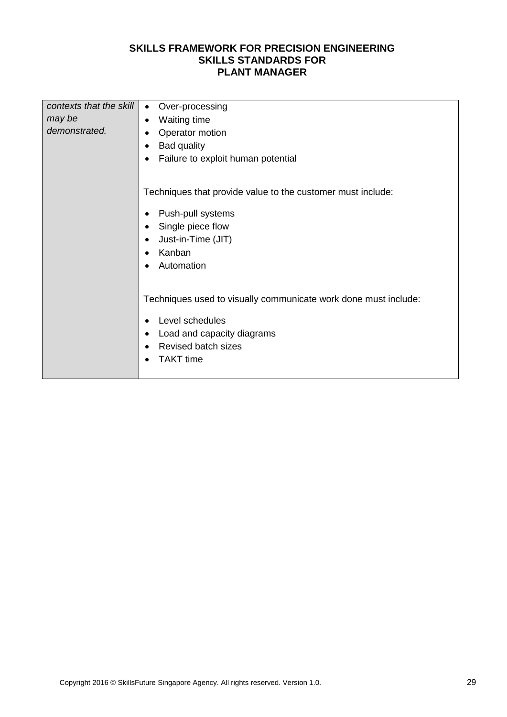| contexts that the skill | Over-processing<br>$\bullet$                                                                                       |  |  |  |
|-------------------------|--------------------------------------------------------------------------------------------------------------------|--|--|--|
| may be                  | <b>Waiting time</b><br>$\bullet$                                                                                   |  |  |  |
| demonstrated.           | Operator motion<br>$\bullet$<br><b>Bad quality</b><br>$\bullet$<br>Failure to exploit human potential<br>$\bullet$ |  |  |  |
|                         |                                                                                                                    |  |  |  |
|                         |                                                                                                                    |  |  |  |
|                         |                                                                                                                    |  |  |  |
|                         | Techniques that provide value to the customer must include:                                                        |  |  |  |
|                         | Push-pull systems<br>$\bullet$                                                                                     |  |  |  |
|                         | Single piece flow<br>$\bullet$                                                                                     |  |  |  |
|                         | Just-in-Time (JIT)<br>$\bullet$<br>Kanban<br>$\bullet$                                                             |  |  |  |
|                         |                                                                                                                    |  |  |  |
|                         | Automation<br>$\bullet$                                                                                            |  |  |  |
|                         |                                                                                                                    |  |  |  |
|                         |                                                                                                                    |  |  |  |
|                         | Techniques used to visually communicate work done must include:                                                    |  |  |  |
|                         | Level schedules<br>$\bullet$                                                                                       |  |  |  |
|                         | Load and capacity diagrams<br>$\bullet$                                                                            |  |  |  |
|                         | <b>Revised batch sizes</b><br>$\bullet$                                                                            |  |  |  |
|                         | <b>TAKT</b> time<br>$\bullet$                                                                                      |  |  |  |
|                         |                                                                                                                    |  |  |  |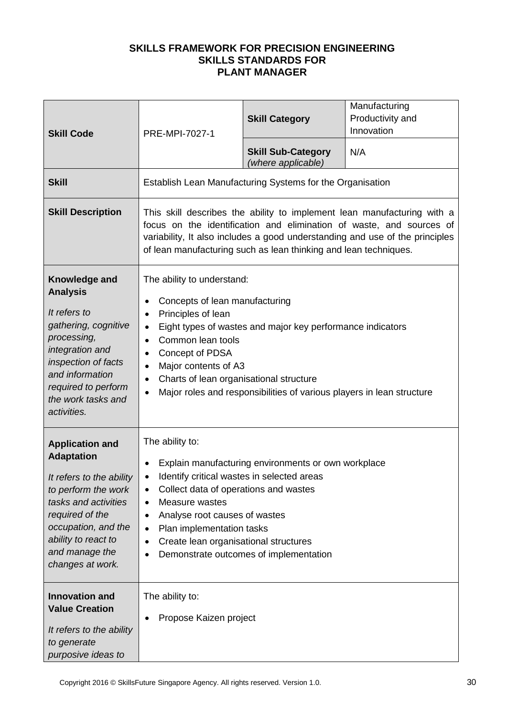| <b>Skill Code</b>                                                                                                                                                                                                             | PRE-MPI-7027-1                                                                                                                                                                                                                                                                                                                                                                                                               | <b>Skill Category</b>                                     | Manufacturing<br>Productivity and<br>Innovation |
|-------------------------------------------------------------------------------------------------------------------------------------------------------------------------------------------------------------------------------|------------------------------------------------------------------------------------------------------------------------------------------------------------------------------------------------------------------------------------------------------------------------------------------------------------------------------------------------------------------------------------------------------------------------------|-----------------------------------------------------------|-------------------------------------------------|
|                                                                                                                                                                                                                               |                                                                                                                                                                                                                                                                                                                                                                                                                              | <b>Skill Sub-Category</b><br>(where applicable)           | N/A                                             |
| <b>Skill</b>                                                                                                                                                                                                                  |                                                                                                                                                                                                                                                                                                                                                                                                                              | Establish Lean Manufacturing Systems for the Organisation |                                                 |
| <b>Skill Description</b>                                                                                                                                                                                                      | This skill describes the ability to implement lean manufacturing with a<br>focus on the identification and elimination of waste, and sources of<br>variability, It also includes a good understanding and use of the principles<br>of lean manufacturing such as lean thinking and lean techniques.                                                                                                                          |                                                           |                                                 |
| Knowledge and<br><b>Analysis</b><br>It refers to<br>gathering, cognitive<br>processing,<br>integration and<br>inspection of facts<br>and information<br>required to perform<br>the work tasks and<br>activities.              | The ability to understand:<br>Concepts of lean manufacturing<br>٠<br>Principles of lean<br>$\bullet$<br>Eight types of wastes and major key performance indicators<br>٠<br>Common lean tools<br>$\bullet$<br>Concept of PDSA<br>$\bullet$<br>Major contents of A3<br>$\bullet$<br>Charts of lean organisational structure<br>$\bullet$<br>Major roles and responsibilities of various players in lean structure<br>$\bullet$ |                                                           |                                                 |
| <b>Application and</b><br><b>Adaptation</b><br>It refers to the ability<br>to perform the work<br>tasks and activities<br>required of the<br>occupation, and the<br>ability to react to<br>and manage the<br>changes at work. | The ability to:<br>Explain manufacturing environments or own workplace<br>$\bullet$<br>Identify critical wastes in selected areas<br>$\bullet$<br>Collect data of operations and wastes<br>٠<br>Measure wastes<br>$\bullet$<br>Analyse root causes of wastes<br>$\bullet$<br>Plan implementation tasks<br>$\bullet$<br>Create lean organisational structures<br>٠<br>Demonstrate outcomes of implementation<br>$\bullet$     |                                                           |                                                 |
| <b>Innovation and</b><br><b>Value Creation</b><br>It refers to the ability<br>to generate<br>purposive ideas to                                                                                                               | The ability to:<br>Propose Kaizen project                                                                                                                                                                                                                                                                                                                                                                                    |                                                           |                                                 |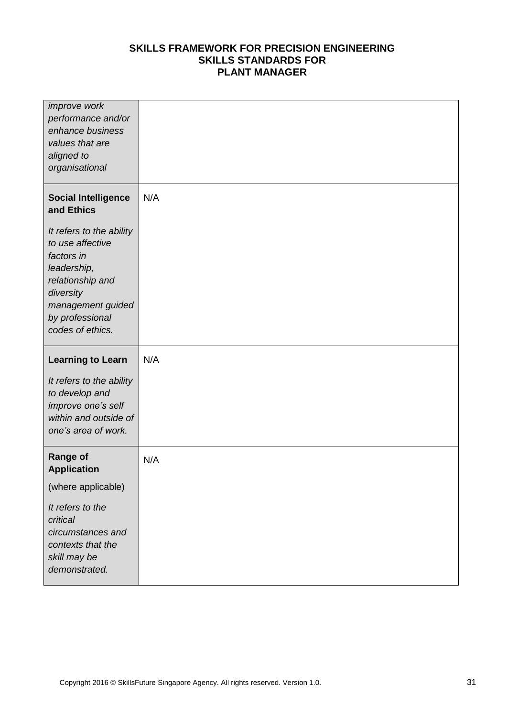| <i>improve</i> work<br>performance and/or<br>enhance business<br>values that are<br>aligned to<br>organisational                                                       |     |
|------------------------------------------------------------------------------------------------------------------------------------------------------------------------|-----|
| <b>Social Intelligence</b><br>and Ethics                                                                                                                               | N/A |
| It refers to the ability<br>to use affective<br>factors in<br>leadership,<br>relationship and<br>diversity<br>management guided<br>by professional<br>codes of ethics. |     |
| <b>Learning to Learn</b>                                                                                                                                               | N/A |
|                                                                                                                                                                        |     |
| It refers to the ability<br>to develop and<br>improve one's self<br>within and outside of<br>one's area of work.                                                       |     |
| <b>Range of</b><br><b>Application</b>                                                                                                                                  | N/A |
| (where applicable)                                                                                                                                                     |     |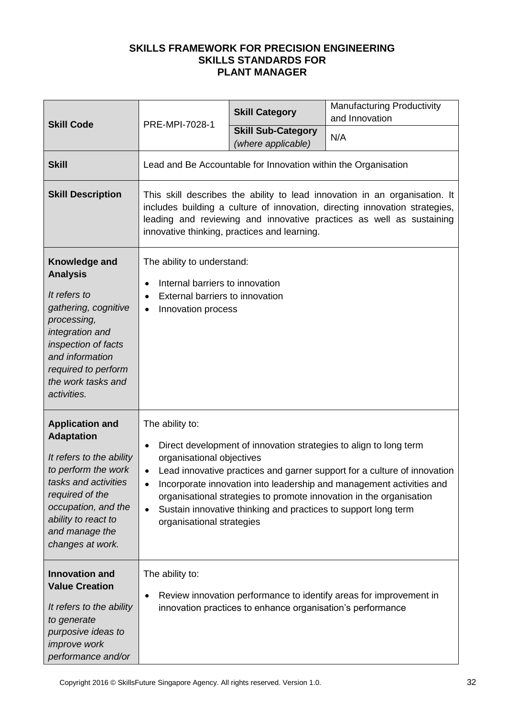|                                                                                                                                                                                                                               | PRE-MPI-7028-1                                                                                                                                                                                                                                                                                                                                                                                                                                                                          | <b>Skill Category</b>                                      | <b>Manufacturing Productivity</b><br>and Innovation                |  |
|-------------------------------------------------------------------------------------------------------------------------------------------------------------------------------------------------------------------------------|-----------------------------------------------------------------------------------------------------------------------------------------------------------------------------------------------------------------------------------------------------------------------------------------------------------------------------------------------------------------------------------------------------------------------------------------------------------------------------------------|------------------------------------------------------------|--------------------------------------------------------------------|--|
| <b>Skill Code</b>                                                                                                                                                                                                             |                                                                                                                                                                                                                                                                                                                                                                                                                                                                                         | <b>Skill Sub-Category</b><br>(where applicable)            | N/A                                                                |  |
| <b>Skill</b>                                                                                                                                                                                                                  | Lead and Be Accountable for Innovation within the Organisation                                                                                                                                                                                                                                                                                                                                                                                                                          |                                                            |                                                                    |  |
| <b>Skill Description</b>                                                                                                                                                                                                      | This skill describes the ability to lead innovation in an organisation. It<br>includes building a culture of innovation, directing innovation strategies,<br>leading and reviewing and innovative practices as well as sustaining<br>innovative thinking, practices and learning.                                                                                                                                                                                                       |                                                            |                                                                    |  |
| Knowledge and<br><b>Analysis</b><br>It refers to<br>gathering, cognitive<br>processing,<br>integration and<br>inspection of facts<br>and information<br>required to perform<br>the work tasks and<br>activities.              | The ability to understand:<br>Internal barriers to innovation<br>$\bullet$<br>External barriers to innovation<br>$\bullet$<br>Innovation process<br>$\bullet$                                                                                                                                                                                                                                                                                                                           |                                                            |                                                                    |  |
| <b>Application and</b><br><b>Adaptation</b><br>It refers to the ability<br>to perform the work<br>tasks and activities<br>required of the<br>occupation, and the<br>ability to react to<br>and manage the<br>changes at work. | The ability to:<br>Direct development of innovation strategies to align to long term<br>$\bullet$<br>organisational objectives<br>Lead innovative practices and garner support for a culture of innovation<br>$\bullet$<br>Incorporate innovation into leadership and management activities and<br>٠<br>organisational strategies to promote innovation in the organisation<br>Sustain innovative thinking and practices to support long term<br>$\bullet$<br>organisational strategies |                                                            |                                                                    |  |
| <b>Innovation and</b><br><b>Value Creation</b><br>It refers to the ability<br>to generate<br>purposive ideas to<br><i>improve</i> work<br>performance and/or                                                                  | The ability to:<br>٠                                                                                                                                                                                                                                                                                                                                                                                                                                                                    | innovation practices to enhance organisation's performance | Review innovation performance to identify areas for improvement in |  |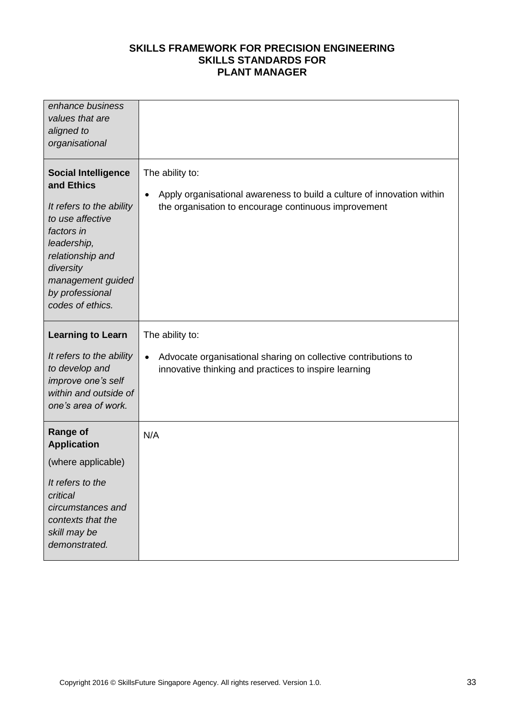| enhance business<br>values that are<br>aligned to<br>organisational                                                                                                                                                |                                                                                                                                                                |
|--------------------------------------------------------------------------------------------------------------------------------------------------------------------------------------------------------------------|----------------------------------------------------------------------------------------------------------------------------------------------------------------|
| <b>Social Intelligence</b><br>and Ethics<br>It refers to the ability<br>to use affective<br>factors in<br>leadership,<br>relationship and<br>diversity<br>management guided<br>by professional<br>codes of ethics. | The ability to:<br>Apply organisational awareness to build a culture of innovation within<br>$\bullet$<br>the organisation to encourage continuous improvement |
| <b>Learning to Learn</b>                                                                                                                                                                                           | The ability to:                                                                                                                                                |
| It refers to the ability<br>to develop and<br>improve one's self<br>within and outside of<br>one's area of work.                                                                                                   | Advocate organisational sharing on collective contributions to<br>$\bullet$<br>innovative thinking and practices to inspire learning                           |
| <b>Range of</b><br><b>Application</b>                                                                                                                                                                              | N/A                                                                                                                                                            |
| (where applicable)                                                                                                                                                                                                 |                                                                                                                                                                |
| It refers to the<br>critical<br>circumstances and<br>contexts that the<br>skill may be<br>demonstrated.                                                                                                            |                                                                                                                                                                |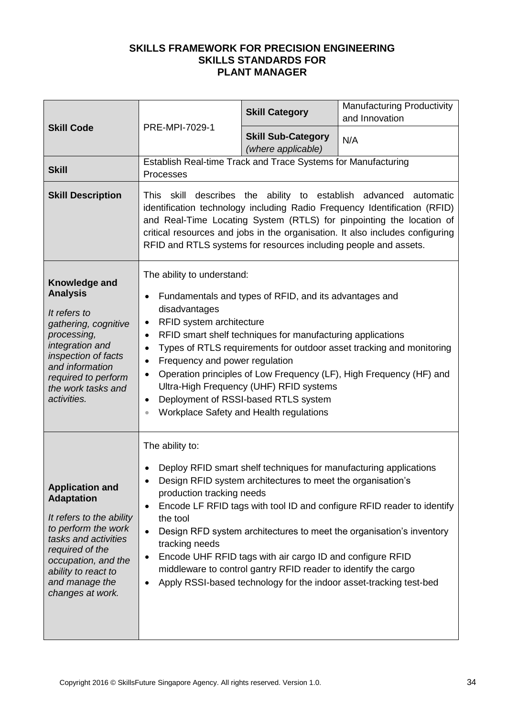| <b>Skill Code</b>                                                                                                                                                                                                             | PRE-MPI-7029-1                                                                                                                                                                                                                                                                                                                                                                                                                                                                                                                                                                                                 | <b>Skill Category</b>                           | <b>Manufacturing Productivity</b><br>and Innovation |
|-------------------------------------------------------------------------------------------------------------------------------------------------------------------------------------------------------------------------------|----------------------------------------------------------------------------------------------------------------------------------------------------------------------------------------------------------------------------------------------------------------------------------------------------------------------------------------------------------------------------------------------------------------------------------------------------------------------------------------------------------------------------------------------------------------------------------------------------------------|-------------------------------------------------|-----------------------------------------------------|
|                                                                                                                                                                                                                               |                                                                                                                                                                                                                                                                                                                                                                                                                                                                                                                                                                                                                | <b>Skill Sub-Category</b><br>(where applicable) | N/A                                                 |
| <b>Skill</b>                                                                                                                                                                                                                  | Establish Real-time Track and Trace Systems for Manufacturing<br>Processes                                                                                                                                                                                                                                                                                                                                                                                                                                                                                                                                     |                                                 |                                                     |
| <b>Skill Description</b>                                                                                                                                                                                                      | skill describes the ability to establish advanced automatic<br>This.<br>identification technology including Radio Frequency Identification (RFID)<br>and Real-Time Locating System (RTLS) for pinpointing the location of<br>critical resources and jobs in the organisation. It also includes configuring<br>RFID and RTLS systems for resources including people and assets.                                                                                                                                                                                                                                 |                                                 |                                                     |
| Knowledge and<br><b>Analysis</b><br>It refers to<br>gathering, cognitive<br>processing,<br>integration and<br>inspection of facts<br>and information<br>required to perform<br>the work tasks and<br>activities.              | The ability to understand:<br>Fundamentals and types of RFID, and its advantages and<br>$\bullet$<br>disadvantages<br>RFID system architecture<br>$\bullet$<br>RFID smart shelf techniques for manufacturing applications<br>$\bullet$<br>Types of RTLS requirements for outdoor asset tracking and monitoring<br>$\bullet$<br>Frequency and power regulation<br>$\bullet$<br>Operation principles of Low Frequency (LF), High Frequency (HF) and<br>٠<br>Ultra-High Frequency (UHF) RFID systems<br>Deployment of RSSI-based RTLS system<br>$\bullet$<br>Workplace Safety and Health regulations<br>$\bullet$ |                                                 |                                                     |
| <b>Application and</b><br><b>Adaptation</b><br>It refers to the ability<br>to perform the work<br>tasks and activities<br>required of the<br>occupation, and the<br>ability to react to<br>and manage the<br>changes at work. | The ability to:<br>Deploy RFID smart shelf techniques for manufacturing applications<br>Design RFID system architectures to meet the organisation's<br>production tracking needs<br>Encode LF RFID tags with tool ID and configure RFID reader to identify<br>٠<br>the tool<br>Design RFD system architectures to meet the organisation's inventory<br>$\bullet$<br>tracking needs<br>Encode UHF RFID tags with air cargo ID and configure RFID<br>$\bullet$<br>middleware to control gantry RFID reader to identify the cargo<br>Apply RSSI-based technology for the indoor asset-tracking test-bed<br>٠      |                                                 |                                                     |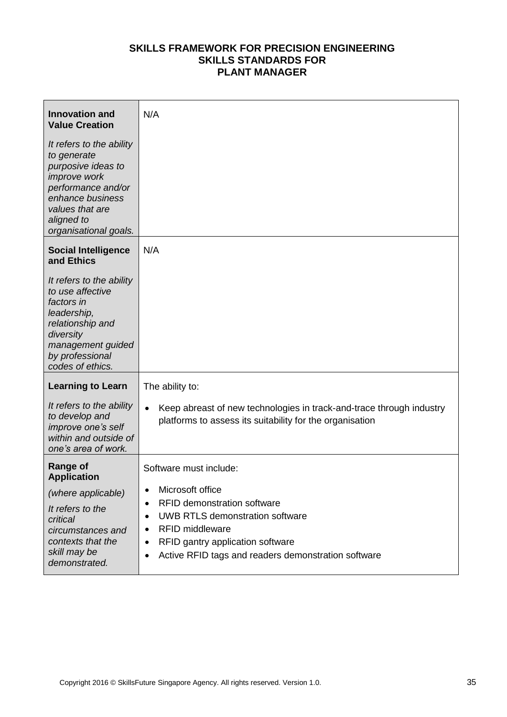| <b>Innovation and</b><br><b>Value Creation</b>                                                                                                                                           | N/A                                                                                                                                                                                                                                                                                                   |
|------------------------------------------------------------------------------------------------------------------------------------------------------------------------------------------|-------------------------------------------------------------------------------------------------------------------------------------------------------------------------------------------------------------------------------------------------------------------------------------------------------|
| It refers to the ability<br>to generate<br>purposive ideas to<br><i>improve</i> work<br>performance and/or<br>enhance business<br>values that are<br>aligned to<br>organisational goals. |                                                                                                                                                                                                                                                                                                       |
| <b>Social Intelligence</b><br>and Ethics                                                                                                                                                 | N/A                                                                                                                                                                                                                                                                                                   |
| It refers to the ability<br>to use affective<br>factors in<br>leadership,<br>relationship and<br>diversity<br>management guided<br>by professional<br>codes of ethics.                   |                                                                                                                                                                                                                                                                                                       |
| <b>Learning to Learn</b>                                                                                                                                                                 | The ability to:                                                                                                                                                                                                                                                                                       |
| It refers to the ability<br>to develop and<br>improve one's self<br>within and outside of<br>one's area of work.                                                                         | Keep abreast of new technologies in track-and-trace through industry<br>$\bullet$<br>platforms to assess its suitability for the organisation                                                                                                                                                         |
| <b>Range of</b><br><b>Application</b><br>(where applicable)<br>It refers to the<br>critical<br>circumstances and<br>contexts that the<br>skill may be<br>demonstrated.                   | Software must include:<br>Microsoft office<br>٠<br><b>RFID demonstration software</b><br>$\bullet$<br><b>UWB RTLS demonstration software</b><br>$\bullet$<br><b>RFID middleware</b><br>٠<br>RFID gantry application software<br>٠<br>Active RFID tags and readers demonstration software<br>$\bullet$ |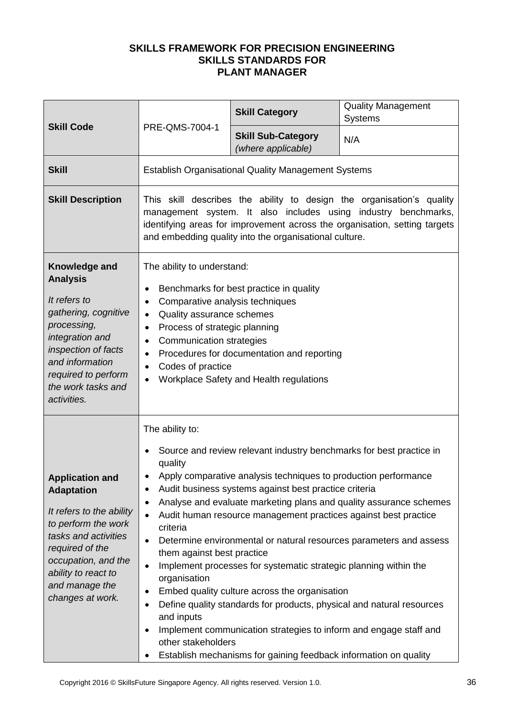| <b>Skill Code</b>                                                                                                                                                                                                             | PRE-QMS-7004-1                                                                                                                                                                                                                                                                                                                                                                                                                                                                                                                                                                                                                                                                                                                                                                                                                                                                                                                                                                         | <b>Skill Category</b>                           | <b>Quality Management</b><br><b>Systems</b> |  |
|-------------------------------------------------------------------------------------------------------------------------------------------------------------------------------------------------------------------------------|----------------------------------------------------------------------------------------------------------------------------------------------------------------------------------------------------------------------------------------------------------------------------------------------------------------------------------------------------------------------------------------------------------------------------------------------------------------------------------------------------------------------------------------------------------------------------------------------------------------------------------------------------------------------------------------------------------------------------------------------------------------------------------------------------------------------------------------------------------------------------------------------------------------------------------------------------------------------------------------|-------------------------------------------------|---------------------------------------------|--|
|                                                                                                                                                                                                                               |                                                                                                                                                                                                                                                                                                                                                                                                                                                                                                                                                                                                                                                                                                                                                                                                                                                                                                                                                                                        | <b>Skill Sub-Category</b><br>(where applicable) | N/A                                         |  |
| <b>Skill</b>                                                                                                                                                                                                                  | <b>Establish Organisational Quality Management Systems</b>                                                                                                                                                                                                                                                                                                                                                                                                                                                                                                                                                                                                                                                                                                                                                                                                                                                                                                                             |                                                 |                                             |  |
| <b>Skill Description</b>                                                                                                                                                                                                      | This skill describes the ability to design the organisation's quality<br>management system. It also includes using industry benchmarks,<br>identifying areas for improvement across the organisation, setting targets<br>and embedding quality into the organisational culture.                                                                                                                                                                                                                                                                                                                                                                                                                                                                                                                                                                                                                                                                                                        |                                                 |                                             |  |
| Knowledge and<br><b>Analysis</b><br>It refers to<br>gathering, cognitive<br>processing,<br>integration and<br>inspection of facts<br>and information<br>required to perform<br>the work tasks and<br>activities.              | The ability to understand:<br>Benchmarks for best practice in quality<br>$\bullet$<br>Comparative analysis techniques<br>$\bullet$<br>Quality assurance schemes<br>$\bullet$<br>Process of strategic planning<br>٠<br><b>Communication strategies</b><br>$\bullet$<br>Procedures for documentation and reporting<br>$\bullet$<br>Codes of practice<br>٠<br>Workplace Safety and Health regulations<br>$\bullet$                                                                                                                                                                                                                                                                                                                                                                                                                                                                                                                                                                        |                                                 |                                             |  |
| <b>Application and</b><br><b>Adaptation</b><br>It refers to the ability<br>to perform the work<br>tasks and activities<br>required of the<br>occupation, and the<br>ability to react to<br>and manage the<br>changes at work. | The ability to:<br>Source and review relevant industry benchmarks for best practice in<br>quality<br>Apply comparative analysis techniques to production performance<br>Audit business systems against best practice criteria<br>٠<br>Analyse and evaluate marketing plans and quality assurance schemes<br>$\bullet$<br>Audit human resource management practices against best practice<br>$\bullet$<br>criteria<br>Determine environmental or natural resources parameters and assess<br>$\bullet$<br>them against best practice<br>Implement processes for systematic strategic planning within the<br>$\bullet$<br>organisation<br>Embed quality culture across the organisation<br>٠<br>Define quality standards for products, physical and natural resources<br>$\bullet$<br>and inputs<br>Implement communication strategies to inform and engage staff and<br>$\bullet$<br>other stakeholders<br>Establish mechanisms for gaining feedback information on quality<br>$\bullet$ |                                                 |                                             |  |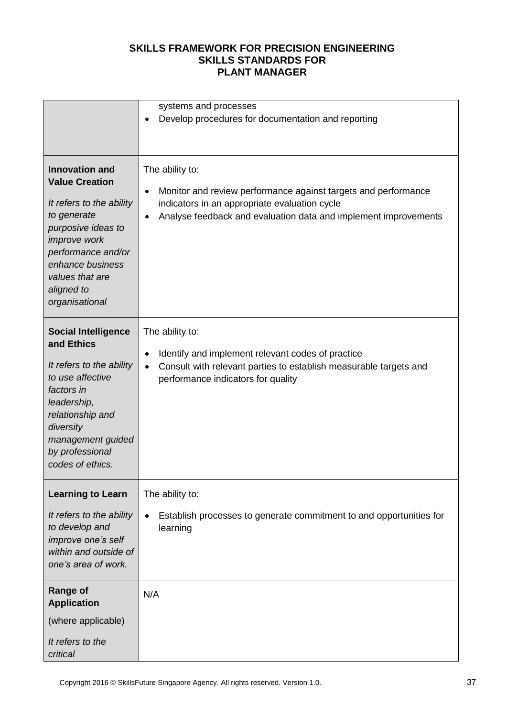|                                                                                                                                                                                                                                     | systems and processes<br>Develop procedures for documentation and reporting<br>$\bullet$                                                                                                                                        |
|-------------------------------------------------------------------------------------------------------------------------------------------------------------------------------------------------------------------------------------|---------------------------------------------------------------------------------------------------------------------------------------------------------------------------------------------------------------------------------|
| <b>Innovation and</b><br><b>Value Creation</b><br>It refers to the ability<br>to generate<br>purposive ideas to<br><i>improve</i> work<br>performance and/or<br>enhance business<br>values that are<br>aligned to<br>organisational | The ability to:<br>Monitor and review performance against targets and performance<br>$\bullet$<br>indicators in an appropriate evaluation cycle<br>Analyse feedback and evaluation data and implement improvements<br>$\bullet$ |
| <b>Social Intelligence</b><br>and Ethics<br>It refers to the ability<br>to use affective<br>factors in<br>leadership,<br>relationship and<br>diversity<br>management guided<br>by professional<br>codes of ethics.                  | The ability to:<br>Identify and implement relevant codes of practice<br>٠<br>Consult with relevant parties to establish measurable targets and<br>$\bullet$<br>performance indicators for quality                               |
| <b>Learning to Learn</b><br>It refers to the ability<br>to develop and<br>improve one's self<br>within and outside of<br>one's area of work.                                                                                        | The ability to:<br>Establish processes to generate commitment to and opportunities for<br>$\bullet$<br>learning                                                                                                                 |
| <b>Range of</b><br><b>Application</b><br>(where applicable)<br>It refers to the<br>critical                                                                                                                                         | N/A                                                                                                                                                                                                                             |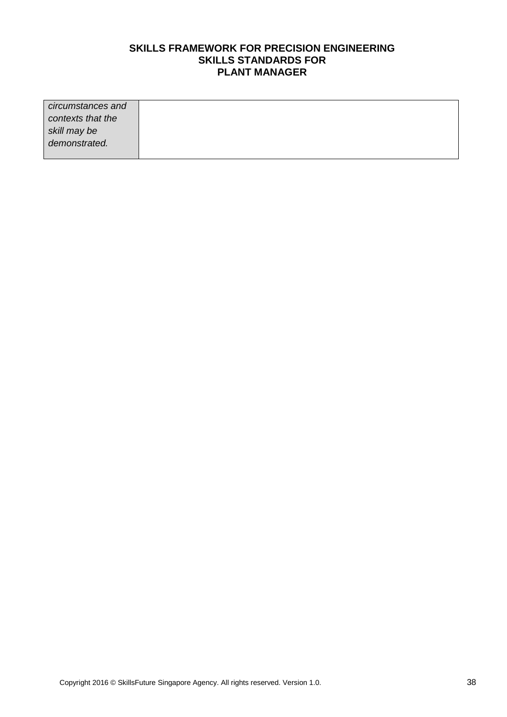| circumstances and |  |
|-------------------|--|
| contexts that the |  |
| skill may be      |  |
| demonstrated.     |  |
|                   |  |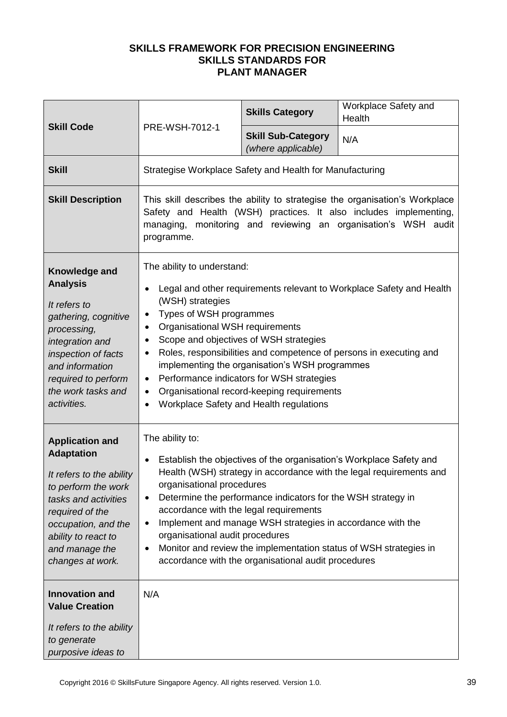|                                                                                                                                                                                                                                                        |                                                                                                                                                                                              | <b>Skills Category</b>                                                                                                                                                                                                         | Workplace Safety and<br>Health                                                                                                                                                                                     |
|--------------------------------------------------------------------------------------------------------------------------------------------------------------------------------------------------------------------------------------------------------|----------------------------------------------------------------------------------------------------------------------------------------------------------------------------------------------|--------------------------------------------------------------------------------------------------------------------------------------------------------------------------------------------------------------------------------|--------------------------------------------------------------------------------------------------------------------------------------------------------------------------------------------------------------------|
| <b>Skill Code</b>                                                                                                                                                                                                                                      | PRE-WSH-7012-1                                                                                                                                                                               | <b>Skill Sub-Category</b><br>(where applicable)                                                                                                                                                                                | N/A                                                                                                                                                                                                                |
| <b>Skill</b>                                                                                                                                                                                                                                           | Strategise Workplace Safety and Health for Manufacturing                                                                                                                                     |                                                                                                                                                                                                                                |                                                                                                                                                                                                                    |
| <b>Skill Description</b>                                                                                                                                                                                                                               | programme.                                                                                                                                                                                   |                                                                                                                                                                                                                                | This skill describes the ability to strategise the organisation's Workplace<br>Safety and Health (WSH) practices. It also includes implementing,<br>managing, monitoring and reviewing an organisation's WSH audit |
| Knowledge and<br><b>Analysis</b><br>It refers to<br>gathering, cognitive<br>processing,<br>integration and<br>inspection of facts<br>and information<br>required to perform<br>the work tasks and<br>activities.                                       | The ability to understand:<br>$\bullet$<br>(WSH) strategies<br>Types of WSH programmes<br>$\bullet$<br>Organisational WSH requirements<br>٠<br>٠<br>٠<br>$\bullet$<br>$\bullet$<br>$\bullet$ | Scope and objectives of WSH strategies<br>implementing the organisation's WSH programmes<br>Performance indicators for WSH strategies<br>Organisational record-keeping requirements<br>Workplace Safety and Health regulations | Legal and other requirements relevant to Workplace Safety and Health<br>Roles, responsibilities and competence of persons in executing and                                                                         |
| <b>Application and</b><br><b>Adaptation</b><br>It refers to the ability<br>to perform the work<br>tasks and activities<br>required of the<br>occupation, and the<br>ability to react to<br>and manage the<br>changes at work.<br><b>Innovation and</b> | The ability to:<br>$\bullet$<br>organisational procedures<br>$\bullet$<br>accordance with the legal requirements<br>$\bullet$<br>organisational audit procedures<br>$\bullet$<br>N/A         | Determine the performance indicators for the WSH strategy in<br>Implement and manage WSH strategies in accordance with the<br>accordance with the organisational audit procedures                                              | Establish the objectives of the organisation's Workplace Safety and<br>Health (WSH) strategy in accordance with the legal requirements and<br>Monitor and review the implementation status of WSH strategies in    |
| <b>Value Creation</b><br>It refers to the ability<br>to generate<br>purposive ideas to                                                                                                                                                                 |                                                                                                                                                                                              |                                                                                                                                                                                                                                |                                                                                                                                                                                                                    |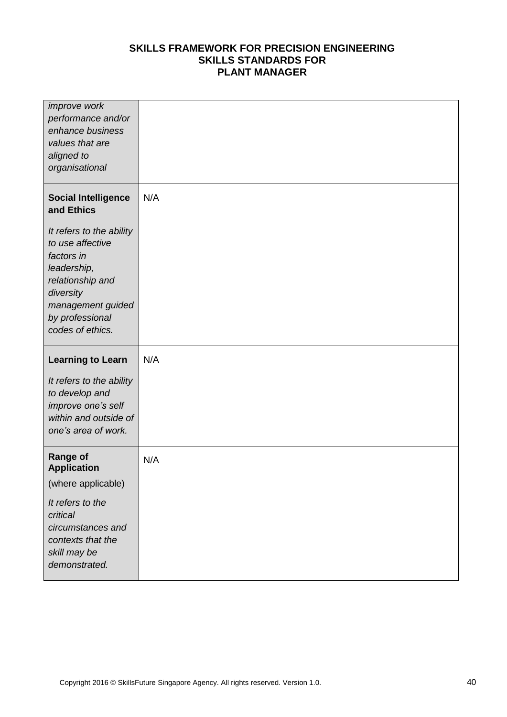| improve work<br>performance and/or<br>enhance business<br>values that are<br>aligned to<br>organisational                                                              |     |
|------------------------------------------------------------------------------------------------------------------------------------------------------------------------|-----|
| <b>Social Intelligence</b><br>and Ethics                                                                                                                               | N/A |
| It refers to the ability<br>to use affective<br>factors in<br>leadership,<br>relationship and<br>diversity<br>management guided<br>by professional<br>codes of ethics. |     |
|                                                                                                                                                                        |     |
| <b>Learning to Learn</b>                                                                                                                                               | N/A |
| It refers to the ability<br>to develop and<br>improve one's self<br>within and outside of<br>one's area of work.                                                       |     |
| <b>Range of</b><br><b>Application</b>                                                                                                                                  | N/A |
| (where applicable)                                                                                                                                                     |     |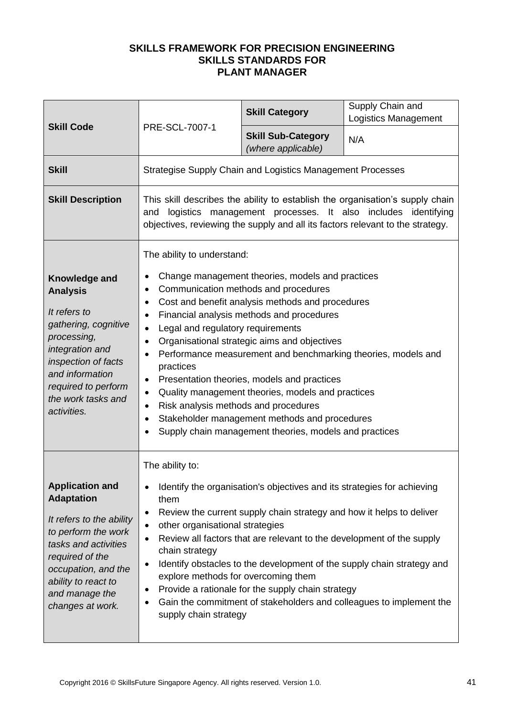|                                                                                                                                                                                                                               |                                                                                                                                                                                                                                                          | <b>Skill Category</b>                                                                                                                                                                                                                                                                                                                                                                                                                                                                                                     | Supply Chain and<br><b>Logistics Management</b>                                                                                                                                                                                 |
|-------------------------------------------------------------------------------------------------------------------------------------------------------------------------------------------------------------------------------|----------------------------------------------------------------------------------------------------------------------------------------------------------------------------------------------------------------------------------------------------------|---------------------------------------------------------------------------------------------------------------------------------------------------------------------------------------------------------------------------------------------------------------------------------------------------------------------------------------------------------------------------------------------------------------------------------------------------------------------------------------------------------------------------|---------------------------------------------------------------------------------------------------------------------------------------------------------------------------------------------------------------------------------|
| <b>Skill Code</b>                                                                                                                                                                                                             | PRE-SCL-7007-1                                                                                                                                                                                                                                           | <b>Skill Sub-Category</b><br>(where applicable)                                                                                                                                                                                                                                                                                                                                                                                                                                                                           | N/A                                                                                                                                                                                                                             |
| <b>Skill</b>                                                                                                                                                                                                                  |                                                                                                                                                                                                                                                          | Strategise Supply Chain and Logistics Management Processes                                                                                                                                                                                                                                                                                                                                                                                                                                                                |                                                                                                                                                                                                                                 |
| <b>Skill Description</b>                                                                                                                                                                                                      | and                                                                                                                                                                                                                                                      |                                                                                                                                                                                                                                                                                                                                                                                                                                                                                                                           | This skill describes the ability to establish the organisation's supply chain<br>logistics management processes. It also includes identifying<br>objectives, reviewing the supply and all its factors relevant to the strategy. |
| Knowledge and<br><b>Analysis</b><br>It refers to<br>gathering, cognitive<br>processing,<br>integration and<br>inspection of facts<br>and information<br>required to perform<br>the work tasks and<br>activities.              | The ability to understand:<br>٠<br>$\bullet$<br>$\bullet$<br>$\bullet$<br>Legal and regulatory requirements<br>$\bullet$<br>$\bullet$<br>$\bullet$<br>practices<br>٠<br>٠<br>Risk analysis methods and procedures<br>$\bullet$<br>$\bullet$<br>$\bullet$ | Change management theories, models and practices<br>Communication methods and procedures<br>Cost and benefit analysis methods and procedures<br>Financial analysis methods and procedures<br>Organisational strategic aims and objectives<br>Performance measurement and benchmarking theories, models and<br>Presentation theories, models and practices<br>Quality management theories, models and practices<br>Stakeholder management methods and procedures<br>Supply chain management theories, models and practices |                                                                                                                                                                                                                                 |
| <b>Application and</b><br><b>Adaptation</b><br>It refers to the ability<br>to perform the work<br>tasks and activities<br>required of the<br>occupation, and the<br>ability to react to<br>and manage the<br>changes at work. | The ability to:<br>$\bullet$<br>them<br>$\bullet$<br>other organisational strategies<br>$\bullet$<br>$\bullet$<br>chain strategy<br>٠<br>explore methods for overcoming them<br>$\bullet$<br>$\bullet$<br>supply chain strategy                          | Identify the organisation's objectives and its strategies for achieving<br>Review the current supply chain strategy and how it helps to deliver<br>Review all factors that are relevant to the development of the supply<br>Provide a rationale for the supply chain strategy                                                                                                                                                                                                                                             | Identify obstacles to the development of the supply chain strategy and<br>Gain the commitment of stakeholders and colleagues to implement the                                                                                   |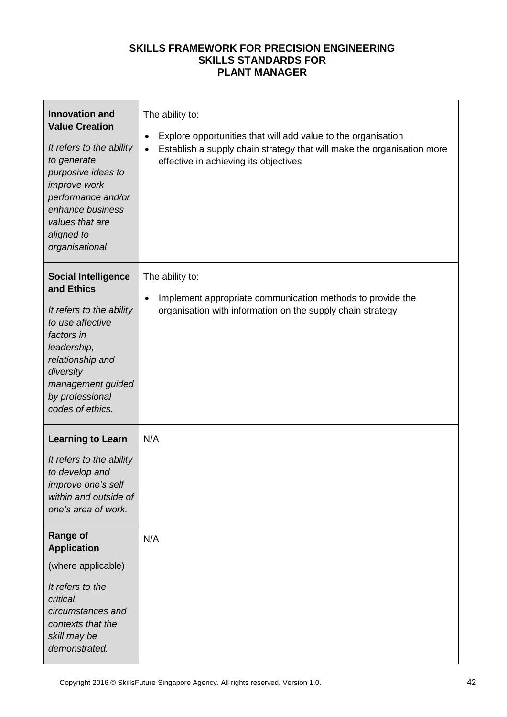| <b>Innovation and</b><br><b>Value Creation</b><br>It refers to the ability<br>to generate<br>purposive ideas to<br>improve work<br>performance and/or<br>enhance business<br>values that are<br>aligned to<br>organisational | The ability to:<br>Explore opportunities that will add value to the organisation<br>$\bullet$<br>Establish a supply chain strategy that will make the organisation more<br>$\bullet$<br>effective in achieving its objectives |
|------------------------------------------------------------------------------------------------------------------------------------------------------------------------------------------------------------------------------|-------------------------------------------------------------------------------------------------------------------------------------------------------------------------------------------------------------------------------|
| <b>Social Intelligence</b><br>and Ethics<br>It refers to the ability<br>to use affective<br>factors in<br>leadership,<br>relationship and<br>diversity<br>management guided<br>by professional<br>codes of ethics.           | The ability to:<br>Implement appropriate communication methods to provide the<br>$\bullet$<br>organisation with information on the supply chain strategy                                                                      |
| <b>Learning to Learn</b><br>It refers to the ability<br>to develop and<br><i>improve one's self</i><br>within and outside of<br>one's area of work.                                                                          | N/A                                                                                                                                                                                                                           |
| <b>Range of</b><br><b>Application</b><br>(where applicable)<br>It refers to the<br>critical<br>circumstances and<br>contexts that the<br>skill may be<br>demonstrated.                                                       | N/A                                                                                                                                                                                                                           |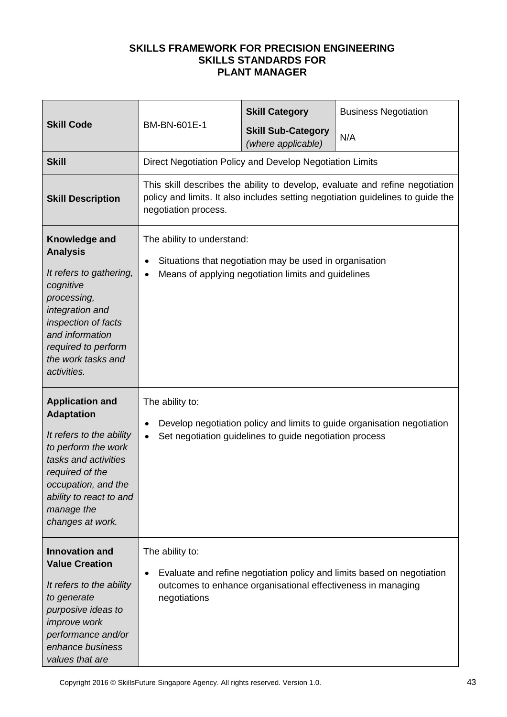|                                                                                                                                                                                                                               | BM-BN-601E-1                                                                                                                                                                    | <b>Skill Category</b>                                                                                          | <b>Business Negotiation</b>                                                                                                                                     |
|-------------------------------------------------------------------------------------------------------------------------------------------------------------------------------------------------------------------------------|---------------------------------------------------------------------------------------------------------------------------------------------------------------------------------|----------------------------------------------------------------------------------------------------------------|-----------------------------------------------------------------------------------------------------------------------------------------------------------------|
| <b>Skill Code</b>                                                                                                                                                                                                             |                                                                                                                                                                                 | <b>Skill Sub-Category</b><br>(where applicable)                                                                | N/A                                                                                                                                                             |
| <b>Skill</b>                                                                                                                                                                                                                  | Direct Negotiation Policy and Develop Negotiation Limits                                                                                                                        |                                                                                                                |                                                                                                                                                                 |
| <b>Skill Description</b>                                                                                                                                                                                                      | negotiation process.                                                                                                                                                            |                                                                                                                | This skill describes the ability to develop, evaluate and refine negotiation<br>policy and limits. It also includes setting negotiation guidelines to guide the |
| Knowledge and<br><b>Analysis</b><br>It refers to gathering,<br>cognitive<br>processing,<br>integration and<br>inspection of facts<br>and information<br>required to perform<br>the work tasks and<br>activities.              | The ability to understand:<br>$\bullet$<br>$\bullet$                                                                                                                            | Situations that negotiation may be used in organisation<br>Means of applying negotiation limits and guidelines |                                                                                                                                                                 |
| <b>Application and</b><br><b>Adaptation</b><br>It refers to the ability<br>to perform the work<br>tasks and activities<br>required of the<br>occupation, and the<br>ability to react to and<br>manage the<br>changes at work. | The ability to:<br>Develop negotiation policy and limits to guide organisation negotiation<br>$\bullet$<br>Set negotiation guidelines to guide negotiation process<br>$\bullet$ |                                                                                                                |                                                                                                                                                                 |
| <b>Innovation and</b><br><b>Value Creation</b><br>It refers to the ability<br>to generate<br>purposive ideas to<br><i>improve</i> work<br>performance and/or<br>enhance business<br>values that are                           | The ability to:<br>$\bullet$<br>negotiations                                                                                                                                    | outcomes to enhance organisational effectiveness in managing                                                   | Evaluate and refine negotiation policy and limits based on negotiation                                                                                          |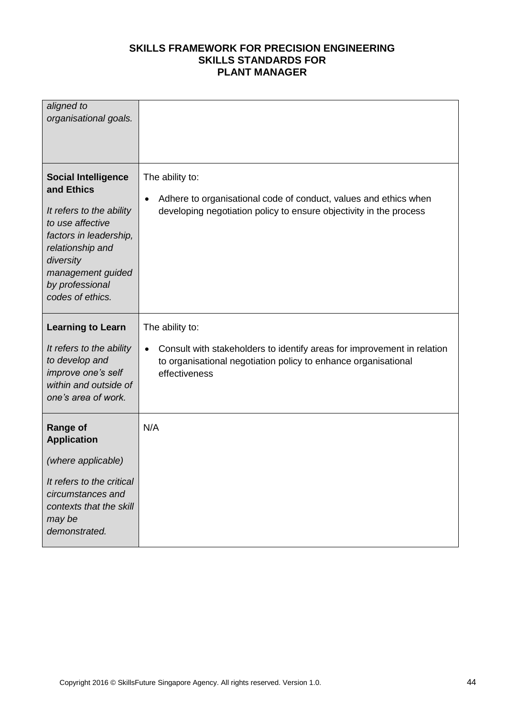| aligned to<br>organisational goals.                                                                                                                                                                             |                                                                                                                                                                         |
|-----------------------------------------------------------------------------------------------------------------------------------------------------------------------------------------------------------------|-------------------------------------------------------------------------------------------------------------------------------------------------------------------------|
| <b>Social Intelligence</b><br>and Ethics<br>It refers to the ability<br>to use affective<br>factors in leadership,<br>relationship and<br>diversity<br>management guided<br>by professional<br>codes of ethics. | The ability to:<br>Adhere to organisational code of conduct, values and ethics when<br>$\bullet$<br>developing negotiation policy to ensure objectivity in the process  |
| <b>Learning to Learn</b>                                                                                                                                                                                        | The ability to:                                                                                                                                                         |
| It refers to the ability<br>to develop and<br>improve one's self<br>within and outside of<br>one's area of work.                                                                                                | Consult with stakeholders to identify areas for improvement in relation<br>$\bullet$<br>to organisational negotiation policy to enhance organisational<br>effectiveness |
| <b>Range of</b><br><b>Application</b>                                                                                                                                                                           | N/A                                                                                                                                                                     |
| (where applicable)                                                                                                                                                                                              |                                                                                                                                                                         |
| It refers to the critical<br>circumstances and<br>contexts that the skill<br>may be<br>demonstrated.                                                                                                            |                                                                                                                                                                         |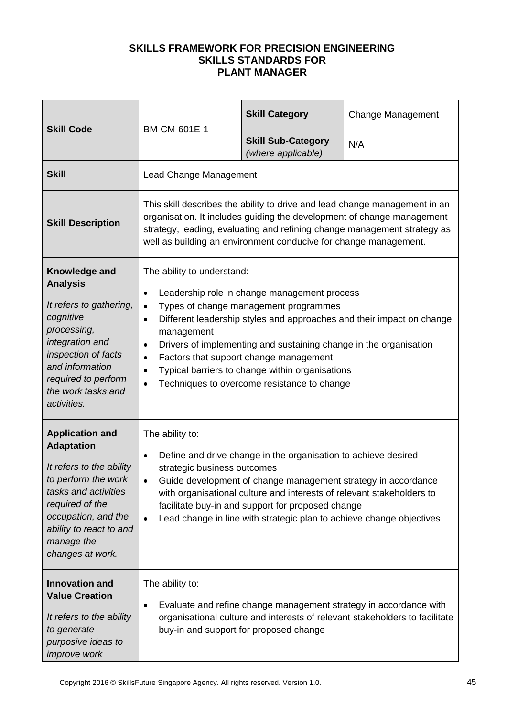| <b>Skill Code</b>                                                                                                                                                                                                                                      |                                                                                                                                     | <b>Skill Category</b>                                                                                                                                                                                                                                                                                                                 | <b>Change Management</b>                                                                                                                                                                                                         |
|--------------------------------------------------------------------------------------------------------------------------------------------------------------------------------------------------------------------------------------------------------|-------------------------------------------------------------------------------------------------------------------------------------|---------------------------------------------------------------------------------------------------------------------------------------------------------------------------------------------------------------------------------------------------------------------------------------------------------------------------------------|----------------------------------------------------------------------------------------------------------------------------------------------------------------------------------------------------------------------------------|
|                                                                                                                                                                                                                                                        | BM-CM-601E-1                                                                                                                        | <b>Skill Sub-Category</b><br>(where applicable)                                                                                                                                                                                                                                                                                       | N/A                                                                                                                                                                                                                              |
| <b>Skill</b>                                                                                                                                                                                                                                           | Lead Change Management                                                                                                              |                                                                                                                                                                                                                                                                                                                                       |                                                                                                                                                                                                                                  |
| <b>Skill Description</b>                                                                                                                                                                                                                               |                                                                                                                                     | well as building an environment conducive for change management.                                                                                                                                                                                                                                                                      | This skill describes the ability to drive and lead change management in an<br>organisation. It includes guiding the development of change management<br>strategy, leading, evaluating and refining change management strategy as |
| Knowledge and<br><b>Analysis</b><br>It refers to gathering,<br>cognitive<br>processing,<br>integration and<br>inspection of facts<br>and information<br>required to perform<br>the work tasks and<br>activities.                                       | The ability to understand:<br>$\bullet$<br>$\bullet$<br>$\bullet$<br>management<br>$\bullet$<br>$\bullet$<br>$\bullet$<br>$\bullet$ | Leadership role in change management process<br>Types of change management programmes<br>Drivers of implementing and sustaining change in the organisation<br>Factors that support change management<br>Typical barriers to change within organisations<br>Techniques to overcome resistance to change                                | Different leadership styles and approaches and their impact on change                                                                                                                                                            |
| <b>Application and</b><br><b>Adaptation</b><br>It refers to the ability<br>to perform the work<br>tasks and activities<br>required of the<br>occupation, and the<br>ability to react to and<br>manage the<br>changes at work.<br><b>Innovation and</b> | The ability to:<br>$\bullet$<br>strategic business outcomes<br>$\bullet$<br>The ability to:                                         | Define and drive change in the organisation to achieve desired<br>Guide development of change management strategy in accordance<br>with organisational culture and interests of relevant stakeholders to<br>facilitate buy-in and support for proposed change<br>Lead change in line with strategic plan to achieve change objectives |                                                                                                                                                                                                                                  |
| <b>Value Creation</b><br>It refers to the ability<br>to generate<br>purposive ideas to<br><i>improve</i> work                                                                                                                                          | $\bullet$                                                                                                                           | buy-in and support for proposed change                                                                                                                                                                                                                                                                                                | Evaluate and refine change management strategy in accordance with<br>organisational culture and interests of relevant stakeholders to facilitate                                                                                 |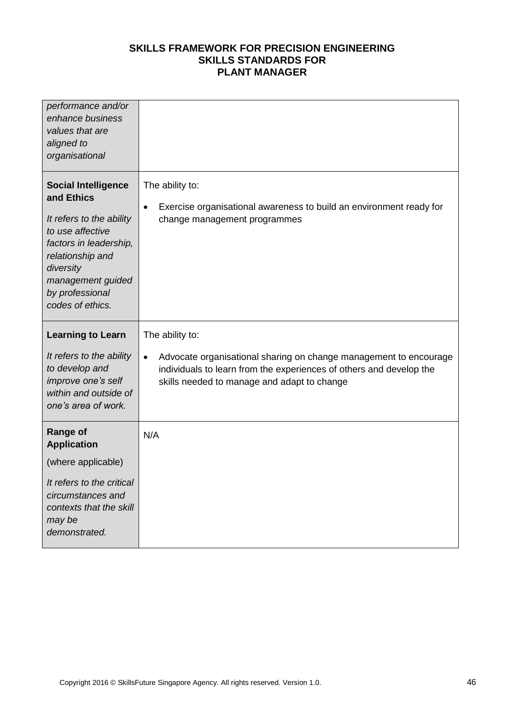| performance and/or<br>enhance business<br>values that are<br>aligned to<br>organisational                                                                                                                       |                                                                                                                                                                                                                         |
|-----------------------------------------------------------------------------------------------------------------------------------------------------------------------------------------------------------------|-------------------------------------------------------------------------------------------------------------------------------------------------------------------------------------------------------------------------|
| <b>Social Intelligence</b><br>and Ethics<br>It refers to the ability<br>to use affective<br>factors in leadership,<br>relationship and<br>diversity<br>management guided<br>by professional<br>codes of ethics. | The ability to:<br>Exercise organisational awareness to build an environment ready for<br>$\bullet$<br>change management programmes                                                                                     |
| <b>Learning to Learn</b><br>It refers to the ability<br>to develop and<br>improve one's self<br>within and outside of<br>one's area of work.                                                                    | The ability to:<br>Advocate organisational sharing on change management to encourage<br>$\bullet$<br>individuals to learn from the experiences of others and develop the<br>skills needed to manage and adapt to change |
| <b>Range of</b><br><b>Application</b><br>(where applicable)<br>It refers to the critical<br>circumstances and<br>contexts that the skill<br>may be                                                              | N/A                                                                                                                                                                                                                     |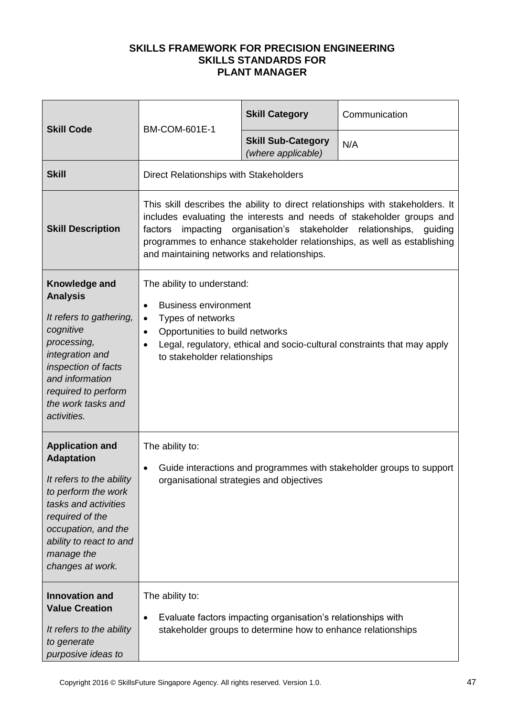|                                                                                                                                                                                                                               |                                                                                                                                                                                                       | <b>Skill Category</b>                                                                                                        | Communication                                                                                                                                                                                                                                  |
|-------------------------------------------------------------------------------------------------------------------------------------------------------------------------------------------------------------------------------|-------------------------------------------------------------------------------------------------------------------------------------------------------------------------------------------------------|------------------------------------------------------------------------------------------------------------------------------|------------------------------------------------------------------------------------------------------------------------------------------------------------------------------------------------------------------------------------------------|
| <b>Skill Code</b>                                                                                                                                                                                                             | <b>BM-COM-601E-1</b>                                                                                                                                                                                  | <b>Skill Sub-Category</b><br>(where applicable)                                                                              | N/A                                                                                                                                                                                                                                            |
| <b>Skill</b>                                                                                                                                                                                                                  | Direct Relationships with Stakeholders                                                                                                                                                                |                                                                                                                              |                                                                                                                                                                                                                                                |
| <b>Skill Description</b>                                                                                                                                                                                                      | impacting<br>factors<br>and maintaining networks and relationships.                                                                                                                                   | organisation's stakeholder relationships,                                                                                    | This skill describes the ability to direct relationships with stakeholders. It<br>includes evaluating the interests and needs of stakeholder groups and<br>guiding<br>programmes to enhance stakeholder relationships, as well as establishing |
| Knowledge and<br><b>Analysis</b><br>It refers to gathering,<br>cognitive<br>processing,<br>integration and<br>inspection of facts<br>and information<br>required to perform<br>the work tasks and<br>activities.              | The ability to understand:<br><b>Business environment</b><br>$\bullet$<br>Types of networks<br>$\bullet$<br>Opportunities to build networks<br>$\bullet$<br>$\bullet$<br>to stakeholder relationships |                                                                                                                              | Legal, regulatory, ethical and socio-cultural constraints that may apply                                                                                                                                                                       |
| <b>Application and</b><br><b>Adaptation</b><br>It refers to the ability<br>to perform the work<br>tasks and activities<br>required of the<br>occupation, and the<br>ability to react to and<br>manage the<br>changes at work. | The ability to:<br>$\bullet$<br>organisational strategies and objectives                                                                                                                              |                                                                                                                              | Guide interactions and programmes with stakeholder groups to support                                                                                                                                                                           |
| <b>Innovation and</b><br><b>Value Creation</b><br>It refers to the ability<br>to generate<br>purposive ideas to                                                                                                               | The ability to:<br>$\bullet$                                                                                                                                                                          | Evaluate factors impacting organisation's relationships with<br>stakeholder groups to determine how to enhance relationships |                                                                                                                                                                                                                                                |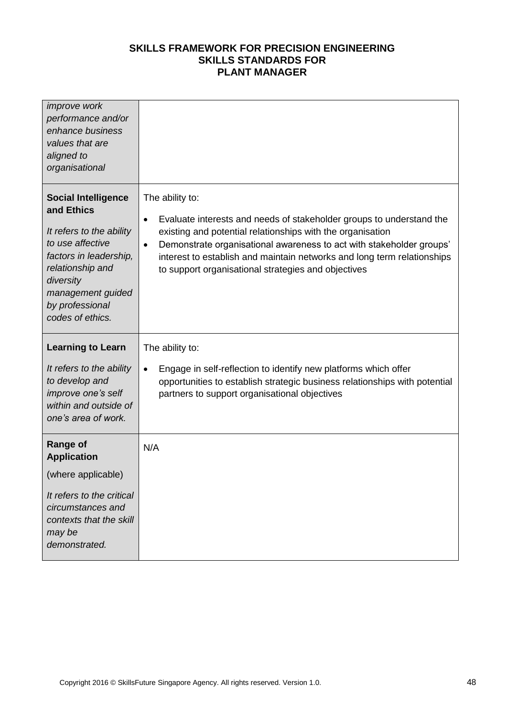| <i>improve</i> work<br>performance and/or<br>enhance business<br>values that are<br>aligned to<br>organisational                                                                                                |                                                                                                                                                                                                                                                                                                                                                                                           |
|-----------------------------------------------------------------------------------------------------------------------------------------------------------------------------------------------------------------|-------------------------------------------------------------------------------------------------------------------------------------------------------------------------------------------------------------------------------------------------------------------------------------------------------------------------------------------------------------------------------------------|
| <b>Social Intelligence</b><br>and Ethics<br>It refers to the ability<br>to use affective<br>factors in leadership,<br>relationship and<br>diversity<br>management guided<br>by professional<br>codes of ethics. | The ability to:<br>Evaluate interests and needs of stakeholder groups to understand the<br>$\bullet$<br>existing and potential relationships with the organisation<br>Demonstrate organisational awareness to act with stakeholder groups'<br>$\bullet$<br>interest to establish and maintain networks and long term relationships<br>to support organisational strategies and objectives |
|                                                                                                                                                                                                                 |                                                                                                                                                                                                                                                                                                                                                                                           |
| <b>Learning to Learn</b>                                                                                                                                                                                        | The ability to:                                                                                                                                                                                                                                                                                                                                                                           |
| It refers to the ability<br>to develop and<br>improve one's self<br>within and outside of<br>one's area of work.                                                                                                | Engage in self-reflection to identify new platforms which offer<br>$\bullet$<br>opportunities to establish strategic business relationships with potential<br>partners to support organisational objectives                                                                                                                                                                               |
| <b>Range of</b>                                                                                                                                                                                                 | N/A                                                                                                                                                                                                                                                                                                                                                                                       |
| <b>Application</b><br>(where applicable)                                                                                                                                                                        |                                                                                                                                                                                                                                                                                                                                                                                           |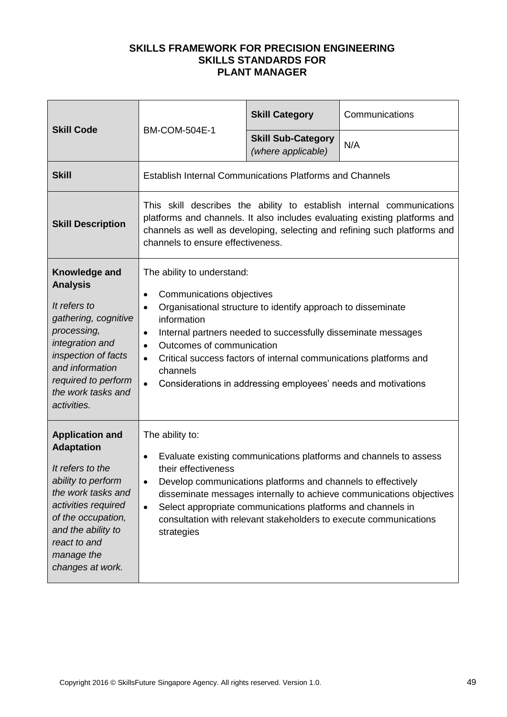| <b>Skill Code</b>                                                                                                                                                                                                                | <b>BM-COM-504E-1</b>                                                                                                                                                                                                                                                                                                                                                                                                                                                 | <b>Skill Category</b>                           | Communications |
|----------------------------------------------------------------------------------------------------------------------------------------------------------------------------------------------------------------------------------|----------------------------------------------------------------------------------------------------------------------------------------------------------------------------------------------------------------------------------------------------------------------------------------------------------------------------------------------------------------------------------------------------------------------------------------------------------------------|-------------------------------------------------|----------------|
|                                                                                                                                                                                                                                  |                                                                                                                                                                                                                                                                                                                                                                                                                                                                      | <b>Skill Sub-Category</b><br>(where applicable) | N/A            |
| <b>Skill</b>                                                                                                                                                                                                                     | <b>Establish Internal Communications Platforms and Channels</b>                                                                                                                                                                                                                                                                                                                                                                                                      |                                                 |                |
| <b>Skill Description</b>                                                                                                                                                                                                         | This skill describes the ability to establish internal communications<br>platforms and channels. It also includes evaluating existing platforms and<br>channels as well as developing, selecting and refining such platforms and<br>channels to ensure effectiveness.                                                                                                                                                                                                |                                                 |                |
| Knowledge and<br><b>Analysis</b><br>It refers to<br>gathering, cognitive<br>processing,<br>integration and<br>inspection of facts<br>and information<br>required to perform<br>the work tasks and<br>activities.                 | The ability to understand:<br>Communications objectives<br>$\bullet$<br>Organisational structure to identify approach to disseminate<br>$\bullet$<br>information<br>Internal partners needed to successfully disseminate messages<br>$\bullet$<br>Outcomes of communication<br>$\bullet$<br>Critical success factors of internal communications platforms and<br>$\bullet$<br>channels<br>Considerations in addressing employees' needs and motivations<br>$\bullet$ |                                                 |                |
| <b>Application and</b><br><b>Adaptation</b><br>It refers to the<br>ability to perform<br>the work tasks and<br>activities required<br>of the occupation,<br>and the ability to<br>react to and<br>manage the<br>changes at work. | The ability to:<br>Evaluate existing communications platforms and channels to assess<br>$\bullet$<br>their effectiveness<br>Develop communications platforms and channels to effectively<br>disseminate messages internally to achieve communications objectives<br>Select appropriate communications platforms and channels in<br>$\bullet$<br>consultation with relevant stakeholders to execute communications<br>strategies                                      |                                                 |                |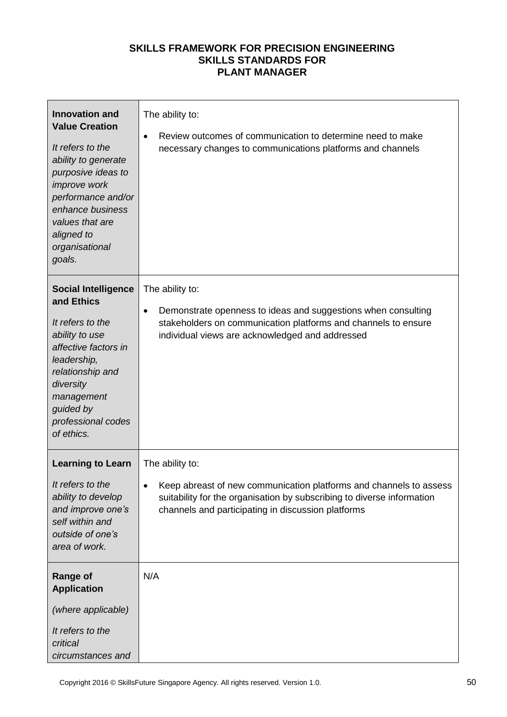| <b>Innovation and</b><br><b>Value Creation</b><br>It refers to the<br>ability to generate<br>purposive ideas to<br>improve work<br>performance and/or<br>enhance business<br>values that are<br>aligned to<br>organisational<br>goals. | The ability to:<br>Review outcomes of communication to determine need to make<br>$\bullet$<br>necessary changes to communications platforms and channels                                                              |
|----------------------------------------------------------------------------------------------------------------------------------------------------------------------------------------------------------------------------------------|-----------------------------------------------------------------------------------------------------------------------------------------------------------------------------------------------------------------------|
| <b>Social Intelligence</b><br>and Ethics<br>It refers to the<br>ability to use<br>affective factors in<br>leadership,<br>relationship and<br>diversity<br>management<br>guided by<br>professional codes<br>of ethics.                  | The ability to:<br>Demonstrate openness to ideas and suggestions when consulting<br>$\bullet$<br>stakeholders on communication platforms and channels to ensure<br>individual views are acknowledged and addressed    |
| <b>Learning to Learn</b><br>It refers to the<br>ability to develop<br>and improve one's<br>self within and<br>outside of one's<br>area of work.                                                                                        | The ability to:<br>Keep abreast of new communication platforms and channels to assess<br>suitability for the organisation by subscribing to diverse information<br>channels and participating in discussion platforms |
| <b>Range of</b><br><b>Application</b><br>(where applicable)<br>It refers to the<br>critical<br>circumstances and                                                                                                                       | N/A                                                                                                                                                                                                                   |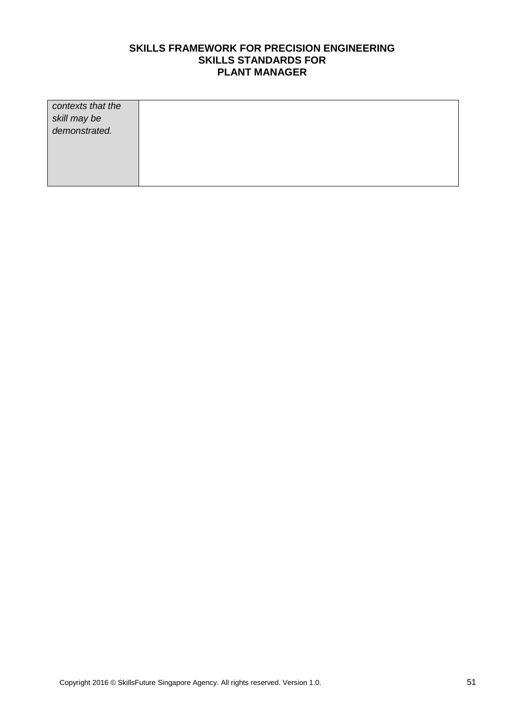| contexts that the             |  |
|-------------------------------|--|
|                               |  |
|                               |  |
| skill may be<br>demonstrated. |  |
|                               |  |
|                               |  |
|                               |  |
|                               |  |
|                               |  |
|                               |  |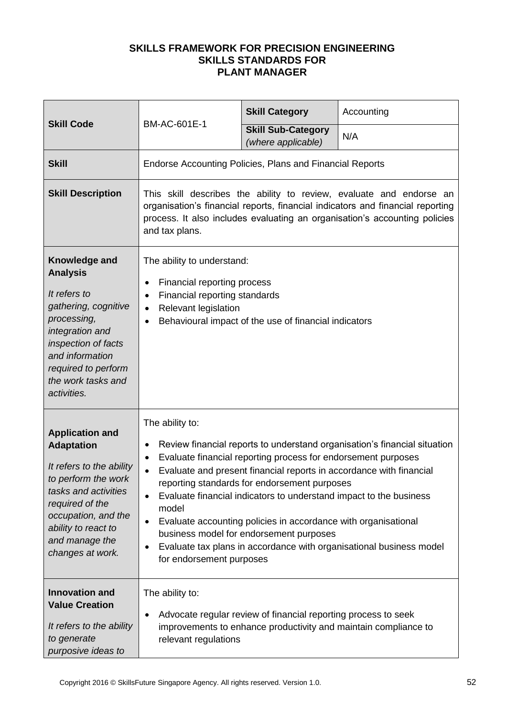|                                                                                                                                                                                                                               |                                                                                                                                                                                                                                                                                                                                                                                                                                                                                                                                                                                                                                                                   | <b>Skill Category</b>                                          | Accounting                                                      |
|-------------------------------------------------------------------------------------------------------------------------------------------------------------------------------------------------------------------------------|-------------------------------------------------------------------------------------------------------------------------------------------------------------------------------------------------------------------------------------------------------------------------------------------------------------------------------------------------------------------------------------------------------------------------------------------------------------------------------------------------------------------------------------------------------------------------------------------------------------------------------------------------------------------|----------------------------------------------------------------|-----------------------------------------------------------------|
| <b>Skill Code</b>                                                                                                                                                                                                             | BM-AC-601E-1                                                                                                                                                                                                                                                                                                                                                                                                                                                                                                                                                                                                                                                      | <b>Skill Sub-Category</b><br>(where applicable)                | N/A                                                             |
| <b>Skill</b>                                                                                                                                                                                                                  | Endorse Accounting Policies, Plans and Financial Reports                                                                                                                                                                                                                                                                                                                                                                                                                                                                                                                                                                                                          |                                                                |                                                                 |
| <b>Skill Description</b>                                                                                                                                                                                                      | This skill describes the ability to review, evaluate and endorse an<br>organisation's financial reports, financial indicators and financial reporting<br>process. It also includes evaluating an organisation's accounting policies<br>and tax plans.                                                                                                                                                                                                                                                                                                                                                                                                             |                                                                |                                                                 |
| Knowledge and<br><b>Analysis</b><br>It refers to<br>gathering, cognitive<br>processing,<br>integration and<br>inspection of facts<br>and information<br>required to perform<br>the work tasks and<br>activities.              | The ability to understand:<br>Financial reporting process<br>٠<br>Financial reporting standards<br>$\bullet$<br>Relevant legislation<br>$\bullet$<br>Behavioural impact of the use of financial indicators<br>$\bullet$                                                                                                                                                                                                                                                                                                                                                                                                                                           |                                                                |                                                                 |
| <b>Application and</b><br><b>Adaptation</b><br>It refers to the ability<br>to perform the work<br>tasks and activities<br>required of the<br>occupation, and the<br>ability to react to<br>and manage the<br>changes at work. | The ability to:<br>Review financial reports to understand organisation's financial situation<br>$\bullet$<br>Evaluate financial reporting process for endorsement purposes<br>$\bullet$<br>Evaluate and present financial reports in accordance with financial<br>$\bullet$<br>reporting standards for endorsement purposes<br>Evaluate financial indicators to understand impact to the business<br>$\bullet$<br>model<br>Evaluate accounting policies in accordance with organisational<br>$\bullet$<br>business model for endorsement purposes<br>Evaluate tax plans in accordance with organisational business model<br>$\bullet$<br>for endorsement purposes |                                                                |                                                                 |
| <b>Innovation and</b><br><b>Value Creation</b><br>It refers to the ability<br>to generate<br>purposive ideas to                                                                                                               | The ability to:<br>٠<br>relevant regulations                                                                                                                                                                                                                                                                                                                                                                                                                                                                                                                                                                                                                      | Advocate regular review of financial reporting process to seek | improvements to enhance productivity and maintain compliance to |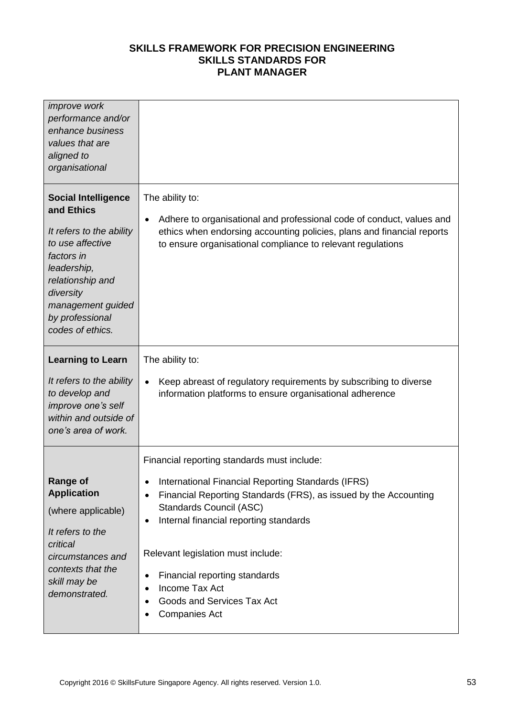| <i>improve</i> work<br>performance and/or<br>enhance business<br>values that are<br>aligned to<br>organisational                                                                                                   |                                                                                                                                                                                                                                                                                                                                                                                                                                                            |
|--------------------------------------------------------------------------------------------------------------------------------------------------------------------------------------------------------------------|------------------------------------------------------------------------------------------------------------------------------------------------------------------------------------------------------------------------------------------------------------------------------------------------------------------------------------------------------------------------------------------------------------------------------------------------------------|
| <b>Social Intelligence</b><br>and Ethics<br>It refers to the ability<br>to use affective<br>factors in<br>leadership,<br>relationship and<br>diversity<br>management guided<br>by professional<br>codes of ethics. | The ability to:<br>Adhere to organisational and professional code of conduct, values and<br>$\bullet$<br>ethics when endorsing accounting policies, plans and financial reports<br>to ensure organisational compliance to relevant regulations                                                                                                                                                                                                             |
| <b>Learning to Learn</b><br>It refers to the ability<br>to develop and<br>improve one's self<br>within and outside of<br>one's area of work.                                                                       | The ability to:<br>Keep abreast of regulatory requirements by subscribing to diverse<br>$\bullet$<br>information platforms to ensure organisational adherence                                                                                                                                                                                                                                                                                              |
| <b>Range of</b><br><b>Application</b><br>(where applicable)<br>It refers to the<br>critical<br>circumstances and<br>contexts that the<br>skill may be<br>demonstrated.                                             | Financial reporting standards must include:<br>International Financial Reporting Standards (IFRS)<br>Financial Reporting Standards (FRS), as issued by the Accounting<br>$\bullet$<br>Standards Council (ASC)<br>Internal financial reporting standards<br>$\bullet$<br>Relevant legislation must include:<br>Financial reporting standards<br>$\bullet$<br>Income Tax Act<br>$\bullet$<br>Goods and Services Tax Act<br><b>Companies Act</b><br>$\bullet$ |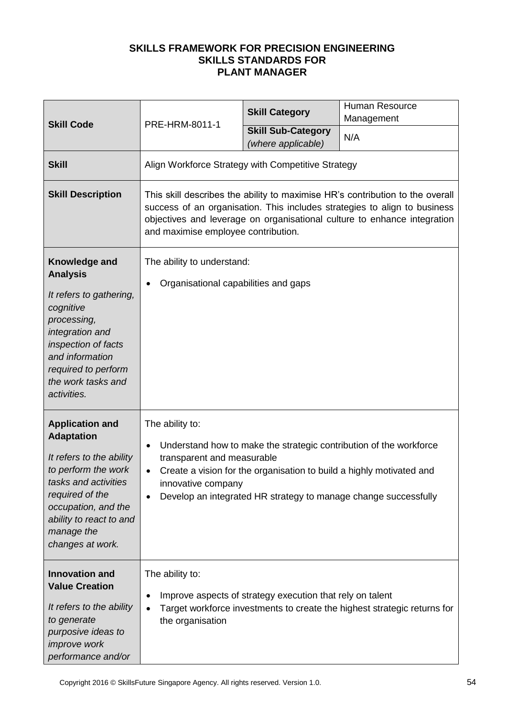| <b>Skill Code</b>                                                                                                                                                                                                             | PRE-HRM-8011-1                                                                                                                                                                                                                                                                | <b>Skill Category</b>                                     | <b>Human Resource</b><br>Management                                                                                                                                                                           |
|-------------------------------------------------------------------------------------------------------------------------------------------------------------------------------------------------------------------------------|-------------------------------------------------------------------------------------------------------------------------------------------------------------------------------------------------------------------------------------------------------------------------------|-----------------------------------------------------------|---------------------------------------------------------------------------------------------------------------------------------------------------------------------------------------------------------------|
|                                                                                                                                                                                                                               |                                                                                                                                                                                                                                                                               | <b>Skill Sub-Category</b><br>(where applicable)           | N/A                                                                                                                                                                                                           |
| <b>Skill</b>                                                                                                                                                                                                                  | Align Workforce Strategy with Competitive Strategy                                                                                                                                                                                                                            |                                                           |                                                                                                                                                                                                               |
| <b>Skill Description</b>                                                                                                                                                                                                      | This skill describes the ability to maximise HR's contribution to the overall<br>success of an organisation. This includes strategies to align to business<br>objectives and leverage on organisational culture to enhance integration<br>and maximise employee contribution. |                                                           |                                                                                                                                                                                                               |
| Knowledge and<br><b>Analysis</b><br>It refers to gathering,<br>cognitive<br>processing,<br>integration and<br>inspection of facts<br>and information<br>required to perform<br>the work tasks and<br>activities.              | The ability to understand:<br>Organisational capabilities and gaps                                                                                                                                                                                                            |                                                           |                                                                                                                                                                                                               |
| <b>Application and</b><br><b>Adaptation</b><br>It refers to the ability<br>to perform the work<br>tasks and activities<br>required of the<br>occupation, and the<br>ability to react to and<br>manage the<br>changes at work. | The ability to:<br>$\bullet$<br>transparent and measurable<br>innovative company                                                                                                                                                                                              |                                                           | Understand how to make the strategic contribution of the workforce<br>Create a vision for the organisation to build a highly motivated and<br>Develop an integrated HR strategy to manage change successfully |
| <b>Innovation and</b><br><b>Value Creation</b><br>It refers to the ability<br>to generate<br>purposive ideas to<br><i>improve</i> work<br>performance and/or                                                                  | The ability to:<br>the organisation                                                                                                                                                                                                                                           | Improve aspects of strategy execution that rely on talent | Target workforce investments to create the highest strategic returns for                                                                                                                                      |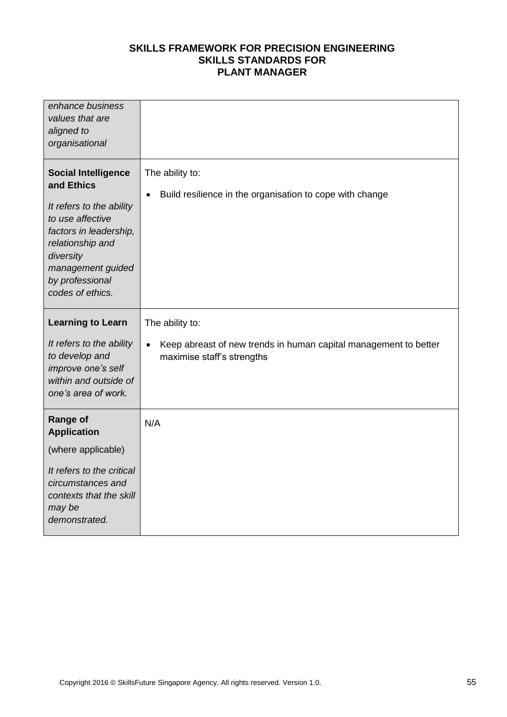| enhance business<br>values that are<br>aligned to<br>organisational                                                                                                                                             |                                                                                                |
|-----------------------------------------------------------------------------------------------------------------------------------------------------------------------------------------------------------------|------------------------------------------------------------------------------------------------|
| <b>Social Intelligence</b><br>and Ethics<br>It refers to the ability<br>to use affective<br>factors in leadership,<br>relationship and<br>diversity<br>management guided<br>by professional<br>codes of ethics. | The ability to:<br>Build resilience in the organisation to cope with change                    |
| <b>Learning to Learn</b>                                                                                                                                                                                        | The ability to:                                                                                |
| It refers to the ability<br>to develop and<br>improve one's self<br>within and outside of<br>one's area of work.                                                                                                | Keep abreast of new trends in human capital management to better<br>maximise staff's strengths |
| <b>Range of</b><br><b>Application</b>                                                                                                                                                                           | N/A                                                                                            |
| (where applicable)                                                                                                                                                                                              |                                                                                                |
| It refers to the critical<br>circumstances and<br>contexts that the skill<br>may be<br>demonstrated.                                                                                                            |                                                                                                |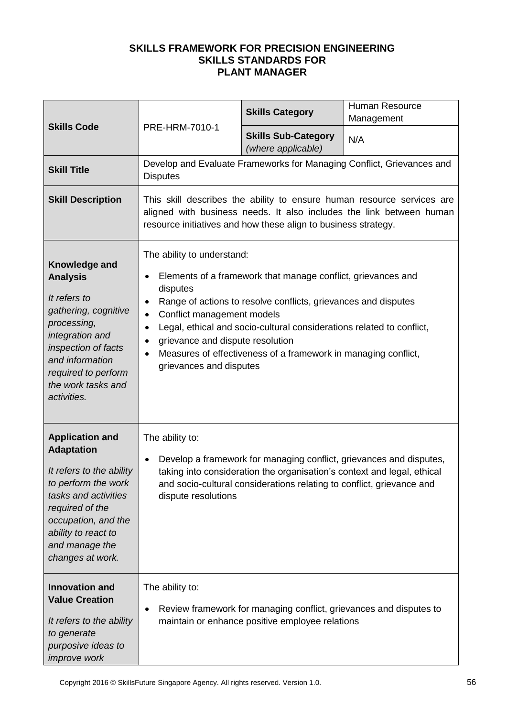|                                                                                                                                                                                                                               |                                                                                                                                                                                                                                                                                                                                                                                                                                                                                                | <b>Skills Category</b>                                                                                                | Human Resource<br>Management |
|-------------------------------------------------------------------------------------------------------------------------------------------------------------------------------------------------------------------------------|------------------------------------------------------------------------------------------------------------------------------------------------------------------------------------------------------------------------------------------------------------------------------------------------------------------------------------------------------------------------------------------------------------------------------------------------------------------------------------------------|-----------------------------------------------------------------------------------------------------------------------|------------------------------|
| <b>Skills Code</b>                                                                                                                                                                                                            | PRE-HRM-7010-1                                                                                                                                                                                                                                                                                                                                                                                                                                                                                 | <b>Skills Sub-Category</b><br>(where applicable)                                                                      | N/A                          |
| <b>Skill Title</b>                                                                                                                                                                                                            | Develop and Evaluate Frameworks for Managing Conflict, Grievances and<br><b>Disputes</b>                                                                                                                                                                                                                                                                                                                                                                                                       |                                                                                                                       |                              |
| <b>Skill Description</b>                                                                                                                                                                                                      | This skill describes the ability to ensure human resource services are<br>aligned with business needs. It also includes the link between human<br>resource initiatives and how these align to business strategy.                                                                                                                                                                                                                                                                               |                                                                                                                       |                              |
| Knowledge and<br><b>Analysis</b><br>It refers to<br>gathering, cognitive<br>processing,<br>integration and<br>inspection of facts<br>and information<br>required to perform<br>the work tasks and<br>activities.              | The ability to understand:<br>Elements of a framework that manage conflict, grievances and<br>$\bullet$<br>disputes<br>Range of actions to resolve conflicts, grievances and disputes<br>$\bullet$<br>Conflict management models<br>$\bullet$<br>Legal, ethical and socio-cultural considerations related to conflict,<br>$\bullet$<br>grievance and dispute resolution<br>$\bullet$<br>Measures of effectiveness of a framework in managing conflict,<br>$\bullet$<br>grievances and disputes |                                                                                                                       |                              |
| <b>Application and</b><br><b>Adaptation</b><br>It refers to the ability<br>to perform the work<br>tasks and activities<br>required of the<br>occupation, and the<br>ability to react to<br>and manage the<br>changes at work. | The ability to:<br>Develop a framework for managing conflict, grievances and disputes,<br>$\bullet$<br>taking into consideration the organisation's context and legal, ethical<br>and socio-cultural considerations relating to conflict, grievance and<br>dispute resolutions                                                                                                                                                                                                                 |                                                                                                                       |                              |
| <b>Innovation and</b><br><b>Value Creation</b><br>It refers to the ability<br>to generate<br>purposive ideas to<br>improve work                                                                                               | The ability to:<br>$\bullet$                                                                                                                                                                                                                                                                                                                                                                                                                                                                   | Review framework for managing conflict, grievances and disputes to<br>maintain or enhance positive employee relations |                              |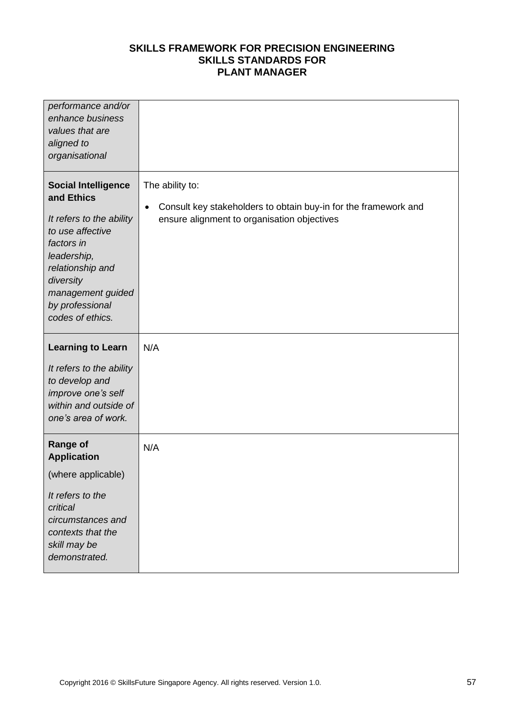| performance and/or<br>enhance business<br>values that are<br>aligned to<br>organisational                                                                                                                          |                                                                                                                                                |
|--------------------------------------------------------------------------------------------------------------------------------------------------------------------------------------------------------------------|------------------------------------------------------------------------------------------------------------------------------------------------|
| <b>Social Intelligence</b><br>and Ethics<br>It refers to the ability<br>to use affective<br>factors in<br>leadership,<br>relationship and<br>diversity<br>management guided<br>by professional<br>codes of ethics. | The ability to:<br>Consult key stakeholders to obtain buy-in for the framework and<br>$\bullet$<br>ensure alignment to organisation objectives |
| <b>Learning to Learn</b><br>It refers to the ability<br>to develop and<br>improve one's self<br>within and outside of<br>one's area of work.                                                                       | N/A                                                                                                                                            |
| <b>Range of</b><br><b>Application</b><br>(where applicable)<br>It refers to the<br>critical<br>circumstances and<br>contexts that the<br>skill may be<br>demonstrated.                                             | N/A                                                                                                                                            |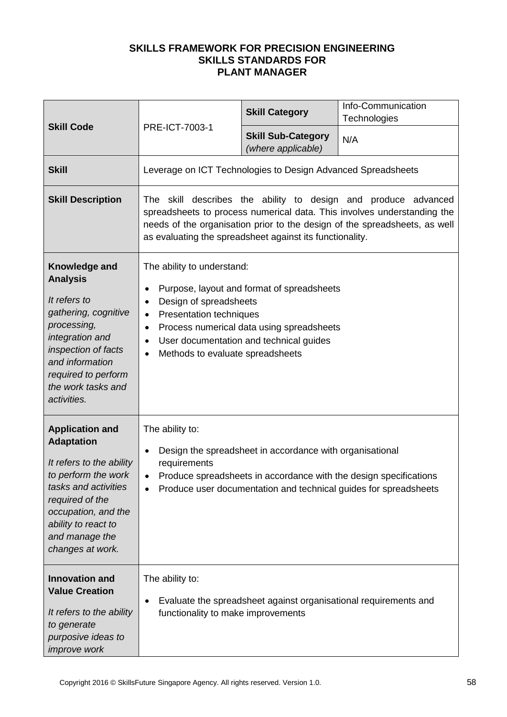|                                                                                                                                                                                                                               |                                                                                                                                                                                                                                                                                     | <b>Skill Category</b>                                                                                                              | Info-Communication<br>Technologies                                                                                                    |
|-------------------------------------------------------------------------------------------------------------------------------------------------------------------------------------------------------------------------------|-------------------------------------------------------------------------------------------------------------------------------------------------------------------------------------------------------------------------------------------------------------------------------------|------------------------------------------------------------------------------------------------------------------------------------|---------------------------------------------------------------------------------------------------------------------------------------|
| <b>Skill Code</b>                                                                                                                                                                                                             | PRE-ICT-7003-1                                                                                                                                                                                                                                                                      | <b>Skill Sub-Category</b><br>(where applicable)                                                                                    | N/A                                                                                                                                   |
| <b>Skill</b>                                                                                                                                                                                                                  | Leverage on ICT Technologies to Design Advanced Spreadsheets                                                                                                                                                                                                                        |                                                                                                                                    |                                                                                                                                       |
| <b>Skill Description</b>                                                                                                                                                                                                      | The skill describes the ability to design and produce advanced<br>spreadsheets to process numerical data. This involves understanding the<br>needs of the organisation prior to the design of the spreadsheets, as well<br>as evaluating the spreadsheet against its functionality. |                                                                                                                                    |                                                                                                                                       |
| Knowledge and<br><b>Analysis</b><br>It refers to<br>gathering, cognitive<br>processing,<br>integration and<br>inspection of facts<br>and information<br>required to perform<br>the work tasks and<br>activities.              | The ability to understand:<br>$\bullet$<br>Design of spreadsheets<br>$\bullet$<br>Presentation techniques<br>$\bullet$<br>$\bullet$<br>$\bullet$<br>Methods to evaluate spreadsheets<br>$\bullet$                                                                                   | Purpose, layout and format of spreadsheets<br>Process numerical data using spreadsheets<br>User documentation and technical guides |                                                                                                                                       |
| <b>Application and</b><br><b>Adaptation</b><br>It refers to the ability<br>to perform the work<br>tasks and activities<br>required of the<br>occupation, and the<br>ability to react to<br>and manage the<br>changes at work. | The ability to:<br>$\bullet$<br>requirements<br>$\bullet$                                                                                                                                                                                                                           | Design the spreadsheet in accordance with organisational                                                                           | Produce spreadsheets in accordance with the design specifications<br>Produce user documentation and technical guides for spreadsheets |
| <b>Innovation and</b><br><b>Value Creation</b><br>It refers to the ability<br>to generate<br>purposive ideas to<br>improve work                                                                                               | The ability to:<br>$\bullet$<br>functionality to make improvements                                                                                                                                                                                                                  |                                                                                                                                    | Evaluate the spreadsheet against organisational requirements and                                                                      |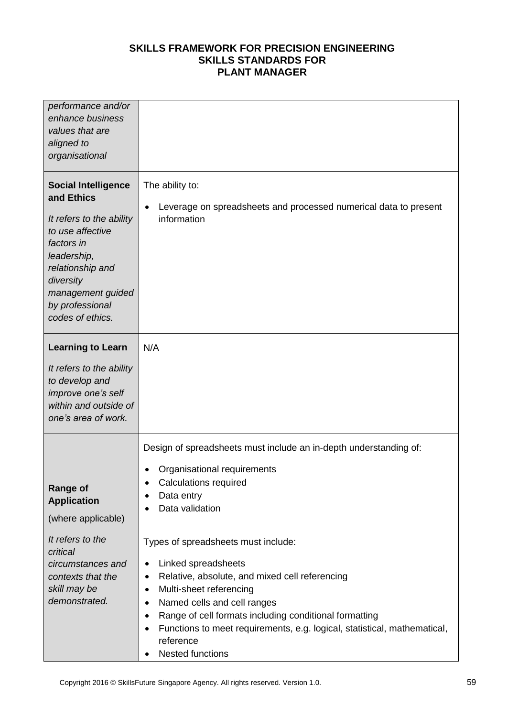| performance and/or<br>enhance business<br>values that are                                                                                                                                                          |                                                                                                                                                                                                                                                                                                                                                                                                                                                                                                                                                                                                |
|--------------------------------------------------------------------------------------------------------------------------------------------------------------------------------------------------------------------|------------------------------------------------------------------------------------------------------------------------------------------------------------------------------------------------------------------------------------------------------------------------------------------------------------------------------------------------------------------------------------------------------------------------------------------------------------------------------------------------------------------------------------------------------------------------------------------------|
| aligned to<br>organisational                                                                                                                                                                                       |                                                                                                                                                                                                                                                                                                                                                                                                                                                                                                                                                                                                |
| <b>Social Intelligence</b><br>and Ethics<br>It refers to the ability<br>to use affective<br>factors in<br>leadership,<br>relationship and<br>diversity<br>management guided<br>by professional<br>codes of ethics. | The ability to:<br>Leverage on spreadsheets and processed numerical data to present<br>$\bullet$<br>information                                                                                                                                                                                                                                                                                                                                                                                                                                                                                |
| <b>Learning to Learn</b><br>It refers to the ability<br>to develop and<br>improve one's self<br>within and outside of<br>one's area of work.                                                                       | N/A                                                                                                                                                                                                                                                                                                                                                                                                                                                                                                                                                                                            |
| <b>Range of</b><br><b>Application</b><br>(where applicable)<br>It refers to the<br>critical<br>circumstances and<br>contexts that the<br>skill may be<br>demonstrated.                                             | Design of spreadsheets must include an in-depth understanding of:<br>Organisational requirements<br><b>Calculations required</b><br>Data entry<br>٠<br>Data validation<br>$\bullet$<br>Types of spreadsheets must include:<br>Linked spreadsheets<br>٠<br>Relative, absolute, and mixed cell referencing<br>٠<br>Multi-sheet referencing<br>٠<br>Named cells and cell ranges<br>٠<br>Range of cell formats including conditional formatting<br>$\bullet$<br>Functions to meet requirements, e.g. logical, statistical, mathematical,<br>٠<br>reference<br><b>Nested functions</b><br>$\bullet$ |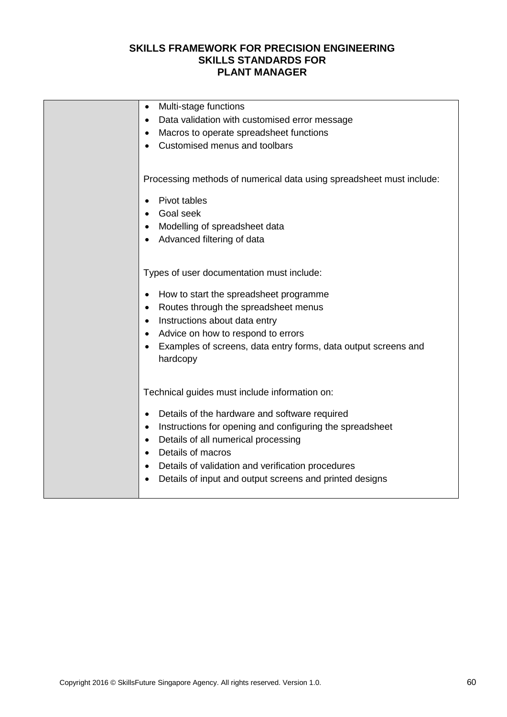| Multi-stage functions<br>$\bullet$                                    |
|-----------------------------------------------------------------------|
| Data validation with customised error message<br>$\bullet$            |
| Macros to operate spreadsheet functions<br>٠                          |
| Customised menus and toolbars                                         |
|                                                                       |
| Processing methods of numerical data using spreadsheet must include:  |
| Pivot tables<br>$\bullet$                                             |
| Goal seek                                                             |
| Modelling of spreadsheet data                                         |
| Advanced filtering of data                                            |
|                                                                       |
|                                                                       |
| Types of user documentation must include:                             |
| How to start the spreadsheet programme<br>$\bullet$                   |
| Routes through the spreadsheet menus<br>$\bullet$                     |
| Instructions about data entry<br>$\bullet$                            |
| Advice on how to respond to errors<br>$\bullet$                       |
| Examples of screens, data entry forms, data output screens and        |
| hardcopy                                                              |
|                                                                       |
| Technical guides must include information on:                         |
|                                                                       |
| Details of the hardware and software required<br>$\bullet$            |
| Instructions for opening and configuring the spreadsheet<br>$\bullet$ |
| Details of all numerical processing<br>$\bullet$                      |
| Details of macros                                                     |
| Details of validation and verification procedures<br>٠                |
| Details of input and output screens and printed designs               |
|                                                                       |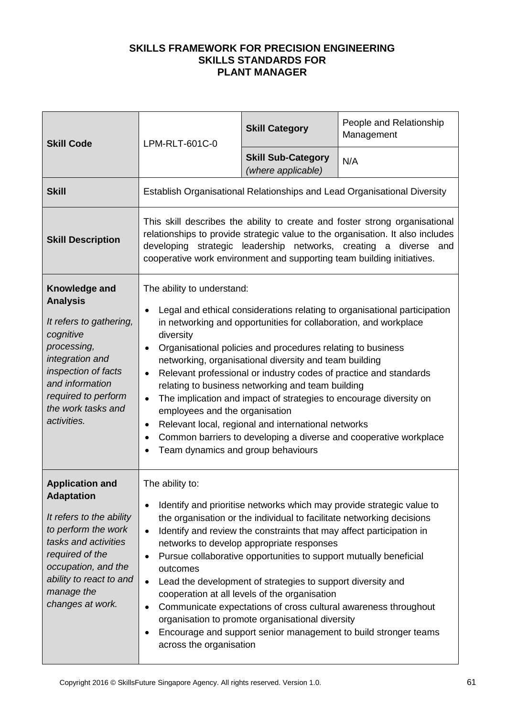| <b>Skill Code</b>                                                                                                                                                                                                             | LPM-RLT-601C-0                                                                                                                                                                                                                                                                                                                                                                                                                                                                                                                                                                                                                                                                                                                                                                             | <b>Skill Category</b>                           | People and Relationship<br>Management |
|-------------------------------------------------------------------------------------------------------------------------------------------------------------------------------------------------------------------------------|--------------------------------------------------------------------------------------------------------------------------------------------------------------------------------------------------------------------------------------------------------------------------------------------------------------------------------------------------------------------------------------------------------------------------------------------------------------------------------------------------------------------------------------------------------------------------------------------------------------------------------------------------------------------------------------------------------------------------------------------------------------------------------------------|-------------------------------------------------|---------------------------------------|
|                                                                                                                                                                                                                               |                                                                                                                                                                                                                                                                                                                                                                                                                                                                                                                                                                                                                                                                                                                                                                                            | <b>Skill Sub-Category</b><br>(where applicable) | N/A                                   |
| <b>Skill</b>                                                                                                                                                                                                                  | Establish Organisational Relationships and Lead Organisational Diversity                                                                                                                                                                                                                                                                                                                                                                                                                                                                                                                                                                                                                                                                                                                   |                                                 |                                       |
| <b>Skill Description</b>                                                                                                                                                                                                      | This skill describes the ability to create and foster strong organisational<br>relationships to provide strategic value to the organisation. It also includes<br>developing strategic leadership networks, creating a diverse and<br>cooperative work environment and supporting team building initiatives.                                                                                                                                                                                                                                                                                                                                                                                                                                                                                |                                                 |                                       |
| Knowledge and<br><b>Analysis</b><br>It refers to gathering,<br>cognitive<br>processing,<br>integration and<br>inspection of facts<br>and information<br>required to perform<br>the work tasks and<br>activities.              | The ability to understand:<br>Legal and ethical considerations relating to organisational participation<br>$\bullet$<br>in networking and opportunities for collaboration, and workplace<br>diversity<br>Organisational policies and procedures relating to business<br>$\bullet$<br>networking, organisational diversity and team building<br>Relevant professional or industry codes of practice and standards<br>$\bullet$<br>relating to business networking and team building<br>The implication and impact of strategies to encourage diversity on<br>$\bullet$<br>employees and the organisation<br>Relevant local, regional and international networks<br>$\bullet$<br>Common barriers to developing a diverse and cooperative workplace<br>Team dynamics and group behaviours     |                                                 |                                       |
| <b>Application and</b><br><b>Adaptation</b><br>It refers to the ability<br>to perform the work<br>tasks and activities<br>required of the<br>occupation, and the<br>ability to react to and<br>manage the<br>changes at work. | The ability to:<br>Identify and prioritise networks which may provide strategic value to<br>$\bullet$<br>the organisation or the individual to facilitate networking decisions<br>Identify and review the constraints that may affect participation in<br>$\bullet$<br>networks to develop appropriate responses<br>Pursue collaborative opportunities to support mutually beneficial<br>$\bullet$<br>outcomes<br>Lead the development of strategies to support diversity and<br>$\bullet$<br>cooperation at all levels of the organisation<br>Communicate expectations of cross cultural awareness throughout<br>$\bullet$<br>organisation to promote organisational diversity<br>Encourage and support senior management to build stronger teams<br>$\bullet$<br>across the organisation |                                                 |                                       |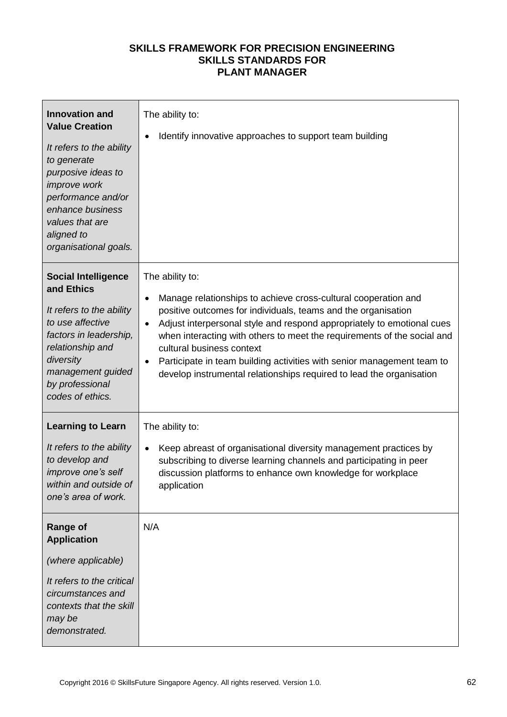| <b>Innovation and</b><br><b>Value Creation</b><br>It refers to the ability<br>to generate<br>purposive ideas to<br>improve work<br>performance and/or<br>enhance business<br>values that are<br>aligned to<br>organisational goals. | The ability to:<br>Identify innovative approaches to support team building |
|-------------------------------------------------------------------------------------------------------------------------------------------------------------------------------------------------------------------------------------|----------------------------------------------------------------------------|
| <b>Social Intelligence</b>                                                                                                                                                                                                          | The ability to:                                                            |
| and Ethics                                                                                                                                                                                                                          | Manage relationships to achieve cross-cultural cooperation and             |
| It refers to the ability                                                                                                                                                                                                            | positive outcomes for individuals, teams and the organisation              |
| to use affective                                                                                                                                                                                                                    | Adjust interpersonal style and respond appropriately to emotional cues     |
| factors in leadership,                                                                                                                                                                                                              | $\bullet$                                                                  |
| relationship and                                                                                                                                                                                                                    | when interacting with others to meet the requirements of the social and    |
| diversity                                                                                                                                                                                                                           | cultural business context                                                  |
| management guided                                                                                                                                                                                                                   | Participate in team building activities with senior management team to     |
| by professional                                                                                                                                                                                                                     | $\bullet$                                                                  |
| codes of ethics.                                                                                                                                                                                                                    | develop instrumental relationships required to lead the organisation       |
| <b>Learning to Learn</b>                                                                                                                                                                                                            | The ability to:                                                            |
| It refers to the ability                                                                                                                                                                                                            | Keep abreast of organisational diversity management practices by           |
| to develop and                                                                                                                                                                                                                      | $\bullet$                                                                  |
| improve one's self                                                                                                                                                                                                                  | subscribing to diverse learning channels and participating in peer         |
| within and outside of                                                                                                                                                                                                               | discussion platforms to enhance own knowledge for workplace                |
| one's area of work.                                                                                                                                                                                                                 | application                                                                |
| <b>Range of</b><br><b>Application</b><br>(where applicable)<br>It refers to the critical<br>circumstances and<br>contexts that the skill<br>may be<br>demonstrated.                                                                 | N/A                                                                        |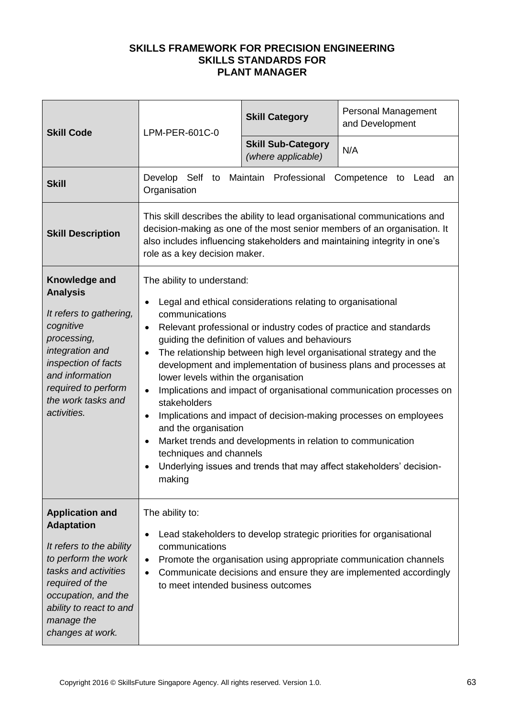| <b>Skill Code</b>                                                                                                                                                                                                             | LPM-PER-601C-0                                                                                                                                                                                                                                                                                                                                                                                                                                                                                                                                                                                                                                                                                                                                                                                                                       | <b>Skill Category</b>                           | Personal Management<br>and Development |
|-------------------------------------------------------------------------------------------------------------------------------------------------------------------------------------------------------------------------------|--------------------------------------------------------------------------------------------------------------------------------------------------------------------------------------------------------------------------------------------------------------------------------------------------------------------------------------------------------------------------------------------------------------------------------------------------------------------------------------------------------------------------------------------------------------------------------------------------------------------------------------------------------------------------------------------------------------------------------------------------------------------------------------------------------------------------------------|-------------------------------------------------|----------------------------------------|
|                                                                                                                                                                                                                               |                                                                                                                                                                                                                                                                                                                                                                                                                                                                                                                                                                                                                                                                                                                                                                                                                                      | <b>Skill Sub-Category</b><br>(where applicable) | N/A                                    |
| <b>Skill</b>                                                                                                                                                                                                                  | Develop Self to Maintain Professional<br>Competence to Lead<br>an<br>Organisation                                                                                                                                                                                                                                                                                                                                                                                                                                                                                                                                                                                                                                                                                                                                                    |                                                 |                                        |
| <b>Skill Description</b>                                                                                                                                                                                                      | This skill describes the ability to lead organisational communications and<br>decision-making as one of the most senior members of an organisation. It<br>also includes influencing stakeholders and maintaining integrity in one's<br>role as a key decision maker.                                                                                                                                                                                                                                                                                                                                                                                                                                                                                                                                                                 |                                                 |                                        |
| Knowledge and<br><b>Analysis</b><br>It refers to gathering,<br>cognitive<br>processing,<br>integration and<br>inspection of facts<br>and information<br>required to perform<br>the work tasks and<br>activities.              | The ability to understand:<br>Legal and ethical considerations relating to organisational<br>communications<br>Relevant professional or industry codes of practice and standards<br>$\bullet$<br>guiding the definition of values and behaviours<br>The relationship between high level organisational strategy and the<br>$\bullet$<br>development and implementation of business plans and processes at<br>lower levels within the organisation<br>Implications and impact of organisational communication processes on<br>$\bullet$<br>stakeholders<br>Implications and impact of decision-making processes on employees<br>٠<br>and the organisation<br>Market trends and developments in relation to communication<br>techniques and channels<br>Underlying issues and trends that may affect stakeholders' decision-<br>making |                                                 |                                        |
| <b>Application and</b><br><b>Adaptation</b><br>It refers to the ability<br>to perform the work<br>tasks and activities<br>required of the<br>occupation, and the<br>ability to react to and<br>manage the<br>changes at work. | The ability to:<br>Lead stakeholders to develop strategic priorities for organisational<br>communications<br>Promote the organisation using appropriate communication channels<br>$\bullet$<br>Communicate decisions and ensure they are implemented accordingly<br>$\bullet$<br>to meet intended business outcomes                                                                                                                                                                                                                                                                                                                                                                                                                                                                                                                  |                                                 |                                        |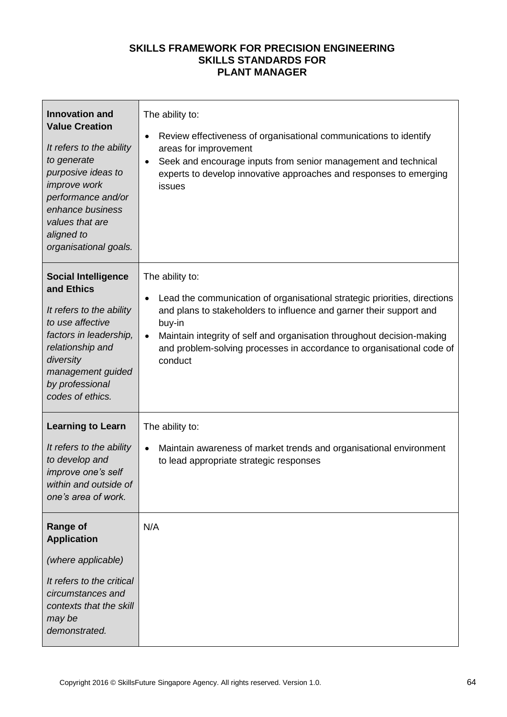| <b>Innovation and</b><br><b>Value Creation</b><br>It refers to the ability<br>to generate<br>purposive ideas to<br>improve work<br>performance and/or<br>enhance business<br>values that are<br>aligned to<br>organisational goals. | The ability to:<br>Review effectiveness of organisational communications to identify<br>areas for improvement<br>Seek and encourage inputs from senior management and technical<br>$\bullet$<br>experts to develop innovative approaches and responses to emerging<br>issues                                                                |
|-------------------------------------------------------------------------------------------------------------------------------------------------------------------------------------------------------------------------------------|---------------------------------------------------------------------------------------------------------------------------------------------------------------------------------------------------------------------------------------------------------------------------------------------------------------------------------------------|
| <b>Social Intelligence</b><br>and Ethics<br>It refers to the ability<br>to use affective<br>factors in leadership,<br>relationship and<br>diversity<br>management guided<br>by professional<br>codes of ethics.                     | The ability to:<br>Lead the communication of organisational strategic priorities, directions<br>and plans to stakeholders to influence and garner their support and<br>buy-in<br>Maintain integrity of self and organisation throughout decision-making<br>and problem-solving processes in accordance to organisational code of<br>conduct |
| <b>Learning to Learn</b><br>It refers to the ability<br>to develop and<br>improve one's self<br>within and outside of<br>one's area of work.                                                                                        | The ability to:<br>Maintain awareness of market trends and organisational environment<br>$\bullet$<br>to lead appropriate strategic responses                                                                                                                                                                                               |
| <b>Range of</b><br><b>Application</b><br>(where applicable)<br>It refers to the critical<br>circumstances and<br>contexts that the skill<br>may be<br>demonstrated.                                                                 | N/A                                                                                                                                                                                                                                                                                                                                         |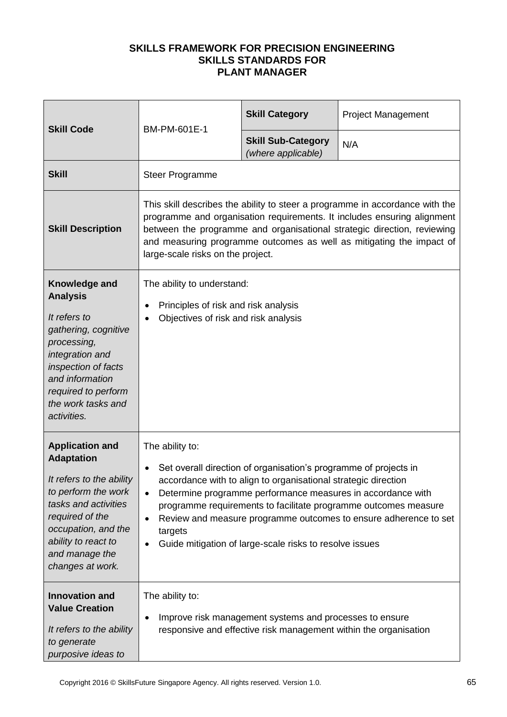| <b>Skill Code</b>                                                                                                                                                                                                             | BM-PM-601E-1                                                                                                                                                                                                                                                                                                                                                                                                                                                                  | <b>Skill Category</b>                           | <b>Project Management</b> |
|-------------------------------------------------------------------------------------------------------------------------------------------------------------------------------------------------------------------------------|-------------------------------------------------------------------------------------------------------------------------------------------------------------------------------------------------------------------------------------------------------------------------------------------------------------------------------------------------------------------------------------------------------------------------------------------------------------------------------|-------------------------------------------------|---------------------------|
|                                                                                                                                                                                                                               |                                                                                                                                                                                                                                                                                                                                                                                                                                                                               | <b>Skill Sub-Category</b><br>(where applicable) | N/A                       |
| <b>Skill</b>                                                                                                                                                                                                                  | <b>Steer Programme</b>                                                                                                                                                                                                                                                                                                                                                                                                                                                        |                                                 |                           |
| <b>Skill Description</b>                                                                                                                                                                                                      | This skill describes the ability to steer a programme in accordance with the<br>programme and organisation requirements. It includes ensuring alignment<br>between the programme and organisational strategic direction, reviewing<br>and measuring programme outcomes as well as mitigating the impact of<br>large-scale risks on the project.                                                                                                                               |                                                 |                           |
| Knowledge and<br><b>Analysis</b><br>It refers to<br>gathering, cognitive<br>processing,<br>integration and<br>inspection of facts<br>and information<br>required to perform<br>the work tasks and<br>activities.              | The ability to understand:<br>Principles of risk and risk analysis<br>٠<br>Objectives of risk and risk analysis<br>$\bullet$                                                                                                                                                                                                                                                                                                                                                  |                                                 |                           |
| <b>Application and</b><br><b>Adaptation</b><br>It refers to the ability<br>to perform the work<br>tasks and activities<br>required of the<br>occupation, and the<br>ability to react to<br>and manage the<br>changes at work. | The ability to:<br>Set overall direction of organisation's programme of projects in<br>$\bullet$<br>accordance with to align to organisational strategic direction<br>Determine programme performance measures in accordance with<br>$\bullet$<br>programme requirements to facilitate programme outcomes measure<br>Review and measure programme outcomes to ensure adherence to set<br>٠<br>targets<br>Guide mitigation of large-scale risks to resolve issues<br>$\bullet$ |                                                 |                           |
| <b>Innovation and</b><br><b>Value Creation</b><br>It refers to the ability<br>to generate<br>purposive ideas to                                                                                                               | The ability to:<br>Improve risk management systems and processes to ensure<br>$\bullet$<br>responsive and effective risk management within the organisation                                                                                                                                                                                                                                                                                                                   |                                                 |                           |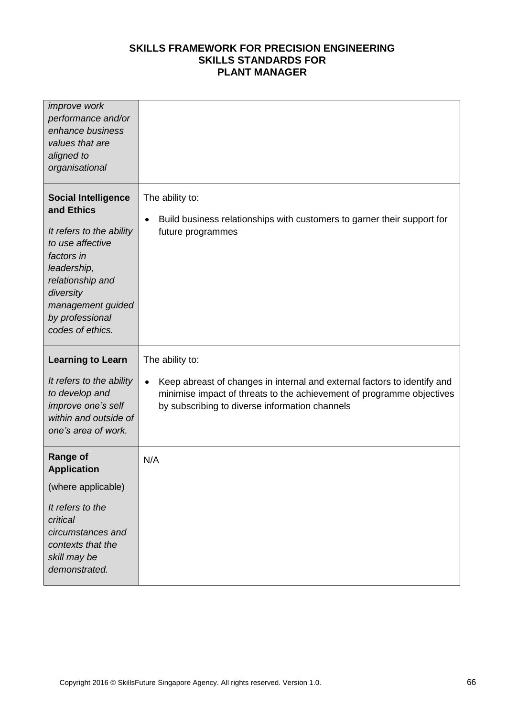| <i>improve</i> work<br>performance and/or<br>enhance business<br>values that are<br>aligned to<br>organisational                                                                                                   |                                                                                                                                                                                                                  |
|--------------------------------------------------------------------------------------------------------------------------------------------------------------------------------------------------------------------|------------------------------------------------------------------------------------------------------------------------------------------------------------------------------------------------------------------|
| <b>Social Intelligence</b><br>and Ethics<br>It refers to the ability<br>to use affective<br>factors in<br>leadership,<br>relationship and<br>diversity<br>management guided<br>by professional<br>codes of ethics. | The ability to:<br>Build business relationships with customers to garner their support for<br>$\bullet$<br>future programmes                                                                                     |
|                                                                                                                                                                                                                    |                                                                                                                                                                                                                  |
| <b>Learning to Learn</b>                                                                                                                                                                                           | The ability to:                                                                                                                                                                                                  |
| It refers to the ability<br>to develop and<br>improve one's self<br>within and outside of<br>one's area of work.                                                                                                   | Keep abreast of changes in internal and external factors to identify and<br>$\bullet$<br>minimise impact of threats to the achievement of programme objectives<br>by subscribing to diverse information channels |
| <b>Range of</b><br><b>Application</b>                                                                                                                                                                              | N/A                                                                                                                                                                                                              |
| (where applicable)                                                                                                                                                                                                 |                                                                                                                                                                                                                  |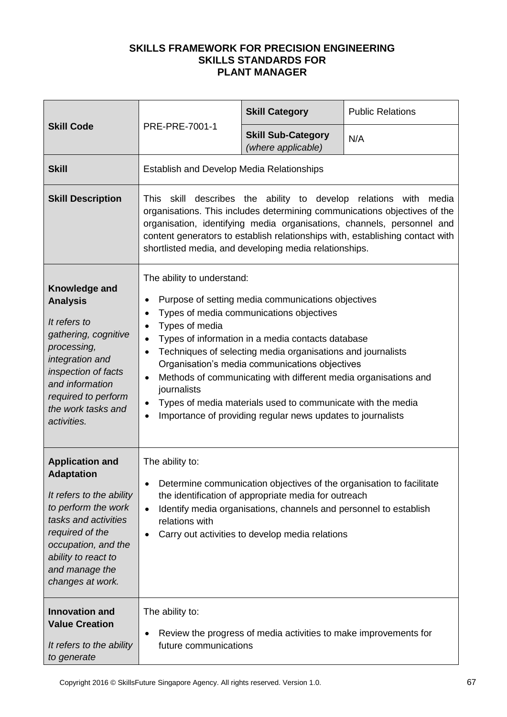|                                                                                                                                                                                                                               | PRE-PRE-7001-1                                                                                                                                                                                                                                                                                                                                                                                                                                                                                                                                                                                                                       | <b>Skill Category</b>                           | <b>Public Relations</b> |
|-------------------------------------------------------------------------------------------------------------------------------------------------------------------------------------------------------------------------------|--------------------------------------------------------------------------------------------------------------------------------------------------------------------------------------------------------------------------------------------------------------------------------------------------------------------------------------------------------------------------------------------------------------------------------------------------------------------------------------------------------------------------------------------------------------------------------------------------------------------------------------|-------------------------------------------------|-------------------------|
| <b>Skill Code</b>                                                                                                                                                                                                             |                                                                                                                                                                                                                                                                                                                                                                                                                                                                                                                                                                                                                                      | <b>Skill Sub-Category</b><br>(where applicable) | N/A                     |
| <b>Skill</b>                                                                                                                                                                                                                  | <b>Establish and Develop Media Relationships</b>                                                                                                                                                                                                                                                                                                                                                                                                                                                                                                                                                                                     |                                                 |                         |
| <b>Skill Description</b>                                                                                                                                                                                                      | This skill describes the ability to develop relations with media<br>organisations. This includes determining communications objectives of the<br>organisation, identifying media organisations, channels, personnel and<br>content generators to establish relationships with, establishing contact with<br>shortlisted media, and developing media relationships.                                                                                                                                                                                                                                                                   |                                                 |                         |
| Knowledge and<br><b>Analysis</b><br>It refers to<br>gathering, cognitive<br>processing,<br>integration and<br>inspection of facts<br>and information<br>required to perform<br>the work tasks and<br>activities.              | The ability to understand:<br>Purpose of setting media communications objectives<br>٠<br>Types of media communications objectives<br>$\bullet$<br>Types of media<br>$\bullet$<br>Types of information in a media contacts database<br>$\bullet$<br>Techniques of selecting media organisations and journalists<br>$\bullet$<br>Organisation's media communications objectives<br>Methods of communicating with different media organisations and<br>$\bullet$<br>journalists<br>Types of media materials used to communicate with the media<br>$\bullet$<br>Importance of providing regular news updates to journalists<br>$\bullet$ |                                                 |                         |
| <b>Application and</b><br><b>Adaptation</b><br>It refers to the ability<br>to perform the work<br>tasks and activities<br>required of the<br>occupation, and the<br>ability to react to<br>and manage the<br>changes at work. | The ability to:<br>Determine communication objectives of the organisation to facilitate<br>$\bullet$<br>the identification of appropriate media for outreach<br>Identify media organisations, channels and personnel to establish<br>$\bullet$<br>relations with<br>Carry out activities to develop media relations<br>$\bullet$                                                                                                                                                                                                                                                                                                     |                                                 |                         |
| <b>Innovation and</b><br><b>Value Creation</b><br>It refers to the ability<br>to generate                                                                                                                                     | The ability to:<br>Review the progress of media activities to make improvements for<br>٠<br>future communications                                                                                                                                                                                                                                                                                                                                                                                                                                                                                                                    |                                                 |                         |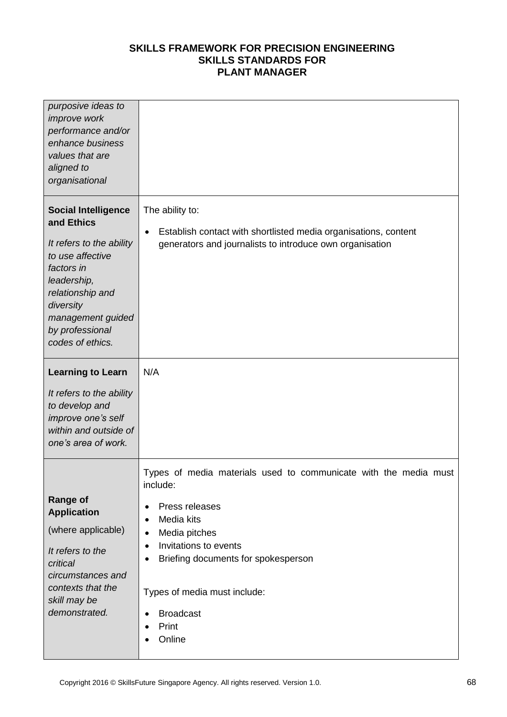| purposive ideas to<br>improve work<br>performance and/or<br>enhance business<br>values that are<br>aligned to<br>organisational                                                                                    |                                                                                                                                                                                                                                                                                                                                                      |
|--------------------------------------------------------------------------------------------------------------------------------------------------------------------------------------------------------------------|------------------------------------------------------------------------------------------------------------------------------------------------------------------------------------------------------------------------------------------------------------------------------------------------------------------------------------------------------|
| <b>Social Intelligence</b><br>and Ethics<br>It refers to the ability<br>to use affective<br>factors in<br>leadership,<br>relationship and<br>diversity<br>management guided<br>by professional<br>codes of ethics. | The ability to:<br>Establish contact with shortlisted media organisations, content<br>٠<br>generators and journalists to introduce own organisation                                                                                                                                                                                                  |
| <b>Learning to Learn</b><br>It refers to the ability<br>to develop and<br>improve one's self<br>within and outside of<br>one's area of work.                                                                       | N/A                                                                                                                                                                                                                                                                                                                                                  |
| <b>Range of</b><br><b>Application</b><br>(where applicable)<br>It refers to the<br>critical<br>circumstances and<br>contexts that the<br>skill may be<br>demonstrated.                                             | Types of media materials used to communicate with the media must<br>include:<br>Press releases<br>٠<br>Media kits<br>$\bullet$<br>Media pitches<br>٠<br>Invitations to events<br>٠<br>Briefing documents for spokesperson<br>$\bullet$<br>Types of media must include:<br><b>Broadcast</b><br>$\bullet$<br>Print<br>$\bullet$<br>Online<br>$\bullet$ |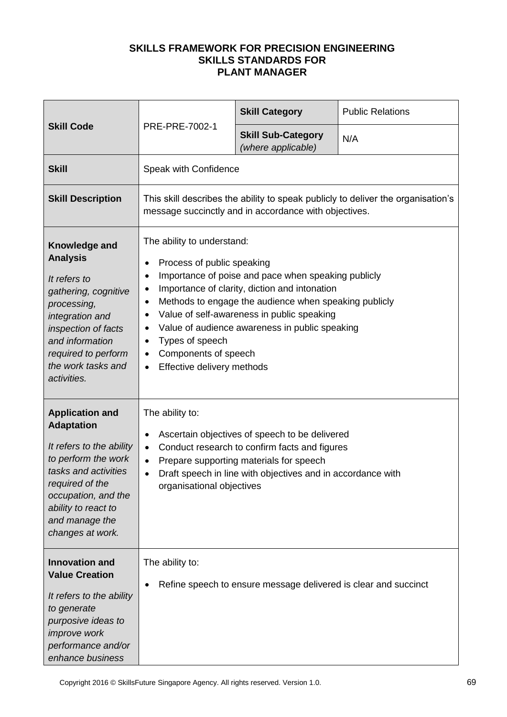| <b>Skill Code</b>                                                                                                                                                                                                             |                                                                                                                                                                                                                                                                                                                                                                                                                                                                                         | <b>Skill Category</b>                           | <b>Public Relations</b> |
|-------------------------------------------------------------------------------------------------------------------------------------------------------------------------------------------------------------------------------|-----------------------------------------------------------------------------------------------------------------------------------------------------------------------------------------------------------------------------------------------------------------------------------------------------------------------------------------------------------------------------------------------------------------------------------------------------------------------------------------|-------------------------------------------------|-------------------------|
|                                                                                                                                                                                                                               | PRE-PRE-7002-1                                                                                                                                                                                                                                                                                                                                                                                                                                                                          | <b>Skill Sub-Category</b><br>(where applicable) | N/A                     |
| <b>Skill</b>                                                                                                                                                                                                                  | Speak with Confidence                                                                                                                                                                                                                                                                                                                                                                                                                                                                   |                                                 |                         |
| <b>Skill Description</b>                                                                                                                                                                                                      | This skill describes the ability to speak publicly to deliver the organisation's<br>message succinctly and in accordance with objectives.                                                                                                                                                                                                                                                                                                                                               |                                                 |                         |
| Knowledge and<br><b>Analysis</b><br>It refers to<br>gathering, cognitive<br>processing,<br>integration and<br>inspection of facts<br>and information<br>required to perform<br>the work tasks and<br>activities.              | The ability to understand:<br>Process of public speaking<br>٠<br>Importance of poise and pace when speaking publicly<br>$\bullet$<br>Importance of clarity, diction and intonation<br>$\bullet$<br>Methods to engage the audience when speaking publicly<br>$\bullet$<br>Value of self-awareness in public speaking<br>$\bullet$<br>Value of audience awareness in public speaking<br>٠<br>Types of speech<br>٠<br>Components of speech<br>٠<br>Effective delivery methods<br>$\bullet$ |                                                 |                         |
| <b>Application and</b><br><b>Adaptation</b><br>It refers to the ability<br>to perform the work<br>tasks and activities<br>required of the<br>occupation, and the<br>ability to react to<br>and manage the<br>changes at work. | The ability to:<br>Ascertain objectives of speech to be delivered<br>$\bullet$<br>Conduct research to confirm facts and figures<br>$\bullet$<br>Prepare supporting materials for speech<br>$\bullet$<br>Draft speech in line with objectives and in accordance with<br>$\bullet$<br>organisational objectives                                                                                                                                                                           |                                                 |                         |
| <b>Innovation and</b><br><b>Value Creation</b><br>It refers to the ability<br>to generate<br>purposive ideas to<br>improve work<br>performance and/or<br>enhance business                                                     | The ability to:<br>Refine speech to ensure message delivered is clear and succinct                                                                                                                                                                                                                                                                                                                                                                                                      |                                                 |                         |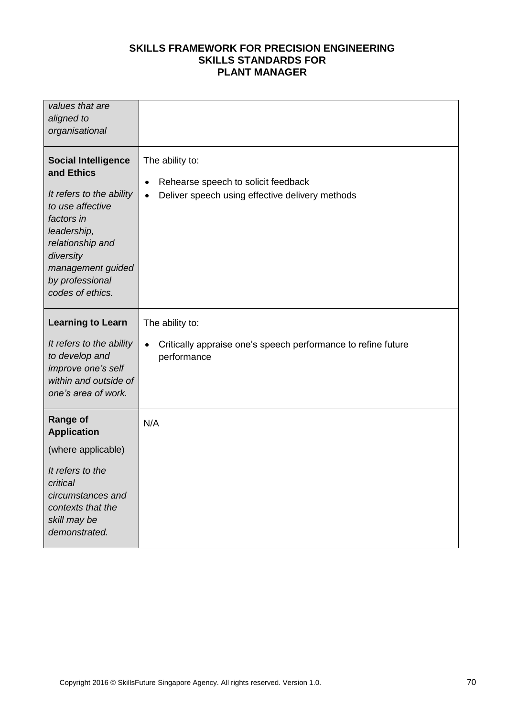| values that are<br>aligned to<br>organisational                                                                                                                                                                    |                                                                                                                                     |
|--------------------------------------------------------------------------------------------------------------------------------------------------------------------------------------------------------------------|-------------------------------------------------------------------------------------------------------------------------------------|
| <b>Social Intelligence</b><br>and Ethics<br>It refers to the ability<br>to use affective<br>factors in<br>leadership,<br>relationship and<br>diversity<br>management guided<br>by professional<br>codes of ethics. | The ability to:<br>Rehearse speech to solicit feedback<br>$\bullet$<br>Deliver speech using effective delivery methods<br>$\bullet$ |
| <b>Learning to Learn</b><br>It refers to the ability<br>to develop and<br>improve one's self<br>within and outside of<br>one's area of work.                                                                       | The ability to:<br>Critically appraise one's speech performance to refine future<br>$\bullet$<br>performance                        |
| <b>Range of</b><br><b>Application</b><br>(where applicable)<br>It refers to the<br>critical<br>circumstances and<br>contexts that the<br>skill may be<br>demonstrated.                                             | N/A                                                                                                                                 |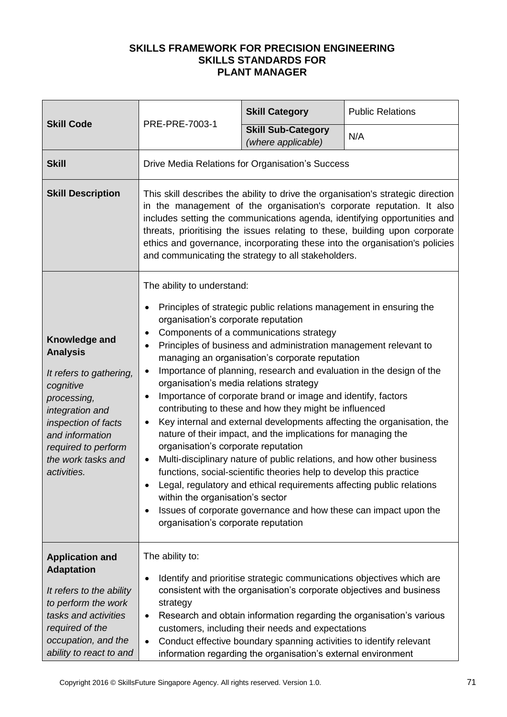|                                                                                                                                                                                                                  | PRE-PRE-7003-1                                                                                                                                                                                                                                                                                                                                                                                                                                                                                                                                                                                                                                                                                                                                                                                                                                                                                                                                                                                                                                                                                                                              | <b>Skill Category</b>                           | <b>Public Relations</b> |
|------------------------------------------------------------------------------------------------------------------------------------------------------------------------------------------------------------------|---------------------------------------------------------------------------------------------------------------------------------------------------------------------------------------------------------------------------------------------------------------------------------------------------------------------------------------------------------------------------------------------------------------------------------------------------------------------------------------------------------------------------------------------------------------------------------------------------------------------------------------------------------------------------------------------------------------------------------------------------------------------------------------------------------------------------------------------------------------------------------------------------------------------------------------------------------------------------------------------------------------------------------------------------------------------------------------------------------------------------------------------|-------------------------------------------------|-------------------------|
| <b>Skill Code</b>                                                                                                                                                                                                |                                                                                                                                                                                                                                                                                                                                                                                                                                                                                                                                                                                                                                                                                                                                                                                                                                                                                                                                                                                                                                                                                                                                             | <b>Skill Sub-Category</b><br>(where applicable) | N/A                     |
| <b>Skill</b>                                                                                                                                                                                                     | Drive Media Relations for Organisation's Success                                                                                                                                                                                                                                                                                                                                                                                                                                                                                                                                                                                                                                                                                                                                                                                                                                                                                                                                                                                                                                                                                            |                                                 |                         |
| <b>Skill Description</b>                                                                                                                                                                                         | This skill describes the ability to drive the organisation's strategic direction<br>in the management of the organisation's corporate reputation. It also<br>includes setting the communications agenda, identifying opportunities and<br>threats, prioritising the issues relating to these, building upon corporate<br>ethics and governance, incorporating these into the organisation's policies<br>and communicating the strategy to all stakeholders.                                                                                                                                                                                                                                                                                                                                                                                                                                                                                                                                                                                                                                                                                 |                                                 |                         |
| Knowledge and<br><b>Analysis</b><br>It refers to gathering,<br>cognitive<br>processing,<br>integration and<br>inspection of facts<br>and information<br>required to perform<br>the work tasks and<br>activities. | The ability to understand:<br>Principles of strategic public relations management in ensuring the<br>organisation's corporate reputation<br>Components of a communications strategy<br>Principles of business and administration management relevant to<br>managing an organisation's corporate reputation<br>Importance of planning, research and evaluation in the design of the<br>organisation's media relations strategy<br>Importance of corporate brand or image and identify, factors<br>contributing to these and how they might be influenced<br>Key internal and external developments affecting the organisation, the<br>nature of their impact, and the implications for managing the<br>organisation's corporate reputation<br>Multi-disciplinary nature of public relations, and how other business<br>$\bullet$<br>functions, social-scientific theories help to develop this practice<br>Legal, regulatory and ethical requirements affecting public relations<br>within the organisation's sector<br>Issues of corporate governance and how these can impact upon the<br>$\bullet$<br>organisation's corporate reputation |                                                 |                         |
| <b>Application and</b><br><b>Adaptation</b><br>It refers to the ability<br>to perform the work<br>tasks and activities<br>required of the<br>occupation, and the<br>ability to react to and                      | The ability to:<br>Identify and prioritise strategic communications objectives which are<br>٠<br>consistent with the organisation's corporate objectives and business<br>strategy<br>Research and obtain information regarding the organisation's various<br>٠<br>customers, including their needs and expectations<br>Conduct effective boundary spanning activities to identify relevant<br>$\bullet$<br>information regarding the organisation's external environment                                                                                                                                                                                                                                                                                                                                                                                                                                                                                                                                                                                                                                                                    |                                                 |                         |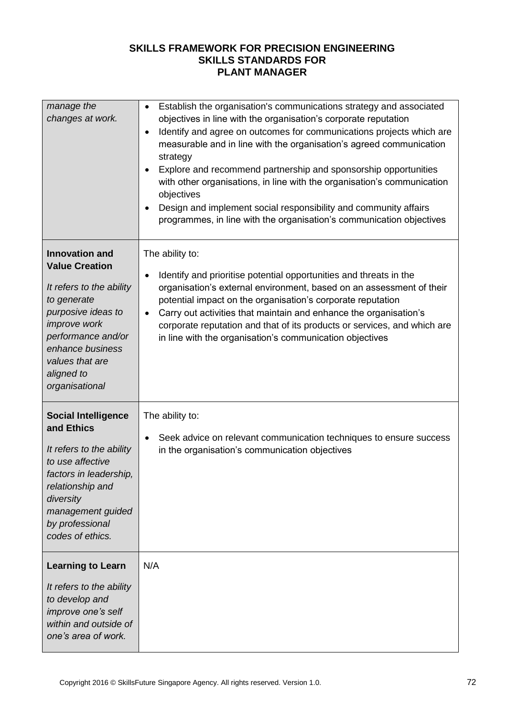| manage the<br>changes at work.                                                                                                                                                                                                      | Establish the organisation's communications strategy and associated<br>$\bullet$<br>objectives in line with the organisation's corporate reputation<br>Identify and agree on outcomes for communications projects which are<br>$\bullet$<br>measurable and in line with the organisation's agreed communication<br>strategy<br>Explore and recommend partnership and sponsorship opportunities<br>with other organisations, in line with the organisation's communication<br>objectives<br>Design and implement social responsibility and community affairs<br>programmes, in line with the organisation's communication objectives |
|-------------------------------------------------------------------------------------------------------------------------------------------------------------------------------------------------------------------------------------|-------------------------------------------------------------------------------------------------------------------------------------------------------------------------------------------------------------------------------------------------------------------------------------------------------------------------------------------------------------------------------------------------------------------------------------------------------------------------------------------------------------------------------------------------------------------------------------------------------------------------------------|
| <b>Innovation and</b><br><b>Value Creation</b><br>It refers to the ability<br>to generate<br>purposive ideas to<br><i>improve</i> work<br>performance and/or<br>enhance business<br>values that are<br>aligned to<br>organisational | The ability to:<br>Identify and prioritise potential opportunities and threats in the<br>organisation's external environment, based on an assessment of their<br>potential impact on the organisation's corporate reputation<br>Carry out activities that maintain and enhance the organisation's<br>$\bullet$<br>corporate reputation and that of its products or services, and which are<br>in line with the organisation's communication objectives                                                                                                                                                                              |
| <b>Social Intelligence</b><br>and Ethics<br>It refers to the ability<br>to use affective<br>factors in leadership,<br>relationship and<br>diversity<br>management guided<br>by professional<br>codes of ethics.                     | The ability to:<br>Seek advice on relevant communication techniques to ensure success<br>$\bullet$<br>in the organisation's communication objectives                                                                                                                                                                                                                                                                                                                                                                                                                                                                                |
| <b>Learning to Learn</b><br>It refers to the ability<br>to develop and<br>improve one's self<br>within and outside of<br>one's area of work.                                                                                        | N/A                                                                                                                                                                                                                                                                                                                                                                                                                                                                                                                                                                                                                                 |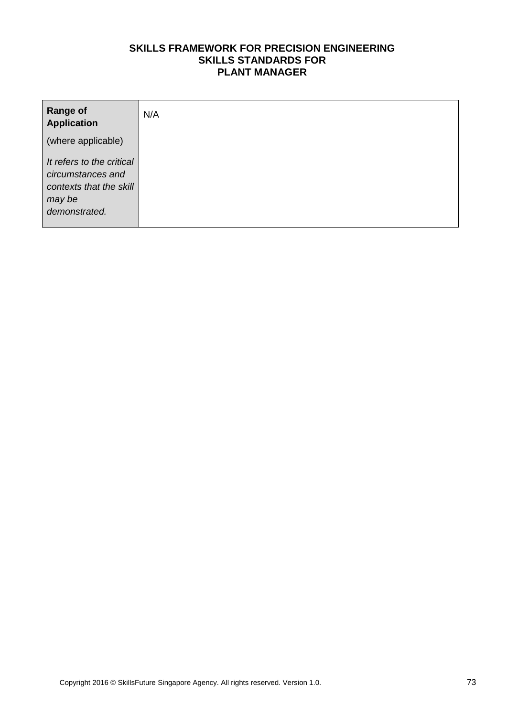| <b>Range of</b><br><b>Application</b>                                                                | N/A |
|------------------------------------------------------------------------------------------------------|-----|
| (where applicable)                                                                                   |     |
| It refers to the critical<br>circumstances and<br>contexts that the skill<br>may be<br>demonstrated. |     |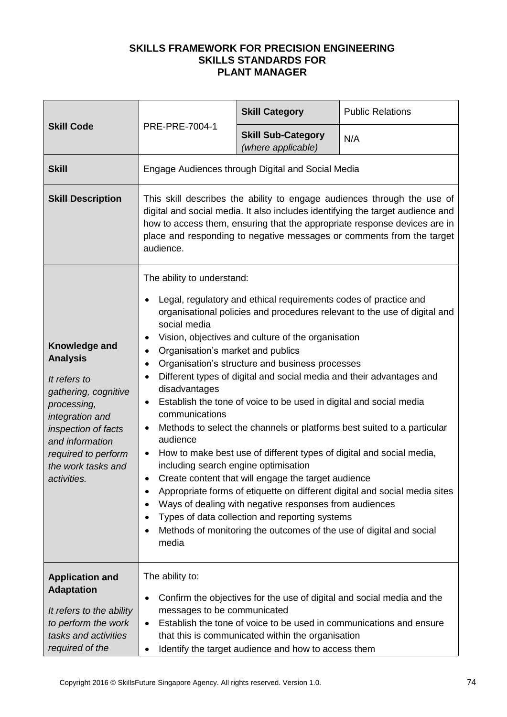|                                                                                                                                                                                                                  |                                                                                                                                                                                                                                                                                                                                  | <b>Skill Category</b>                                                                                                                                                                                                                                                                                                                                                                                                                                                                                                                                                                                                                     | <b>Public Relations</b>                                                                                                                                                                                                            |
|------------------------------------------------------------------------------------------------------------------------------------------------------------------------------------------------------------------|----------------------------------------------------------------------------------------------------------------------------------------------------------------------------------------------------------------------------------------------------------------------------------------------------------------------------------|-------------------------------------------------------------------------------------------------------------------------------------------------------------------------------------------------------------------------------------------------------------------------------------------------------------------------------------------------------------------------------------------------------------------------------------------------------------------------------------------------------------------------------------------------------------------------------------------------------------------------------------------|------------------------------------------------------------------------------------------------------------------------------------------------------------------------------------------------------------------------------------|
| <b>Skill Code</b>                                                                                                                                                                                                | PRE-PRE-7004-1                                                                                                                                                                                                                                                                                                                   | <b>Skill Sub-Category</b><br>(where applicable)                                                                                                                                                                                                                                                                                                                                                                                                                                                                                                                                                                                           | N/A                                                                                                                                                                                                                                |
| <b>Skill</b>                                                                                                                                                                                                     |                                                                                                                                                                                                                                                                                                                                  | Engage Audiences through Digital and Social Media                                                                                                                                                                                                                                                                                                                                                                                                                                                                                                                                                                                         |                                                                                                                                                                                                                                    |
| <b>Skill Description</b>                                                                                                                                                                                         | This skill describes the ability to engage audiences through the use of<br>digital and social media. It also includes identifying the target audience and<br>how to access them, ensuring that the appropriate response devices are in<br>place and responding to negative messages or comments from the target<br>audience.     |                                                                                                                                                                                                                                                                                                                                                                                                                                                                                                                                                                                                                                           |                                                                                                                                                                                                                                    |
| Knowledge and<br><b>Analysis</b><br>It refers to<br>gathering, cognitive<br>processing,<br>integration and<br>inspection of facts<br>and information<br>required to perform<br>the work tasks and<br>activities. | The ability to understand:<br>$\bullet$<br>social media<br>٠<br>Organisation's market and publics<br>$\bullet$<br>$\bullet$<br>$\bullet$<br>disadvantages<br>$\bullet$<br>communications<br>٠<br>audience<br>$\bullet$<br>including search engine optimisation<br>$\bullet$<br>٠<br>$\bullet$<br>$\bullet$<br>$\bullet$<br>media | Legal, regulatory and ethical requirements codes of practice and<br>Vision, objectives and culture of the organisation<br>Organisation's structure and business processes<br>Different types of digital and social media and their advantages and<br>Establish the tone of voice to be used in digital and social media<br>How to make best use of different types of digital and social media,<br>Create content that will engage the target audience<br>Ways of dealing with negative responses from audiences<br>Types of data collection and reporting systems<br>Methods of monitoring the outcomes of the use of digital and social | organisational policies and procedures relevant to the use of digital and<br>Methods to select the channels or platforms best suited to a particular<br>Appropriate forms of etiquette on different digital and social media sites |
| <b>Application and</b><br><b>Adaptation</b><br>It refers to the ability<br>to perform the work<br>tasks and activities<br>required of the                                                                        | The ability to:<br>$\bullet$<br>messages to be communicated<br>$\bullet$<br>$\bullet$                                                                                                                                                                                                                                            | that this is communicated within the organisation<br>Identify the target audience and how to access them                                                                                                                                                                                                                                                                                                                                                                                                                                                                                                                                  | Confirm the objectives for the use of digital and social media and the<br>Establish the tone of voice to be used in communications and ensure                                                                                      |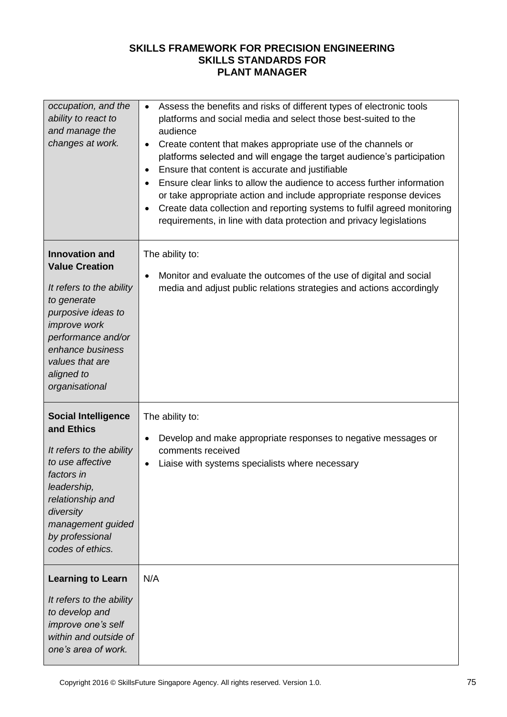| occupation, and the<br>ability to react to<br>and manage the<br>changes at work.                                                                                                                                             | Assess the benefits and risks of different types of electronic tools<br>$\bullet$<br>platforms and social media and select those best-suited to the<br>audience<br>Create content that makes appropriate use of the channels or<br>$\bullet$<br>platforms selected and will engage the target audience's participation<br>Ensure that content is accurate and justifiable<br>$\bullet$<br>Ensure clear links to allow the audience to access further information<br>$\bullet$<br>or take appropriate action and include appropriate response devices<br>Create data collection and reporting systems to fulfil agreed monitoring<br>$\bullet$<br>requirements, in line with data protection and privacy legislations |
|------------------------------------------------------------------------------------------------------------------------------------------------------------------------------------------------------------------------------|----------------------------------------------------------------------------------------------------------------------------------------------------------------------------------------------------------------------------------------------------------------------------------------------------------------------------------------------------------------------------------------------------------------------------------------------------------------------------------------------------------------------------------------------------------------------------------------------------------------------------------------------------------------------------------------------------------------------|
| <b>Innovation and</b><br><b>Value Creation</b><br>It refers to the ability<br>to generate<br>purposive ideas to<br>improve work<br>performance and/or<br>enhance business<br>values that are<br>aligned to<br>organisational | The ability to:<br>Monitor and evaluate the outcomes of the use of digital and social<br>$\bullet$<br>media and adjust public relations strategies and actions accordingly                                                                                                                                                                                                                                                                                                                                                                                                                                                                                                                                           |
| <b>Social Intelligence</b><br>and Ethics<br>It refers to the ability<br>to use affective<br>factors in<br>leadership,<br>relationship and<br>diversity<br>management guided<br>by professional<br>codes of ethics.           | The ability to:<br>Develop and make appropriate responses to negative messages or<br>$\bullet$<br>comments received<br>Liaise with systems specialists where necessary<br>$\bullet$                                                                                                                                                                                                                                                                                                                                                                                                                                                                                                                                  |
| <b>Learning to Learn</b><br>It refers to the ability<br>to develop and<br>improve one's self<br>within and outside of<br>one's area of work.                                                                                 | N/A                                                                                                                                                                                                                                                                                                                                                                                                                                                                                                                                                                                                                                                                                                                  |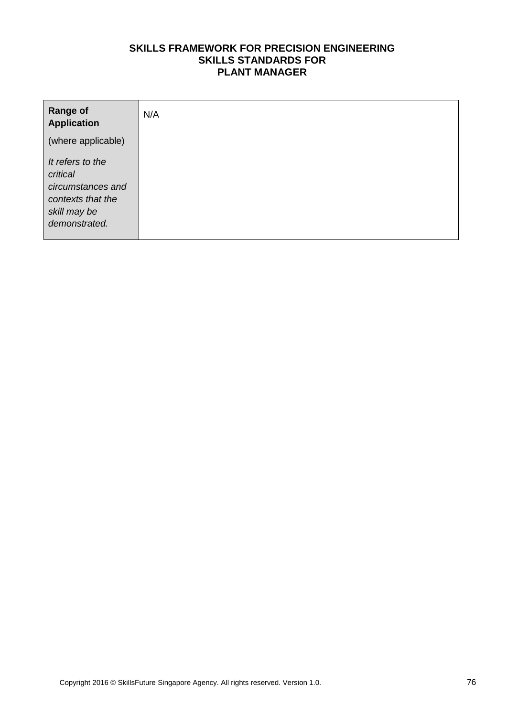| <b>Range of</b><br><b>Application</b>                                                                   | N/A |
|---------------------------------------------------------------------------------------------------------|-----|
| (where applicable)                                                                                      |     |
| It refers to the<br>critical<br>circumstances and<br>contexts that the<br>skill may be<br>demonstrated. |     |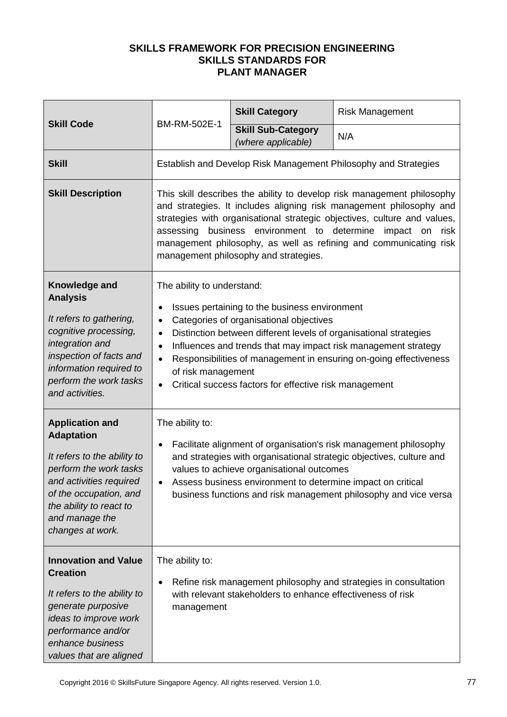|                                                                                                                                                                                                                            | BM-RM-502E-1                                                                                                                                                                                                                                                                                                                                                                                                                    | <b>Skill Category</b>                                       | <b>Risk Management</b>                                           |
|----------------------------------------------------------------------------------------------------------------------------------------------------------------------------------------------------------------------------|---------------------------------------------------------------------------------------------------------------------------------------------------------------------------------------------------------------------------------------------------------------------------------------------------------------------------------------------------------------------------------------------------------------------------------|-------------------------------------------------------------|------------------------------------------------------------------|
| <b>Skill Code</b>                                                                                                                                                                                                          |                                                                                                                                                                                                                                                                                                                                                                                                                                 | <b>Skill Sub-Category</b><br>(where applicable)             | N/A                                                              |
| <b>Skill</b>                                                                                                                                                                                                               | Establish and Develop Risk Management Philosophy and Strategies                                                                                                                                                                                                                                                                                                                                                                 |                                                             |                                                                  |
| <b>Skill Description</b>                                                                                                                                                                                                   | This skill describes the ability to develop risk management philosophy<br>and strategies. It includes aligning risk management philosophy and<br>strategies with organisational strategic objectives, culture and values,<br>assessing business environment to determine impact on risk<br>management philosophy, as well as refining and communicating risk<br>management philosophy and strategies.                           |                                                             |                                                                  |
| Knowledge and<br><b>Analysis</b><br>It refers to gathering,<br>cognitive processing,<br>integration and<br>inspection of facts and<br>information required to<br>perform the work tasks<br>and activities.                 | The ability to understand:<br>Issues pertaining to the business environment<br>Categories of organisational objectives<br>Distinction between different levels of organisational strategies<br>$\bullet$<br>Influences and trends that may impact risk management strategy<br>Responsibilities of management in ensuring on-going effectiveness<br>of risk management<br>Critical success factors for effective risk management |                                                             |                                                                  |
| <b>Application and</b><br><b>Adaptation</b><br>It refers to the ability to<br>perform the work tasks<br>and activities required<br>of the occupation, and<br>the ability to react to<br>and manage the<br>changes at work. | The ability to:<br>Facilitate alignment of organisation's risk management philosophy<br>and strategies with organisational strategic objectives, culture and<br>values to achieve organisational outcomes<br>Assess business environment to determine impact on critical<br>business functions and risk management philosophy and vice versa                                                                                    |                                                             |                                                                  |
| <b>Innovation and Value</b><br><b>Creation</b><br>It refers to the ability to<br>generate purposive<br>ideas to improve work<br>performance and/or<br>enhance business<br>values that are aligned                          | The ability to:<br>management                                                                                                                                                                                                                                                                                                                                                                                                   | with relevant stakeholders to enhance effectiveness of risk | Refine risk management philosophy and strategies in consultation |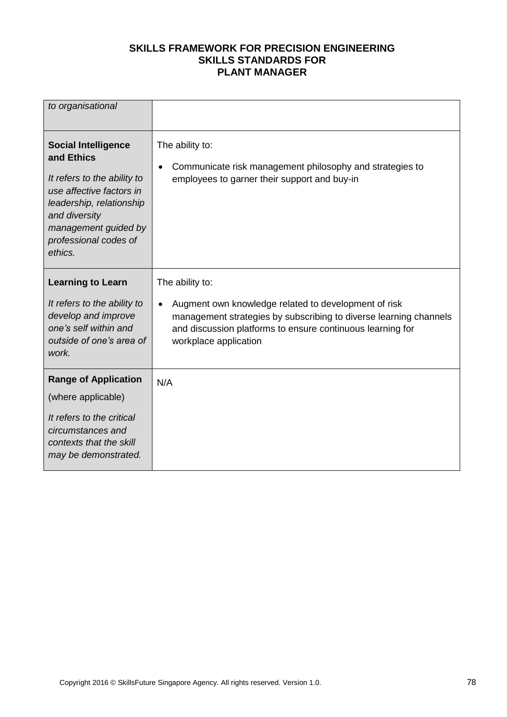| to organisational                                                                                                                                                                                            |                                                                                                                                                                                                                                     |
|--------------------------------------------------------------------------------------------------------------------------------------------------------------------------------------------------------------|-------------------------------------------------------------------------------------------------------------------------------------------------------------------------------------------------------------------------------------|
| <b>Social Intelligence</b><br>and Ethics<br>It refers to the ability to<br>use affective factors in<br>leadership, relationship<br>and diversity<br>management guided by<br>professional codes of<br>ethics. | The ability to:<br>Communicate risk management philosophy and strategies to<br>employees to garner their support and buy-in                                                                                                         |
| <b>Learning to Learn</b><br>It refers to the ability to<br>develop and improve<br>one's self within and<br>outside of one's area of<br>work.                                                                 | The ability to:<br>Augment own knowledge related to development of risk<br>management strategies by subscribing to diverse learning channels<br>and discussion platforms to ensure continuous learning for<br>workplace application |
| <b>Range of Application</b><br>(where applicable)<br>It refers to the critical<br>circumstances and<br>contexts that the skill<br>may be demonstrated.                                                       | N/A                                                                                                                                                                                                                                 |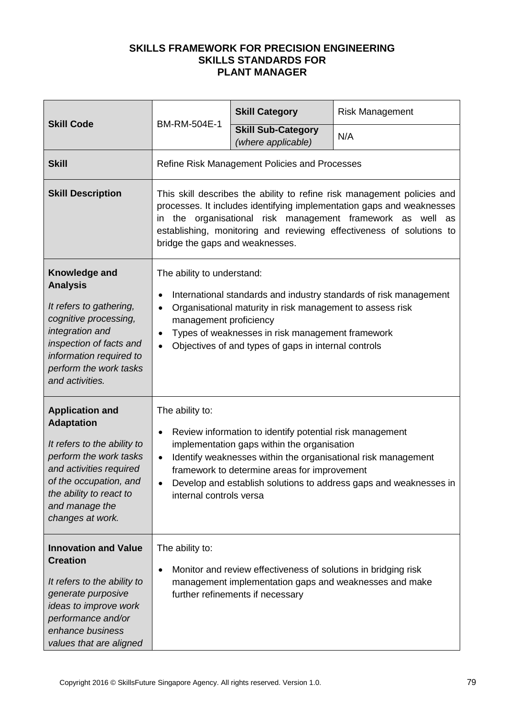| <b>Skill Code</b>                                                                                                                                                                                                          | BM-RM-504E-1                                                                                                                                                                                                                                                                                                                                             | <b>Skill Category</b>                                                                                                                                                 | <b>Risk Management</b>                                            |
|----------------------------------------------------------------------------------------------------------------------------------------------------------------------------------------------------------------------------|----------------------------------------------------------------------------------------------------------------------------------------------------------------------------------------------------------------------------------------------------------------------------------------------------------------------------------------------------------|-----------------------------------------------------------------------------------------------------------------------------------------------------------------------|-------------------------------------------------------------------|
|                                                                                                                                                                                                                            |                                                                                                                                                                                                                                                                                                                                                          | <b>Skill Sub-Category</b><br>(where applicable)                                                                                                                       | N/A                                                               |
| <b>Skill</b>                                                                                                                                                                                                               |                                                                                                                                                                                                                                                                                                                                                          | Refine Risk Management Policies and Processes                                                                                                                         |                                                                   |
| <b>Skill Description</b>                                                                                                                                                                                                   | This skill describes the ability to refine risk management policies and<br>processes. It includes identifying implementation gaps and weaknesses<br>in the organisational risk management framework as well as<br>establishing, monitoring and reviewing effectiveness of solutions to<br>bridge the gaps and weaknesses.                                |                                                                                                                                                                       |                                                                   |
| Knowledge and<br><b>Analysis</b><br>It refers to gathering,<br>cognitive processing,<br>integration and<br>inspection of facts and<br>information required to<br>perform the work tasks<br>and activities.                 | The ability to understand:<br>management proficiency<br>$\bullet$                                                                                                                                                                                                                                                                                        | Organisational maturity in risk management to assess risk<br>Types of weaknesses in risk management framework<br>Objectives of and types of gaps in internal controls | International standards and industry standards of risk management |
| <b>Application and</b><br><b>Adaptation</b><br>It refers to the ability to<br>perform the work tasks<br>and activities required<br>of the occupation, and<br>the ability to react to<br>and manage the<br>changes at work. | The ability to:<br>Review information to identify potential risk management<br>implementation gaps within the organisation<br>Identify weaknesses within the organisational risk management<br>$\bullet$<br>framework to determine areas for improvement<br>Develop and establish solutions to address gaps and weaknesses in<br>internal controls versa |                                                                                                                                                                       |                                                                   |
| <b>Innovation and Value</b><br><b>Creation</b><br>It refers to the ability to<br>generate purposive<br>ideas to improve work<br>performance and/or<br>enhance business<br>values that are aligned                          | The ability to:<br>$\bullet$                                                                                                                                                                                                                                                                                                                             | Monitor and review effectiveness of solutions in bridging risk<br>management implementation gaps and weaknesses and make<br>further refinements if necessary          |                                                                   |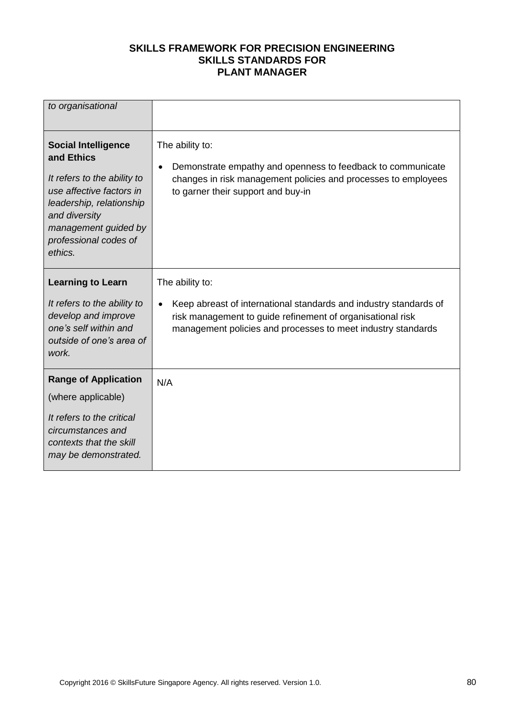| to organisational                                                                                                                                                                                            |                                                                                                                                                                                                                    |
|--------------------------------------------------------------------------------------------------------------------------------------------------------------------------------------------------------------|--------------------------------------------------------------------------------------------------------------------------------------------------------------------------------------------------------------------|
| <b>Social Intelligence</b><br>and Ethics<br>It refers to the ability to<br>use affective factors in<br>leadership, relationship<br>and diversity<br>management guided by<br>professional codes of<br>ethics. | The ability to:<br>Demonstrate empathy and openness to feedback to communicate<br>changes in risk management policies and processes to employees<br>to garner their support and buy-in                             |
| <b>Learning to Learn</b><br>It refers to the ability to<br>develop and improve<br>one's self within and<br>outside of one's area of<br>work.                                                                 | The ability to:<br>Keep abreast of international standards and industry standards of<br>risk management to guide refinement of organisational risk<br>management policies and processes to meet industry standards |
| <b>Range of Application</b><br>(where applicable)<br>It refers to the critical<br>circumstances and<br>contexts that the skill<br>may be demonstrated.                                                       | N/A                                                                                                                                                                                                                |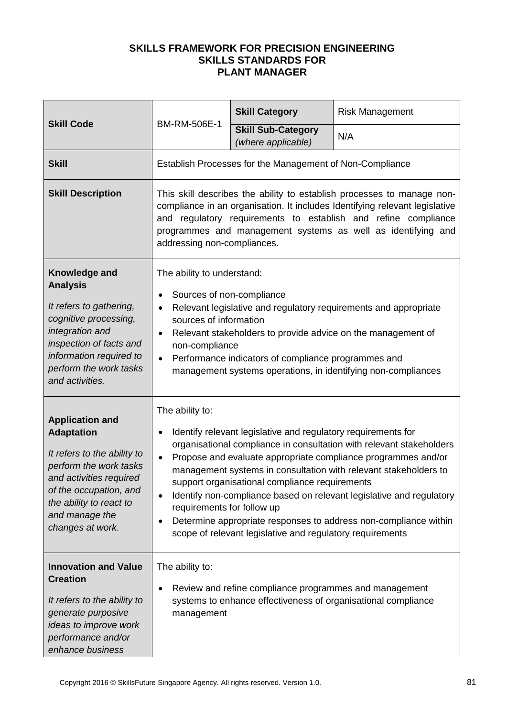|                                                                                                                                                                                                                            | BM-RM-506E-1                                                                                                     | <b>Skill Category</b>                                                                                                                                                        | <b>Risk Management</b>                                                                                                                                                                                                                                                                                                                                |
|----------------------------------------------------------------------------------------------------------------------------------------------------------------------------------------------------------------------------|------------------------------------------------------------------------------------------------------------------|------------------------------------------------------------------------------------------------------------------------------------------------------------------------------|-------------------------------------------------------------------------------------------------------------------------------------------------------------------------------------------------------------------------------------------------------------------------------------------------------------------------------------------------------|
| <b>Skill Code</b>                                                                                                                                                                                                          |                                                                                                                  | <b>Skill Sub-Category</b><br>(where applicable)                                                                                                                              | N/A                                                                                                                                                                                                                                                                                                                                                   |
| <b>Skill</b>                                                                                                                                                                                                               |                                                                                                                  | Establish Processes for the Management of Non-Compliance                                                                                                                     |                                                                                                                                                                                                                                                                                                                                                       |
| <b>Skill Description</b>                                                                                                                                                                                                   | addressing non-compliances.                                                                                      |                                                                                                                                                                              | This skill describes the ability to establish processes to manage non-<br>compliance in an organisation. It includes Identifying relevant legislative<br>and regulatory requirements to establish and refine compliance<br>programmes and management systems as well as identifying and                                                               |
| Knowledge and<br><b>Analysis</b><br>It refers to gathering,<br>cognitive processing,<br>integration and<br>inspection of facts and<br>information required to<br>perform the work tasks<br>and activities.                 | The ability to understand:<br>Sources of non-compliance<br>sources of information<br>$\bullet$<br>non-compliance | Performance indicators of compliance programmes and                                                                                                                          | Relevant legislative and regulatory requirements and appropriate<br>Relevant stakeholders to provide advice on the management of<br>management systems operations, in identifying non-compliances                                                                                                                                                     |
| <b>Application and</b><br><b>Adaptation</b><br>It refers to the ability to<br>perform the work tasks<br>and activities required<br>of the occupation, and<br>the ability to react to<br>and manage the<br>changes at work. | The ability to:<br>$\bullet$<br>$\bullet$<br>requirements for follow up                                          | Identify relevant legislative and regulatory requirements for<br>support organisational compliance requirements<br>scope of relevant legislative and regulatory requirements | organisational compliance in consultation with relevant stakeholders<br>Propose and evaluate appropriate compliance programmes and/or<br>management systems in consultation with relevant stakeholders to<br>Identify non-compliance based on relevant legislative and regulatory<br>Determine appropriate responses to address non-compliance within |
| <b>Innovation and Value</b><br><b>Creation</b><br>It refers to the ability to<br>generate purposive<br>ideas to improve work<br>performance and/or<br>enhance business                                                     | The ability to:<br>management                                                                                    | Review and refine compliance programmes and management                                                                                                                       | systems to enhance effectiveness of organisational compliance                                                                                                                                                                                                                                                                                         |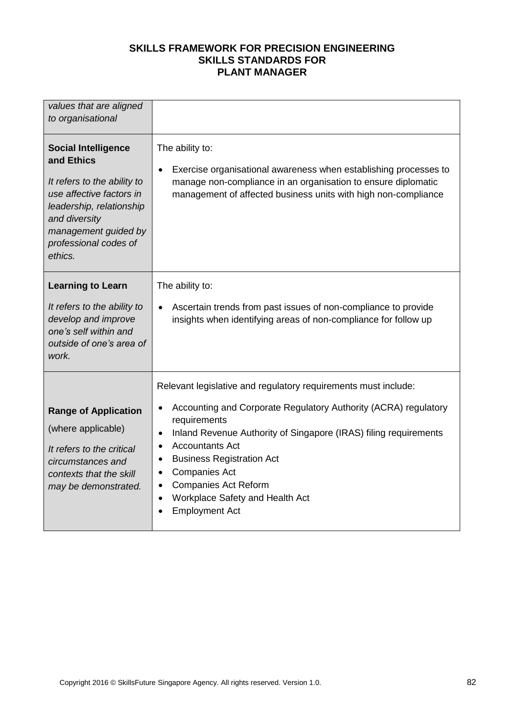| values that are aligned<br>to organisational                                                                                                                                                                 |                                                                                                                                                                                                                                                                                                                                                                                                                                                            |
|--------------------------------------------------------------------------------------------------------------------------------------------------------------------------------------------------------------|------------------------------------------------------------------------------------------------------------------------------------------------------------------------------------------------------------------------------------------------------------------------------------------------------------------------------------------------------------------------------------------------------------------------------------------------------------|
| <b>Social Intelligence</b><br>and Ethics<br>It refers to the ability to<br>use affective factors in<br>leadership, relationship<br>and diversity<br>management guided by<br>professional codes of<br>ethics. | The ability to:<br>Exercise organisational awareness when establishing processes to<br>manage non-compliance in an organisation to ensure diplomatic<br>management of affected business units with high non-compliance                                                                                                                                                                                                                                     |
| <b>Learning to Learn</b><br>It refers to the ability to<br>develop and improve<br>one's self within and<br>outside of one's area of<br>work.                                                                 | The ability to:<br>Ascertain trends from past issues of non-compliance to provide<br>insights when identifying areas of non-compliance for follow up                                                                                                                                                                                                                                                                                                       |
| <b>Range of Application</b><br>(where applicable)<br>It refers to the critical<br>circumstances and<br>contexts that the skill<br>may be demonstrated.                                                       | Relevant legislative and regulatory requirements must include:<br>Accounting and Corporate Regulatory Authority (ACRA) regulatory<br>requirements<br>Inland Revenue Authority of Singapore (IRAS) filing requirements<br>$\bullet$<br><b>Accountants Act</b><br>$\bullet$<br><b>Business Registration Act</b><br>$\bullet$<br><b>Companies Act</b><br><b>Companies Act Reform</b><br>Workplace Safety and Health Act<br>$\bullet$<br><b>Employment Act</b> |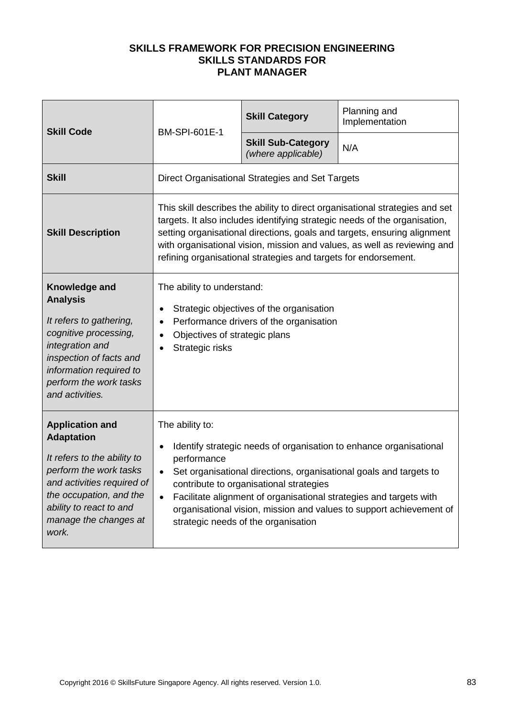| <b>Skill Code</b>                                                                                                                                                                                                          | <b>BM-SPI-601E-1</b>                                                                | <b>Skill Category</b>                                                               | Planning and<br>Implementation                                                                                                                                                                                                                                                                                     |
|----------------------------------------------------------------------------------------------------------------------------------------------------------------------------------------------------------------------------|-------------------------------------------------------------------------------------|-------------------------------------------------------------------------------------|--------------------------------------------------------------------------------------------------------------------------------------------------------------------------------------------------------------------------------------------------------------------------------------------------------------------|
|                                                                                                                                                                                                                            |                                                                                     | <b>Skill Sub-Category</b><br>(where applicable)                                     | N/A                                                                                                                                                                                                                                                                                                                |
| <b>Skill</b>                                                                                                                                                                                                               |                                                                                     | Direct Organisational Strategies and Set Targets                                    |                                                                                                                                                                                                                                                                                                                    |
| <b>Skill Description</b>                                                                                                                                                                                                   |                                                                                     | refining organisational strategies and targets for endorsement.                     | This skill describes the ability to direct organisational strategies and set<br>targets. It also includes identifying strategic needs of the organisation,<br>setting organisational directions, goals and targets, ensuring alignment<br>with organisational vision, mission and values, as well as reviewing and |
| Knowledge and<br><b>Analysis</b><br>It refers to gathering,<br>cognitive processing,<br>integration and<br>inspection of facts and<br>information required to<br>perform the work tasks<br>and activities.                 | The ability to understand:<br>٠<br>Objectives of strategic plans<br>Strategic risks | Strategic objectives of the organisation<br>Performance drivers of the organisation |                                                                                                                                                                                                                                                                                                                    |
| <b>Application and</b><br><b>Adaptation</b><br>It refers to the ability to<br>perform the work tasks<br>and activities required of<br>the occupation, and the<br>ability to react to and<br>manage the changes at<br>work. | The ability to:<br>performance<br>$\bullet$                                         | contribute to organisational strategies<br>strategic needs of the organisation      | Identify strategic needs of organisation to enhance organisational<br>Set organisational directions, organisational goals and targets to<br>Facilitate alignment of organisational strategies and targets with<br>organisational vision, mission and values to support achievement of                              |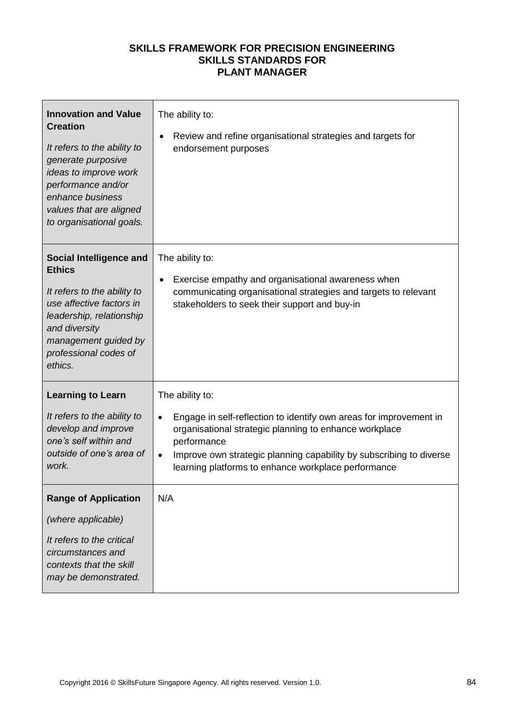| <b>Innovation and Value</b><br><b>Creation</b><br>It refers to the ability to<br>generate purposive<br>ideas to improve work<br>performance and/or<br>enhance business<br>values that are aligned<br>to organisational goals. | The ability to:<br>Review and refine organisational strategies and targets for<br>٠<br>endorsement purposes                                                                                                                                                                                                            |
|-------------------------------------------------------------------------------------------------------------------------------------------------------------------------------------------------------------------------------|------------------------------------------------------------------------------------------------------------------------------------------------------------------------------------------------------------------------------------------------------------------------------------------------------------------------|
| <b>Social Intelligence and</b><br><b>Ethics</b><br>It refers to the ability to<br>use affective factors in<br>leadership, relationship<br>and diversity<br>management guided by<br>professional codes of<br>ethics.           | The ability to:<br>Exercise empathy and organisational awareness when<br>communicating organisational strategies and targets to relevant<br>stakeholders to seek their support and buy-in                                                                                                                              |
| <b>Learning to Learn</b><br>It refers to the ability to<br>develop and improve<br>one's self within and<br>outside of one's area of<br>work.                                                                                  | The ability to:<br>Engage in self-reflection to identify own areas for improvement in<br>$\bullet$<br>organisational strategic planning to enhance workplace<br>performance<br>Improve own strategic planning capability by subscribing to diverse<br>$\bullet$<br>learning platforms to enhance workplace performance |
| <b>Range of Application</b><br>(where applicable)<br>It refers to the critical<br>circumstances and<br>contexts that the skill<br>may be demonstrated.                                                                        | N/A                                                                                                                                                                                                                                                                                                                    |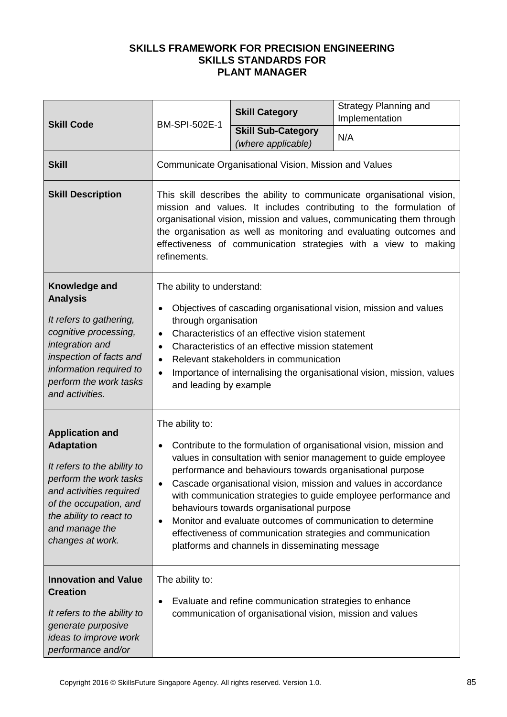|                                                                                                                                                                                                                            |                                                                                                                                                                                                                                                                                                                                                                                                                                                                                                                                                                                                         | <b>Skill Category</b>                           | Strategy Planning and<br>Implementation |
|----------------------------------------------------------------------------------------------------------------------------------------------------------------------------------------------------------------------------|---------------------------------------------------------------------------------------------------------------------------------------------------------------------------------------------------------------------------------------------------------------------------------------------------------------------------------------------------------------------------------------------------------------------------------------------------------------------------------------------------------------------------------------------------------------------------------------------------------|-------------------------------------------------|-----------------------------------------|
| <b>Skill Code</b>                                                                                                                                                                                                          | <b>BM-SPI-502E-1</b>                                                                                                                                                                                                                                                                                                                                                                                                                                                                                                                                                                                    | <b>Skill Sub-Category</b><br>(where applicable) | N/A                                     |
| <b>Skill</b>                                                                                                                                                                                                               | Communicate Organisational Vision, Mission and Values                                                                                                                                                                                                                                                                                                                                                                                                                                                                                                                                                   |                                                 |                                         |
| <b>Skill Description</b>                                                                                                                                                                                                   | This skill describes the ability to communicate organisational vision,<br>mission and values. It includes contributing to the formulation of<br>organisational vision, mission and values, communicating them through<br>the organisation as well as monitoring and evaluating outcomes and<br>effectiveness of communication strategies with a view to making<br>refinements.                                                                                                                                                                                                                          |                                                 |                                         |
| Knowledge and<br><b>Analysis</b><br>It refers to gathering,<br>cognitive processing,<br>integration and<br>inspection of facts and<br>information required to<br>perform the work tasks<br>and activities.                 | The ability to understand:<br>Objectives of cascading organisational vision, mission and values<br>through organisation<br>Characteristics of an effective vision statement<br>$\bullet$<br>Characteristics of an effective mission statement<br>$\bullet$<br>Relevant stakeholders in communication<br>$\bullet$<br>Importance of internalising the organisational vision, mission, values<br>$\bullet$<br>and leading by example                                                                                                                                                                      |                                                 |                                         |
| <b>Application and</b><br><b>Adaptation</b><br>It refers to the ability to<br>perform the work tasks<br>and activities required<br>of the occupation, and<br>the ability to react to<br>and manage the<br>changes at work. | The ability to:<br>Contribute to the formulation of organisational vision, mission and<br>values in consultation with senior management to guide employee<br>performance and behaviours towards organisational purpose<br>Cascade organisational vision, mission and values in accordance<br>with communication strategies to guide employee performance and<br>behaviours towards organisational purpose<br>Monitor and evaluate outcomes of communication to determine<br>$\bullet$<br>effectiveness of communication strategies and communication<br>platforms and channels in disseminating message |                                                 |                                         |
| <b>Innovation and Value</b><br><b>Creation</b><br>It refers to the ability to<br>generate purposive<br>ideas to improve work<br>performance and/or                                                                         | The ability to:<br>Evaluate and refine communication strategies to enhance<br>communication of organisational vision, mission and values                                                                                                                                                                                                                                                                                                                                                                                                                                                                |                                                 |                                         |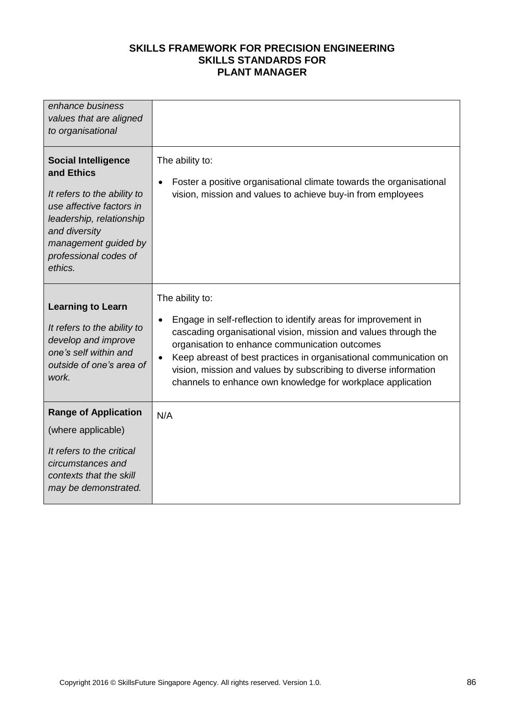| enhance business<br>values that are aligned<br>to organisational                                                                                                                                             |                                                                                                                                                                                                                                                                                                                                                                                                                |
|--------------------------------------------------------------------------------------------------------------------------------------------------------------------------------------------------------------|----------------------------------------------------------------------------------------------------------------------------------------------------------------------------------------------------------------------------------------------------------------------------------------------------------------------------------------------------------------------------------------------------------------|
| <b>Social Intelligence</b><br>and Ethics<br>It refers to the ability to<br>use affective factors in<br>leadership, relationship<br>and diversity<br>management guided by<br>professional codes of<br>ethics. | The ability to:<br>Foster a positive organisational climate towards the organisational<br>vision, mission and values to achieve buy-in from employees                                                                                                                                                                                                                                                          |
| <b>Learning to Learn</b><br>It refers to the ability to<br>develop and improve<br>one's self within and<br>outside of one's area of<br>work.                                                                 | The ability to:<br>Engage in self-reflection to identify areas for improvement in<br>cascading organisational vision, mission and values through the<br>organisation to enhance communication outcomes<br>Keep abreast of best practices in organisational communication on<br>vision, mission and values by subscribing to diverse information<br>channels to enhance own knowledge for workplace application |
| <b>Range of Application</b><br>(where applicable)<br>It refers to the critical<br>circumstances and<br>contexts that the skill<br>may be demonstrated.                                                       | N/A                                                                                                                                                                                                                                                                                                                                                                                                            |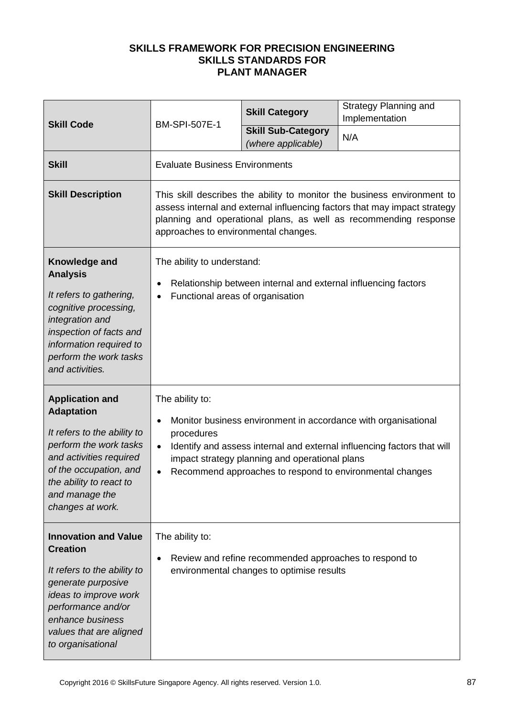| <b>Skill Code</b>                                                                                                                                                                                                          | BM-SPI-507E-1                                                                                                                                                                                                                                                                                         | <b>Skill Category</b>                           | <b>Strategy Planning and</b><br>Implementation |
|----------------------------------------------------------------------------------------------------------------------------------------------------------------------------------------------------------------------------|-------------------------------------------------------------------------------------------------------------------------------------------------------------------------------------------------------------------------------------------------------------------------------------------------------|-------------------------------------------------|------------------------------------------------|
|                                                                                                                                                                                                                            |                                                                                                                                                                                                                                                                                                       | <b>Skill Sub-Category</b><br>(where applicable) | N/A                                            |
| <b>Skill</b>                                                                                                                                                                                                               | <b>Evaluate Business Environments</b>                                                                                                                                                                                                                                                                 |                                                 |                                                |
| <b>Skill Description</b>                                                                                                                                                                                                   | This skill describes the ability to monitor the business environment to<br>assess internal and external influencing factors that may impact strategy<br>planning and operational plans, as well as recommending response<br>approaches to environmental changes.                                      |                                                 |                                                |
| Knowledge and<br><b>Analysis</b><br>It refers to gathering,<br>cognitive processing,<br>integration and<br>inspection of facts and<br>information required to<br>perform the work tasks<br>and activities.                 | The ability to understand:<br>Relationship between internal and external influencing factors<br>Functional areas of organisation                                                                                                                                                                      |                                                 |                                                |
| <b>Application and</b><br><b>Adaptation</b><br>It refers to the ability to<br>perform the work tasks<br>and activities required<br>of the occupation, and<br>the ability to react to<br>and manage the<br>changes at work. | The ability to:<br>Monitor business environment in accordance with organisational<br>procedures<br>Identify and assess internal and external influencing factors that will<br>$\bullet$<br>impact strategy planning and operational plans<br>Recommend approaches to respond to environmental changes |                                                 |                                                |
| <b>Innovation and Value</b><br><b>Creation</b><br>It refers to the ability to<br>generate purposive<br>ideas to improve work<br>performance and/or<br>enhance business<br>values that are aligned<br>to organisational     | The ability to:<br>Review and refine recommended approaches to respond to<br>environmental changes to optimise results                                                                                                                                                                                |                                                 |                                                |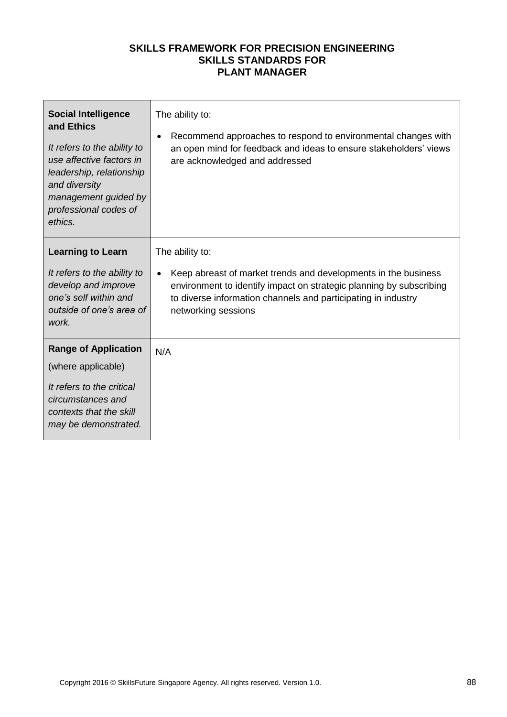| <b>Social Intelligence</b><br>and Ethics<br>It refers to the ability to<br>use affective factors in<br>leadership, relationship<br>and diversity<br>management guided by<br>professional codes of<br>ethics. | The ability to:<br>Recommend approaches to respond to environmental changes with<br>$\bullet$<br>an open mind for feedback and ideas to ensure stakeholders' views<br>are acknowledged and addressed                                                          |
|--------------------------------------------------------------------------------------------------------------------------------------------------------------------------------------------------------------|---------------------------------------------------------------------------------------------------------------------------------------------------------------------------------------------------------------------------------------------------------------|
| <b>Learning to Learn</b><br>It refers to the ability to<br>develop and improve<br>one's self within and<br>outside of one's area of<br>work.                                                                 | The ability to:<br>Keep abreast of market trends and developments in the business<br>$\bullet$<br>environment to identify impact on strategic planning by subscribing<br>to diverse information channels and participating in industry<br>networking sessions |
| <b>Range of Application</b><br>(where applicable)<br>It refers to the critical<br>circumstances and<br>contexts that the skill<br>may be demonstrated.                                                       | N/A                                                                                                                                                                                                                                                           |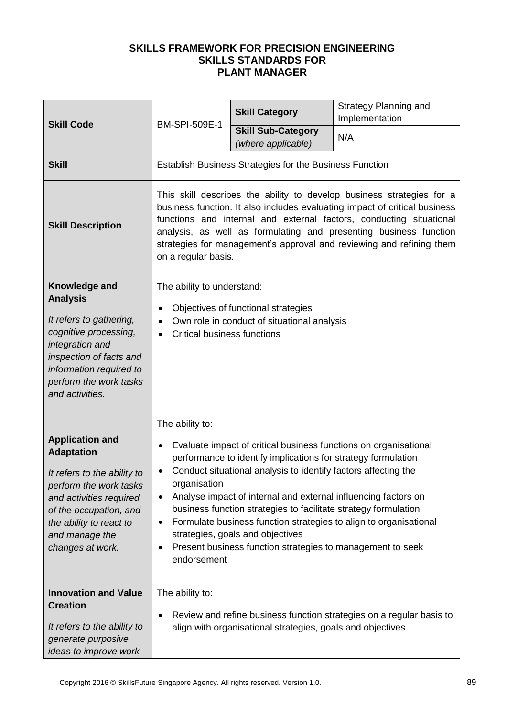| <b>Skill Code</b><br><b>BM-SPI-509E-1</b>                                                                                                                                                                                  |                                                                                                                                                                                                                                                                                                                                                                                                                                                                                                                                                                                                  | <b>Skill Category</b>                           | <b>Strategy Planning and</b><br>Implementation |
|----------------------------------------------------------------------------------------------------------------------------------------------------------------------------------------------------------------------------|--------------------------------------------------------------------------------------------------------------------------------------------------------------------------------------------------------------------------------------------------------------------------------------------------------------------------------------------------------------------------------------------------------------------------------------------------------------------------------------------------------------------------------------------------------------------------------------------------|-------------------------------------------------|------------------------------------------------|
|                                                                                                                                                                                                                            |                                                                                                                                                                                                                                                                                                                                                                                                                                                                                                                                                                                                  | <b>Skill Sub-Category</b><br>(where applicable) | N/A                                            |
| <b>Skill</b>                                                                                                                                                                                                               | <b>Establish Business Strategies for the Business Function</b>                                                                                                                                                                                                                                                                                                                                                                                                                                                                                                                                   |                                                 |                                                |
| <b>Skill Description</b>                                                                                                                                                                                                   | This skill describes the ability to develop business strategies for a<br>business function. It also includes evaluating impact of critical business<br>functions and internal and external factors, conducting situational<br>analysis, as well as formulating and presenting business function<br>strategies for management's approval and reviewing and refining them<br>on a regular basis.                                                                                                                                                                                                   |                                                 |                                                |
| Knowledge and<br><b>Analysis</b>                                                                                                                                                                                           | The ability to understand:                                                                                                                                                                                                                                                                                                                                                                                                                                                                                                                                                                       |                                                 |                                                |
| It refers to gathering,<br>cognitive processing,<br>integration and<br>inspection of facts and<br>information required to<br>perform the work tasks<br>and activities.                                                     | Objectives of functional strategies<br>Own role in conduct of situational analysis<br><b>Critical business functions</b>                                                                                                                                                                                                                                                                                                                                                                                                                                                                         |                                                 |                                                |
| <b>Application and</b><br><b>Adaptation</b><br>It refers to the ability to<br>perform the work tasks<br>and activities required<br>of the occupation, and<br>the ability to react to<br>and manage the<br>changes at work. | The ability to:<br>Evaluate impact of critical business functions on organisational<br>performance to identify implications for strategy formulation<br>Conduct situational analysis to identify factors affecting the<br>organisation<br>Analyse impact of internal and external influencing factors on<br>$\bullet$<br>business function strategies to facilitate strategy formulation<br>Formulate business function strategies to align to organisational<br>$\bullet$<br>strategies, goals and objectives<br>Present business function strategies to management to seek<br>٠<br>endorsement |                                                 |                                                |
| <b>Innovation and Value</b><br><b>Creation</b><br>It refers to the ability to<br>generate purposive<br>ideas to improve work                                                                                               | The ability to:<br>Review and refine business function strategies on a regular basis to<br>align with organisational strategies, goals and objectives                                                                                                                                                                                                                                                                                                                                                                                                                                            |                                                 |                                                |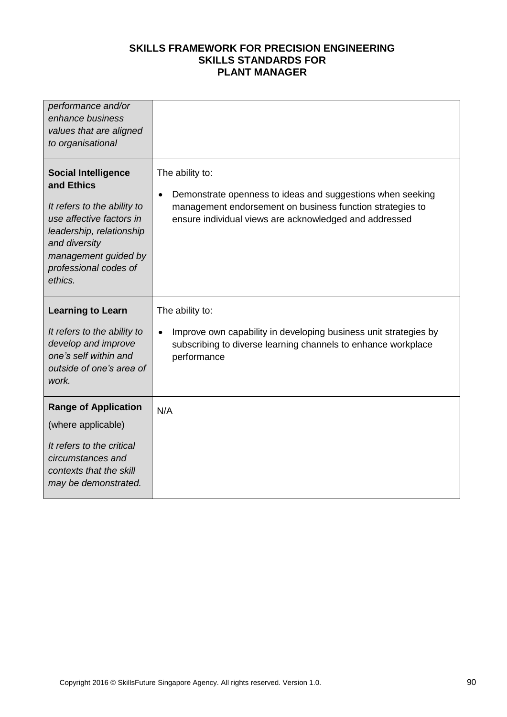| performance and/or<br>enhance business<br>values that are aligned<br>to organisational                                                                                                                       |                                                                                                                                                                                                      |
|--------------------------------------------------------------------------------------------------------------------------------------------------------------------------------------------------------------|------------------------------------------------------------------------------------------------------------------------------------------------------------------------------------------------------|
| <b>Social Intelligence</b><br>and Ethics<br>It refers to the ability to<br>use affective factors in<br>leadership, relationship<br>and diversity<br>management guided by<br>professional codes of<br>ethics. | The ability to:<br>Demonstrate openness to ideas and suggestions when seeking<br>management endorsement on business function strategies to<br>ensure individual views are acknowledged and addressed |
| <b>Learning to Learn</b><br>It refers to the ability to<br>develop and improve<br>one's self within and<br>outside of one's area of<br>work.                                                                 | The ability to:<br>Improve own capability in developing business unit strategies by<br>$\bullet$<br>subscribing to diverse learning channels to enhance workplace<br>performance                     |
| <b>Range of Application</b><br>(where applicable)<br>It refers to the critical<br>circumstances and<br>contexts that the skill<br>may be demonstrated.                                                       | N/A                                                                                                                                                                                                  |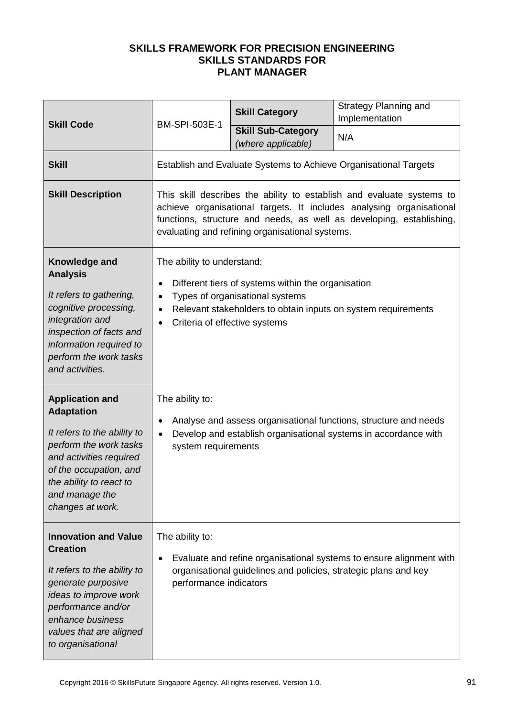|                                                                                                                                                                                                                            |                                                                                                                                                                                                                                                                          | <b>Skill Category</b> | Strategy Planning and<br>Implementation                          |
|----------------------------------------------------------------------------------------------------------------------------------------------------------------------------------------------------------------------------|--------------------------------------------------------------------------------------------------------------------------------------------------------------------------------------------------------------------------------------------------------------------------|-----------------------|------------------------------------------------------------------|
| <b>BM-SPI-503E-1</b><br><b>Skill Code</b>                                                                                                                                                                                  | <b>Skill Sub-Category</b><br>(where applicable)                                                                                                                                                                                                                          | N/A                   |                                                                  |
| <b>Skill</b>                                                                                                                                                                                                               |                                                                                                                                                                                                                                                                          |                       | Establish and Evaluate Systems to Achieve Organisational Targets |
| <b>Skill Description</b>                                                                                                                                                                                                   | This skill describes the ability to establish and evaluate systems to<br>achieve organisational targets. It includes analysing organisational<br>functions, structure and needs, as well as developing, establishing,<br>evaluating and refining organisational systems. |                       |                                                                  |
| Knowledge and<br><b>Analysis</b><br>It refers to gathering,<br>cognitive processing,<br>integration and<br>inspection of facts and<br>information required to<br>perform the work tasks<br>and activities.                 | The ability to understand:<br>Different tiers of systems within the organisation<br>Types of organisational systems<br>$\bullet$<br>Relevant stakeholders to obtain inputs on system requirements<br>$\bullet$<br>Criteria of effective systems                          |                       |                                                                  |
| <b>Application and</b><br><b>Adaptation</b><br>It refers to the ability to<br>perform the work tasks<br>and activities required<br>of the occupation, and<br>the ability to react to<br>and manage the<br>changes at work. | The ability to:<br>Analyse and assess organisational functions, structure and needs<br>Develop and establish organisational systems in accordance with<br>system requirements                                                                                            |                       |                                                                  |
| <b>Innovation and Value</b><br><b>Creation</b><br>It refers to the ability to<br>generate purposive<br>ideas to improve work<br>performance and/or<br>enhance business<br>values that are aligned<br>to organisational     | The ability to:<br>Evaluate and refine organisational systems to ensure alignment with<br>organisational guidelines and policies, strategic plans and key<br>performance indicators                                                                                      |                       |                                                                  |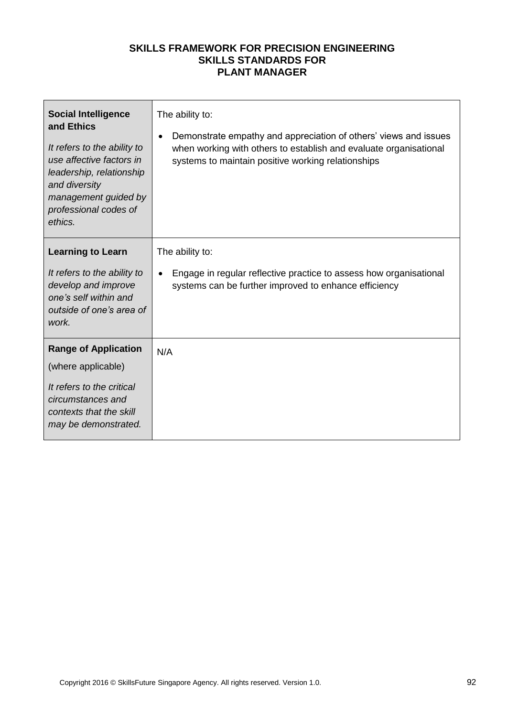| <b>Social Intelligence</b><br>and Ethics<br>It refers to the ability to<br>use affective factors in<br>leadership, relationship<br>and diversity<br>management guided by<br>professional codes of<br>ethics. | The ability to:<br>Demonstrate empathy and appreciation of others' views and issues<br>when working with others to establish and evaluate organisational<br>systems to maintain positive working relationships |
|--------------------------------------------------------------------------------------------------------------------------------------------------------------------------------------------------------------|----------------------------------------------------------------------------------------------------------------------------------------------------------------------------------------------------------------|
| <b>Learning to Learn</b><br>It refers to the ability to<br>develop and improve<br>one's self within and<br>outside of one's area of<br>work.                                                                 | The ability to:<br>Engage in regular reflective practice to assess how organisational<br>systems can be further improved to enhance efficiency                                                                 |
| <b>Range of Application</b><br>(where applicable)<br>It refers to the critical<br>circumstances and<br>contexts that the skill<br>may be demonstrated.                                                       | N/A                                                                                                                                                                                                            |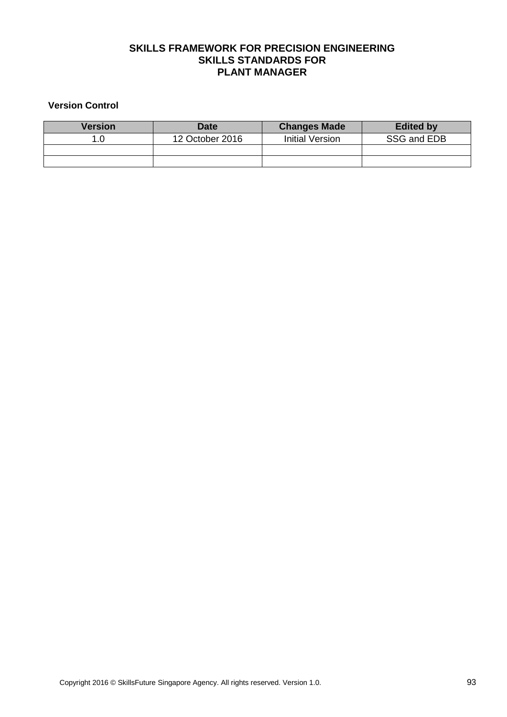#### **Version Control**

| Version | <b>Date</b>     | <b>Changes Made</b> | <b>Edited by</b> |
|---------|-----------------|---------------------|------------------|
|         | 12 October 2016 | Initial Version     | SSG and EDB      |
|         |                 |                     |                  |
|         |                 |                     |                  |